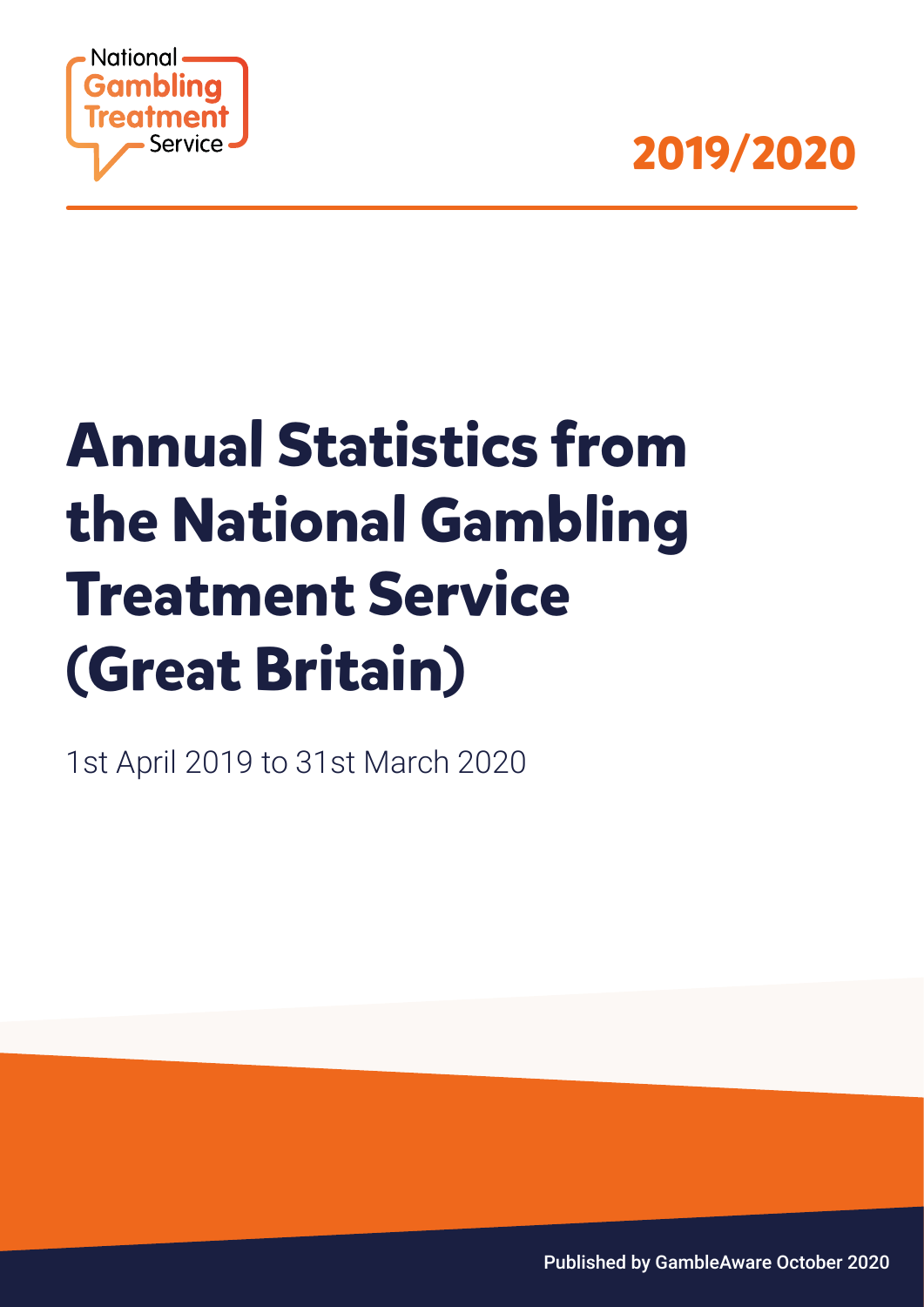



# **Annual Statistics from the National Gambling Treatment Service (Great Britain)**

1st April 2019 to 31st March 2020

Published by GambleAware October 2020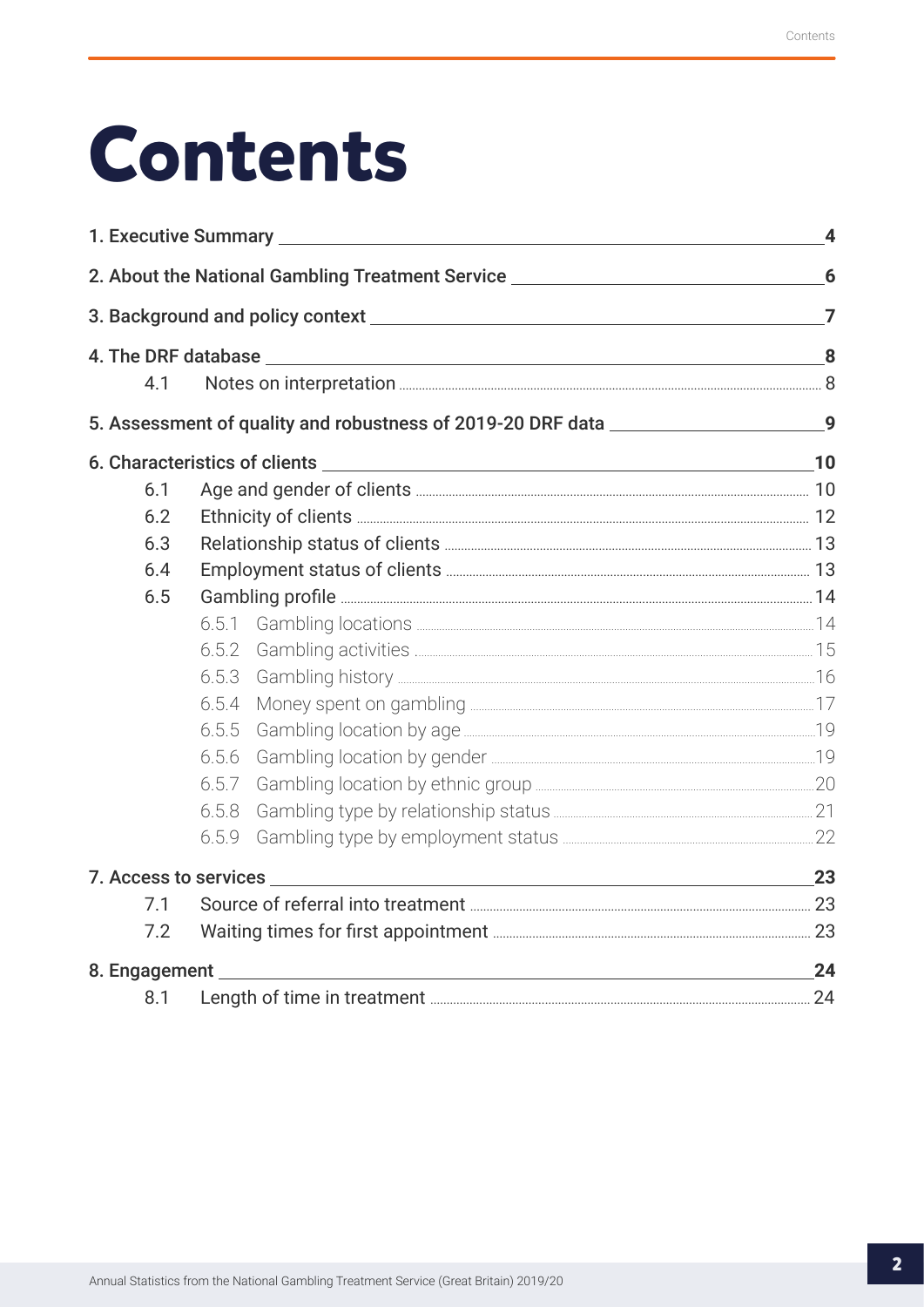# **Contents**

|               |       | 1. Executive Summary <b>Executive Summary</b>                                                                    | $\overline{\mathbf{4}}$ |  |  |  |
|---------------|-------|------------------------------------------------------------------------------------------------------------------|-------------------------|--|--|--|
|               |       | 2. About the National Gambling Treatment Service _______________________________                                 | 6                       |  |  |  |
|               |       |                                                                                                                  |                         |  |  |  |
|               |       |                                                                                                                  |                         |  |  |  |
| 4.1           |       |                                                                                                                  |                         |  |  |  |
|               |       | 5. Assessment of quality and robustness of 2019-20 DRF data _____________________9                               |                         |  |  |  |
|               |       |                                                                                                                  |                         |  |  |  |
| 6.1           |       |                                                                                                                  |                         |  |  |  |
| 6.2           |       |                                                                                                                  |                         |  |  |  |
| 6.3           |       |                                                                                                                  |                         |  |  |  |
| 6.4           |       |                                                                                                                  |                         |  |  |  |
| 6.5           |       |                                                                                                                  |                         |  |  |  |
|               | 6.5.1 |                                                                                                                  |                         |  |  |  |
|               | 6.5.2 |                                                                                                                  |                         |  |  |  |
|               | 6.5.3 |                                                                                                                  |                         |  |  |  |
|               | 6.5.4 |                                                                                                                  |                         |  |  |  |
|               | 6.5.5 |                                                                                                                  |                         |  |  |  |
|               | 6.5.6 |                                                                                                                  |                         |  |  |  |
|               | 6.5.7 |                                                                                                                  |                         |  |  |  |
|               | 6.5.8 |                                                                                                                  |                         |  |  |  |
|               | 6.5.9 |                                                                                                                  |                         |  |  |  |
|               |       |                                                                                                                  | 23                      |  |  |  |
| 7.1           |       |                                                                                                                  |                         |  |  |  |
| 7.2           |       |                                                                                                                  |                         |  |  |  |
| 8. Engagement |       | and the control of the control of the control of the control of the control of the control of the control of the | 24                      |  |  |  |
| 8.1           |       |                                                                                                                  |                         |  |  |  |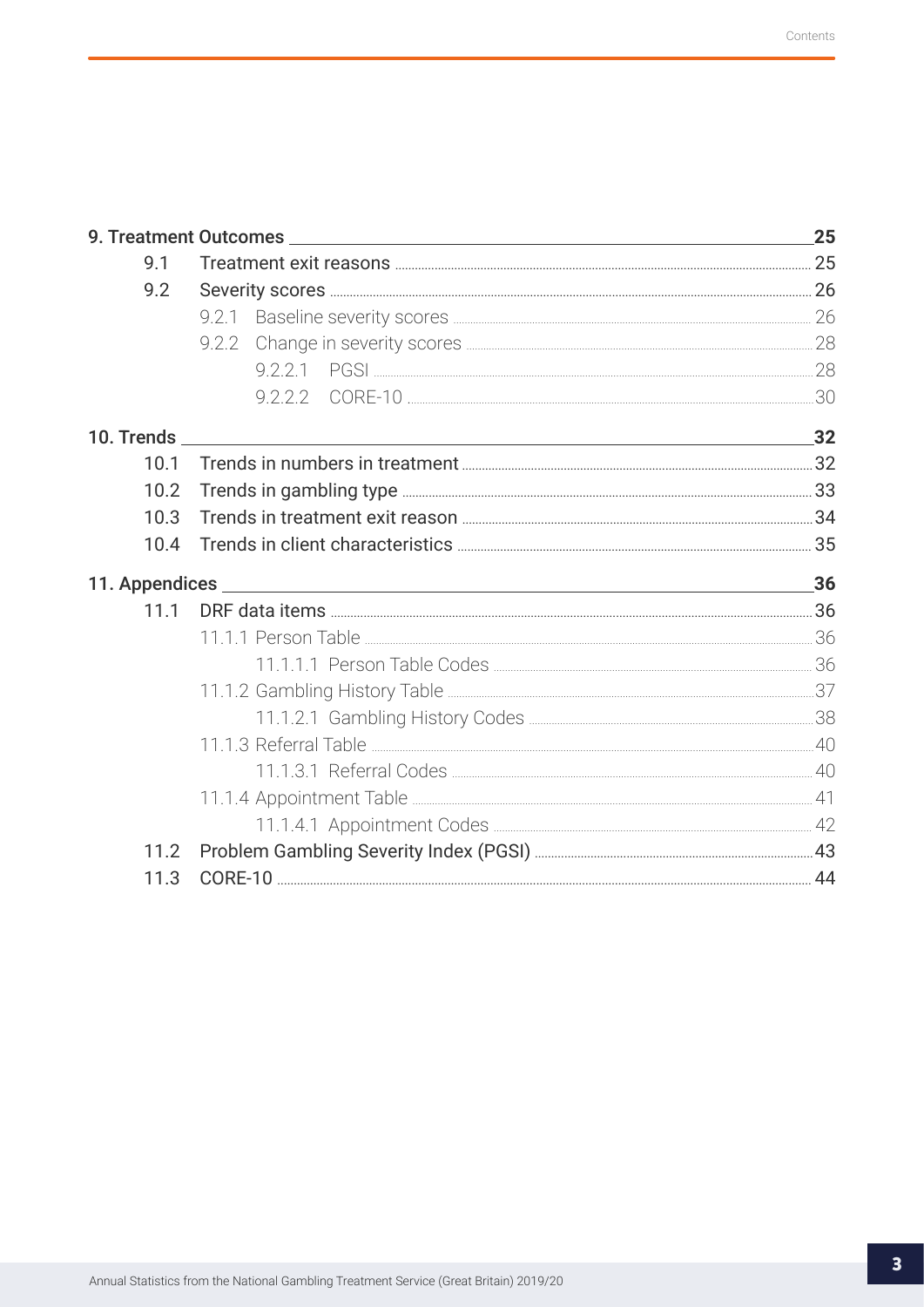|            |           | 25 |
|------------|-----------|----|
| 9.1        |           |    |
| 9.2        |           |    |
|            |           |    |
|            |           |    |
|            |           |    |
|            |           |    |
| 10. Trends | $\sim$ 32 |    |
| 10.1       |           |    |
| 10.2       |           |    |
| 10.3       |           |    |
| 10.4       |           |    |
|            |           | 36 |
| 11.1       |           |    |
|            |           |    |
|            |           |    |
|            |           |    |
|            |           |    |
|            |           |    |
|            |           |    |
|            |           |    |
|            |           |    |
| 11.2       |           |    |
| 11.3       |           |    |
|            |           |    |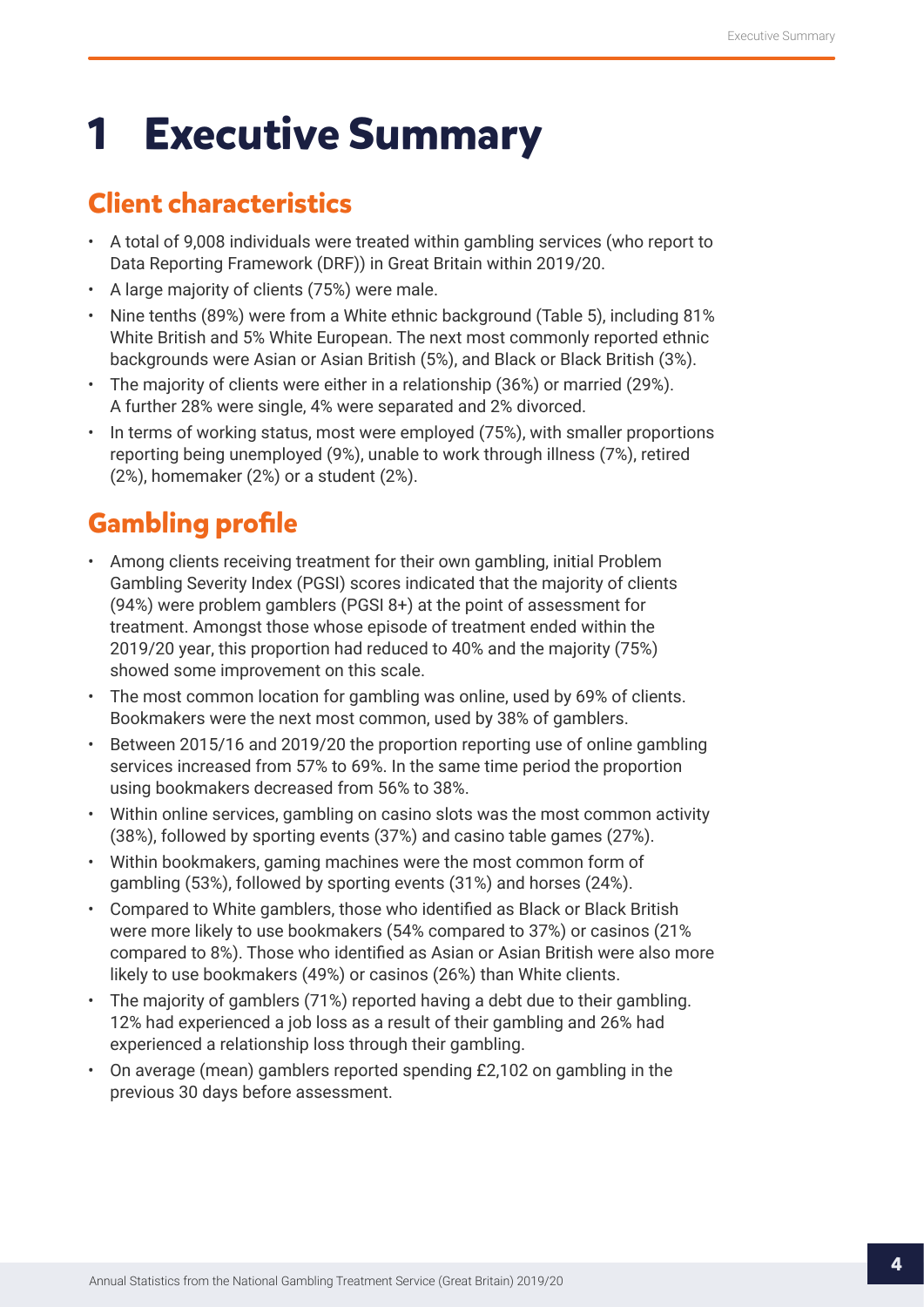## <span id="page-3-0"></span>**1 Executive Summary**

## **Client characteristics**

- A total of 9,008 individuals were treated within gambling services (who report to Data Reporting Framework (DRF)) in Great Britain within 2019/20.
- A large majority of clients (75%) were male.
- Nine tenths (89%) were from a White ethnic background (Table 5), including 81% White British and 5% White European. The next most commonly reported ethnic backgrounds were Asian or Asian British (5%), and Black or Black British (3%).
- The majority of clients were either in a relationship (36%) or married (29%). A further 28% were single, 4% were separated and 2% divorced.
- In terms of working status, most were employed (75%), with smaller proportions reporting being unemployed (9%), unable to work through illness (7%), retired (2%), homemaker (2%) or a student (2%).

## **Gambling profile**

- Among clients receiving treatment for their own gambling, initial Problem Gambling Severity Index (PGSI) scores indicated that the majority of clients (94%) were problem gamblers (PGSI 8+) at the point of assessment for treatment. Amongst those whose episode of treatment ended within the 2019/20 year, this proportion had reduced to 40% and the majority (75%) showed some improvement on this scale.
- The most common location for gambling was online, used by 69% of clients. Bookmakers were the next most common, used by 38% of gamblers.
- Between 2015/16 and 2019/20 the proportion reporting use of online gambling services increased from 57% to 69%. In the same time period the proportion using bookmakers decreased from 56% to 38%.
- Within online services, gambling on casino slots was the most common activity (38%), followed by sporting events (37%) and casino table games (27%).
- Within bookmakers, gaming machines were the most common form of gambling (53%), followed by sporting events (31%) and horses (24%).
- Compared to White gamblers, those who identified as Black or Black British were more likely to use bookmakers (54% compared to 37%) or casinos (21% compared to 8%). Those who identified as Asian or Asian British were also more likely to use bookmakers (49%) or casinos (26%) than White clients.
- The majority of gamblers (71%) reported having a debt due to their gambling. 12% had experienced a job loss as a result of their gambling and 26% had experienced a relationship loss through their gambling.
- On average (mean) gamblers reported spending £2,102 on gambling in the previous 30 days before assessment.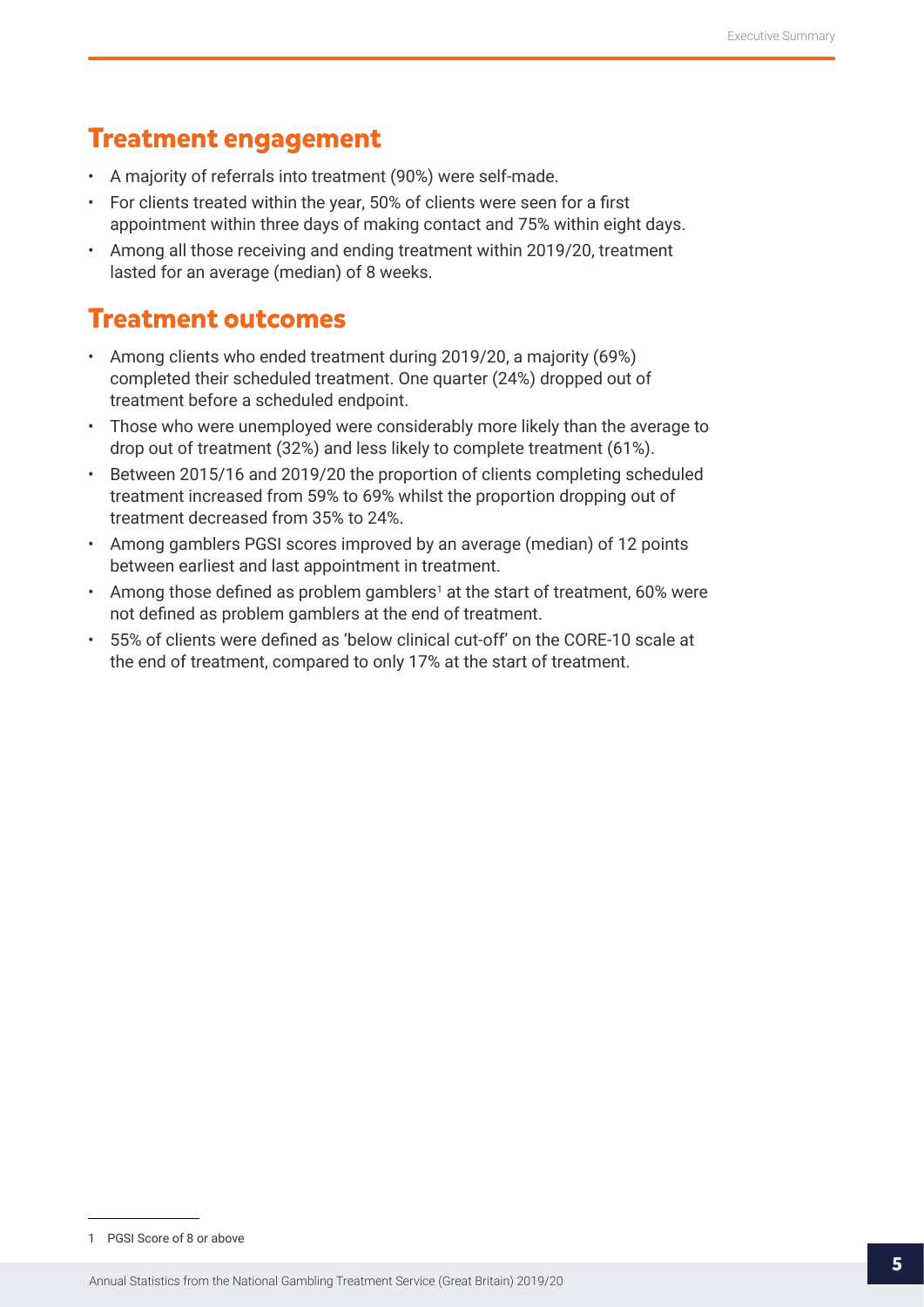## **Treatment engagement**

- A majority of referrals into treatment (90%) were self-made.
- For clients treated within the year, 50% of clients were seen for a first appointment within three days of making contact and 75% within eight days.
- Among all those receiving and ending treatment within 2019/20, treatment lasted for an average (median) of 8 weeks.

## **Treatment outcomes**

- Among clients who ended treatment during 2019/20, a majority (69%) completed their scheduled treatment. One quarter (24%) dropped out of treatment before a scheduled endpoint.
- Those who were unemployed were considerably more likely than the average to drop out of treatment (32%) and less likely to complete treatment (61%).
- Between 2015/16 and 2019/20 the proportion of clients completing scheduled treatment increased from 59% to 69% whilst the proportion dropping out of treatment decreased from 35% to 24%.
- Among gamblers PGSI scores improved by an average (median) of 12 points between earliest and last appointment in treatment.
- Among those defined as problem gamblers<sup>1</sup> at the start of treatment, 60% were not defined as problem gamblers at the end of treatment.
- 55% of clients were defined as 'below clinical cut-off' on the CORE-10 scale at the end of treatment, compared to only 17% at the start of treatment.

<sup>1</sup> PGSI Score of 8 or above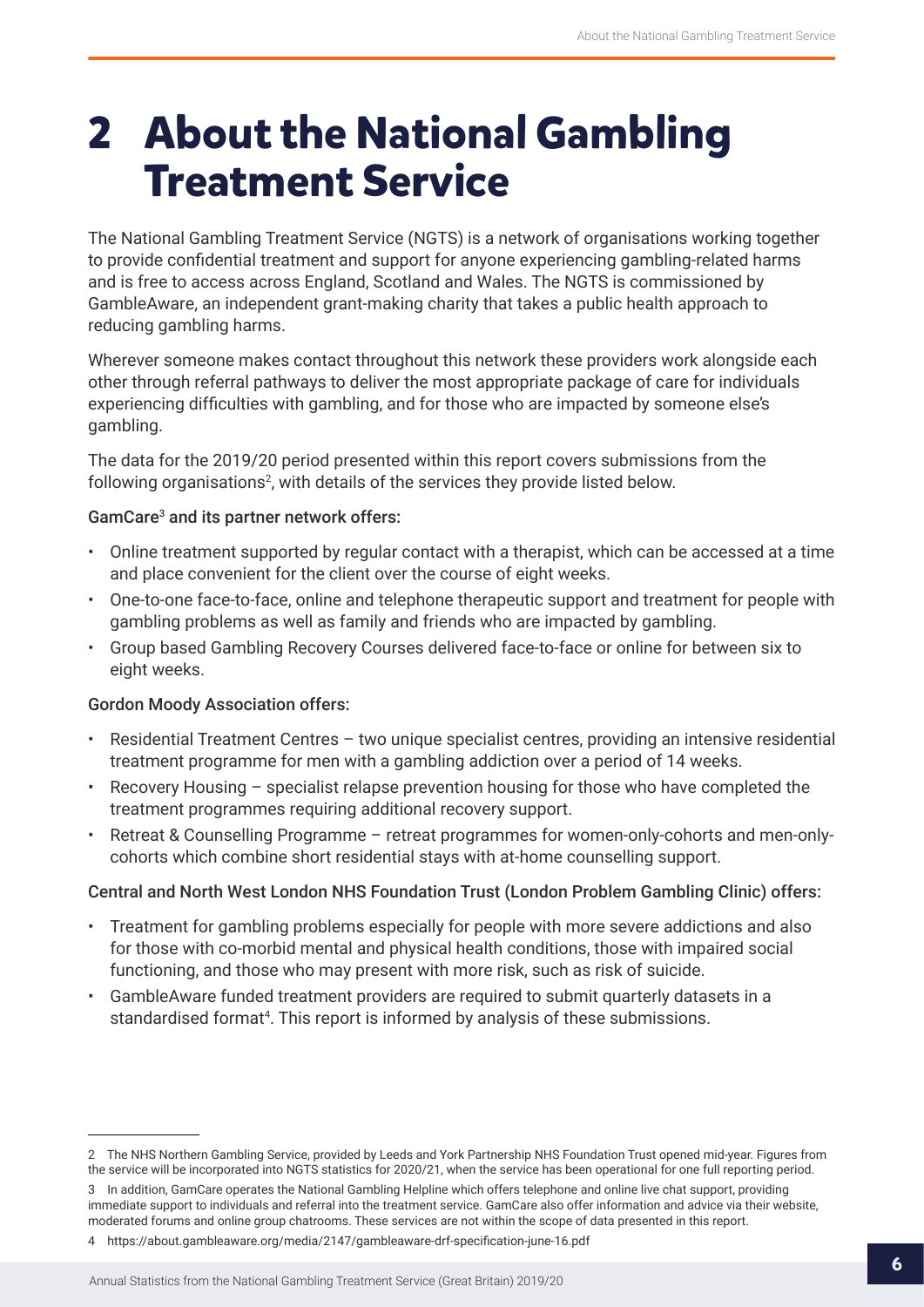## <span id="page-5-0"></span>**2 About the National Gambling Treatment Service**

The National Gambling Treatment Service (NGTS) is a network of organisations working together to provide confidential treatment and support for anyone experiencing gambling-related harms and is free to access across England, Scotland and Wales. The NGTS is commissioned by GambleAware, an independent grant-making charity that takes a public health approach to reducing gambling harms.

Wherever someone makes contact throughout this network these providers work alongside each other through referral pathways to deliver the most appropriate package of care for individuals experiencing difficulties with gambling, and for those who are impacted by someone else's gambling.

The data for the 2019/20 period presented within this report covers submissions from the following organisations $^2$ , with details of the services they provide listed below.

### GamCare<sup>3</sup> and its partner network offers:

- Online treatment supported by regular contact with a therapist, which can be accessed at a time and place convenient for the client over the course of eight weeks.
- One-to-one face-to-face, online and telephone therapeutic support and treatment for people with gambling problems as well as family and friends who are impacted by gambling.
- Group based Gambling Recovery Courses delivered face-to-face or online for between six to eight weeks.

#### Gordon Moody Association offers:

- Residential Treatment Centres two unique specialist centres, providing an intensive residential treatment programme for men with a gambling addiction over a period of 14 weeks.
- Recovery Housing specialist relapse prevention housing for those who have completed the treatment programmes requiring additional recovery support.
- Retreat & Counselling Programme retreat programmes for women-only-cohorts and men-onlycohorts which combine short residential stays with at-home counselling support.

### Central and North West London NHS Foundation Trust (London Problem Gambling Clinic) offers:

- Treatment for gambling problems especially for people with more severe addictions and also for those with co-morbid mental and physical health conditions, those with impaired social functioning, and those who may present with more risk, such as risk of suicide.
- GambleAware funded treatment providers are required to submit quarterly datasets in a standardised format<sup>4</sup>. This report is informed by analysis of these submissions.

<sup>2</sup> The NHS Northern Gambling Service, provided by Leeds and York Partnership NHS Foundation Trust opened mid-year. Figures from the service will be incorporated into NGTS statistics for 2020/21, when the service has been operational for one full reporting period.

<sup>3</sup> In addition, GamCare operates the National Gambling Helpline which offers telephone and online live chat support, providing immediate support to individuals and referral into the treatment service. GamCare also offer information and advice via their website, moderated forums and online group chatrooms. These services are not within the scope of data presented in this report.

<sup>4</sup> https://about.gambleaware.org/media/2147/gambleaware-drf-specification-june-16.pdf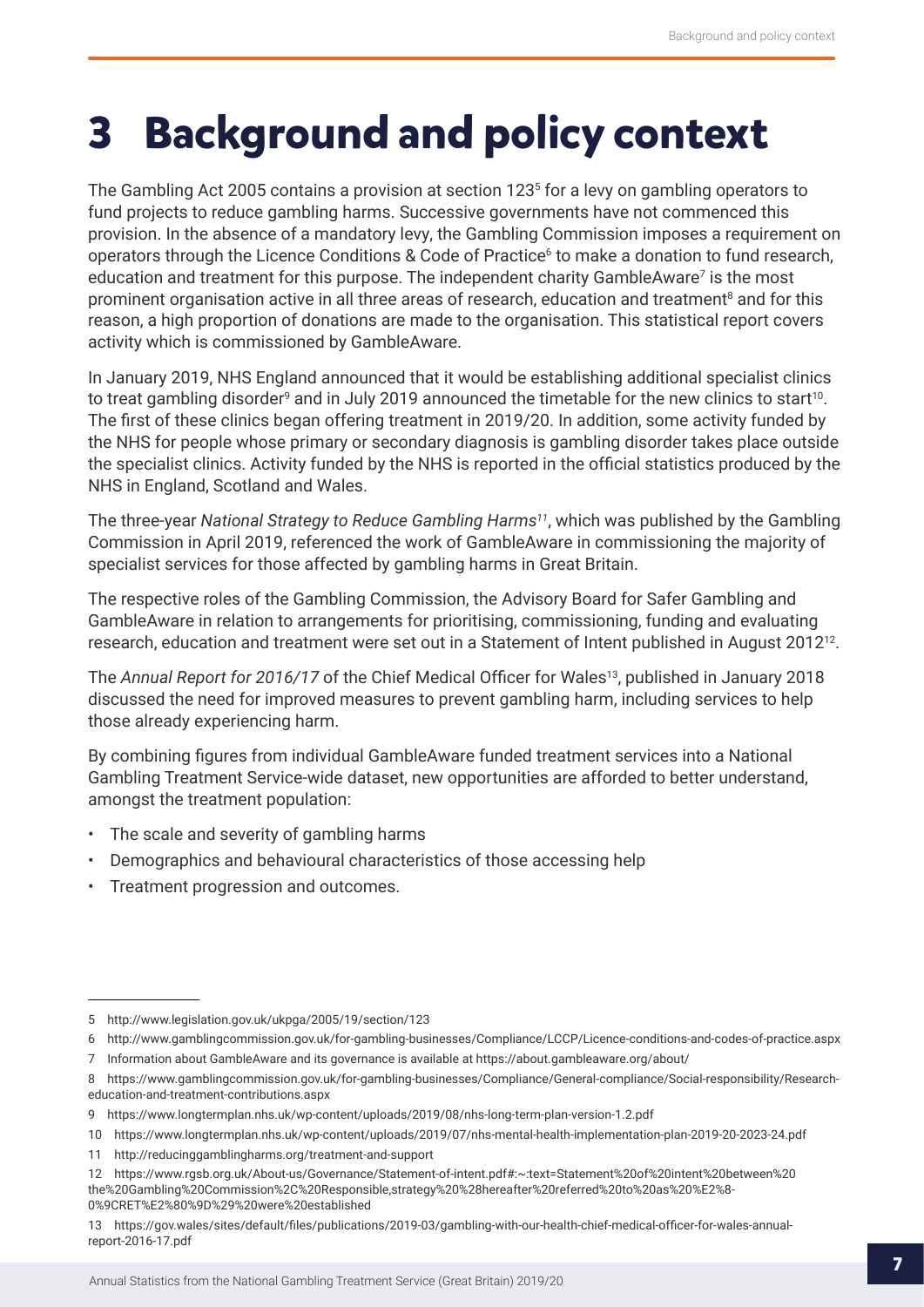## <span id="page-6-0"></span>**3 Background and policy context**

The Gambling Act 2005 contains a provision at section 1235 for a levy on gambling operators to fund projects to reduce gambling harms. Successive governments have not commenced this provision. In the absence of a mandatory levy, the Gambling Commission imposes a requirement on operators through the Licence Conditions & Code of Practice<sup>6</sup> to make a donation to fund research, education and treatment for this purpose. The independent charity GambleAware<sup>7</sup> is the most prominent organisation active in all three areas of research, education and treatment<sup>8</sup> and for this reason, a high proportion of donations are made to the organisation. This statistical report covers activity which is commissioned by GambleAware.

In January 2019, NHS England announced that it would be establishing additional specialist clinics to treat gambling disorder $^{\rm o}$  and in July 2019 announced the timetable for the new clinics to start $^{10}$ . The first of these clinics began offering treatment in 2019/20. In addition, some activity funded by the NHS for people whose primary or secondary diagnosis is gambling disorder takes place outside the specialist clinics. Activity funded by the NHS is reported in the official statistics produced by the NHS in England, Scotland and Wales.

The three-year *National Strategy to Reduce Gambling Harms11*, which was published by the Gambling Commission in April 2019, referenced the work of GambleAware in commissioning the majority of specialist services for those affected by gambling harms in Great Britain.

The respective roles of the Gambling Commission, the Advisory Board for Safer Gambling and GambleAware in relation to arrangements for prioritising, commissioning, funding and evaluating research, education and treatment were set out in a Statement of Intent published in August 2012<sup>12</sup>.

The *Annual Report for 2016/17* of the Chief Medical Officer for Wales<sup>13</sup>, published in January 2018 discussed the need for improved measures to prevent gambling harm, including services to help those already experiencing harm.

By combining figures from individual GambleAware funded treatment services into a National Gambling Treatment Service-wide dataset, new opportunities are afforded to better understand, amongst the treatment population:

- The scale and severity of gambling harms
- Demographics and behavioural characteristics of those accessing help
- Treatment progression and outcomes.

<sup>5</sup> http://www.legislation.gov.uk/ukpga/2005/19/section/123

<sup>6</sup> http://www.gamblingcommission.gov.uk/for-gambling-businesses/Compliance/LCCP/Licence-conditions-and-codes-of-practice.aspx

<sup>7</sup> Information about GambleAware and its governance is available at https://about.gambleaware.org/about/

<sup>8</sup> https://www.gamblingcommission.gov.uk/for-gambling-businesses/Compliance/General-compliance/Social-responsibility/Researcheducation-and-treatment-contributions.aspx

<sup>9</sup> https://www.longtermplan.nhs.uk/wp-content/uploads/2019/08/nhs-long-term-plan-version-1.2.pdf

<sup>10</sup> https://www.longtermplan.nhs.uk/wp-content/uploads/2019/07/nhs-mental-health-implementation-plan-2019-20-2023-24.pdf

<sup>11</sup> http://reducinggamblingharms.org/treatment-and-support

<sup>12</sup> https://www.rgsb.org.uk/About-us/Governance/Statement-of-intent.pdf#:~:text=Statement%20of%20intent%20between%20 the%20Gambling%20Commission%2C%20Responsible,strategy%20%28hereafter%20referred%20to%20as%20%E2%8- 0%9CRET%E2%80%9D%29%20were%20established

<sup>13</sup> https://gov.wales/sites/default/files/publications/2019-03/gambling-with-our-health-chief-medical-officer-for-wales-annualreport-2016-17.pdf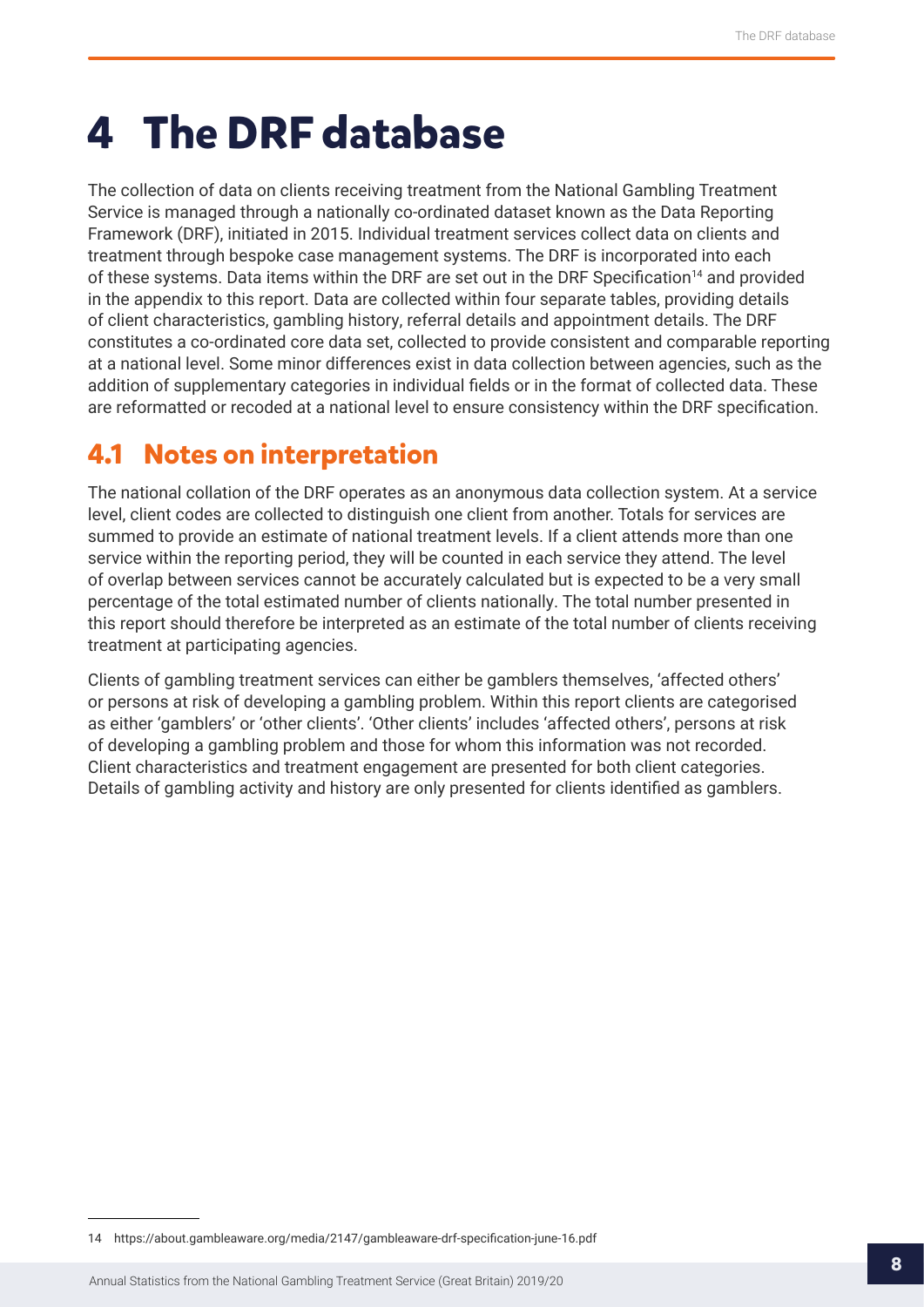## <span id="page-7-0"></span>**4 The DRF database**

The collection of data on clients receiving treatment from the National Gambling Treatment Service is managed through a nationally co-ordinated dataset known as the Data Reporting Framework (DRF), initiated in 2015. Individual treatment services collect data on clients and treatment through bespoke case management systems. The DRF is incorporated into each of these systems. Data items within the DRF are set out in the DRF Specification<sup>14</sup> and provided in the appendix to this report. Data are collected within four separate tables, providing details of client characteristics, gambling history, referral details and appointment details. The DRF constitutes a co-ordinated core data set, collected to provide consistent and comparable reporting at a national level. Some minor differences exist in data collection between agencies, such as the addition of supplementary categories in individual fields or in the format of collected data. These are reformatted or recoded at a national level to ensure consistency within the DRF specification.

## **4.1 Notes on interpretation**

The national collation of the DRF operates as an anonymous data collection system. At a service level, client codes are collected to distinguish one client from another. Totals for services are summed to provide an estimate of national treatment levels. If a client attends more than one service within the reporting period, they will be counted in each service they attend. The level of overlap between services cannot be accurately calculated but is expected to be a very small percentage of the total estimated number of clients nationally. The total number presented in this report should therefore be interpreted as an estimate of the total number of clients receiving treatment at participating agencies.

Clients of gambling treatment services can either be gamblers themselves, 'affected others' or persons at risk of developing a gambling problem. Within this report clients are categorised as either 'gamblers' or 'other clients'. 'Other clients' includes 'affected others', persons at risk of developing a gambling problem and those for whom this information was not recorded. Client characteristics and treatment engagement are presented for both client categories. Details of gambling activity and history are only presented for clients identified as gamblers.

<sup>14</sup> https://about.gambleaware.org/media/2147/gambleaware-drf-specification-june-16.pdf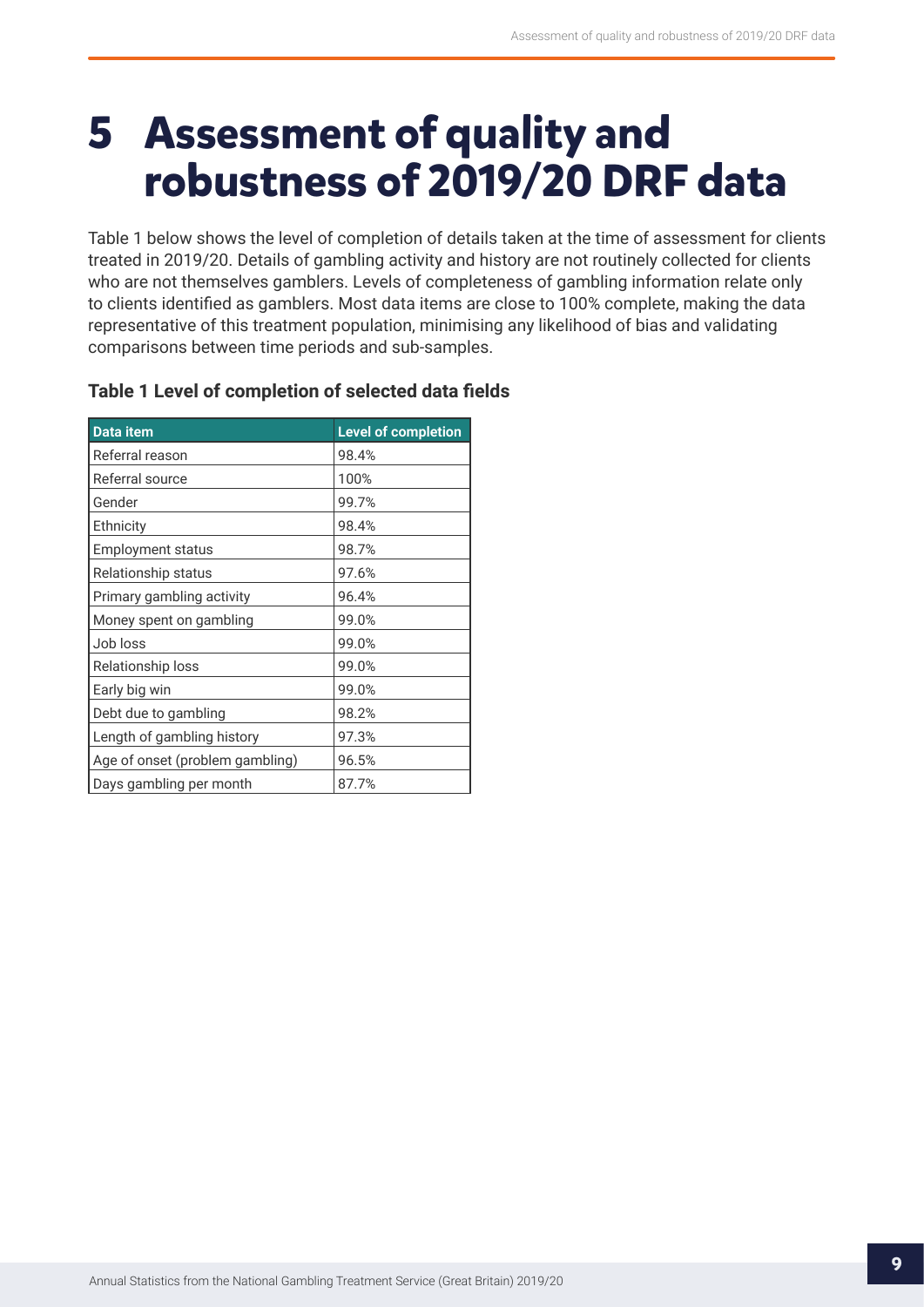## <span id="page-8-0"></span>**5 Assessment of quality and robustness of 2019/20 DRF data**

Table 1 below shows the level of completion of details taken at the time of assessment for clients treated in 2019/20. Details of gambling activity and history are not routinely collected for clients who are not themselves gamblers. Levels of completeness of gambling information relate only to clients identified as gamblers. Most data items are close to 100% complete, making the data representative of this treatment population, minimising any likelihood of bias and validating comparisons between time periods and sub-samples.

| Data item                       | <b>Level of completion</b> |
|---------------------------------|----------------------------|
| Referral reason                 | 98.4%                      |
| Referral source                 | 100%                       |
| Gender                          | 99.7%                      |
| Ethnicity                       | 98.4%                      |
| <b>Employment status</b>        | 98.7%                      |
| Relationship status             | 97.6%                      |
| Primary gambling activity       | 96.4%                      |
| Money spent on gambling         | 99.0%                      |
| Job loss                        | 99.0%                      |
| Relationship loss               | 99.0%                      |
| Early big win                   | 99.0%                      |
| Debt due to gambling            | 98.2%                      |
| Length of gambling history      | 97.3%                      |
| Age of onset (problem gambling) | 96.5%                      |
| Days gambling per month         | 87.7%                      |

### **Table 1 Level of completion of selected data fields**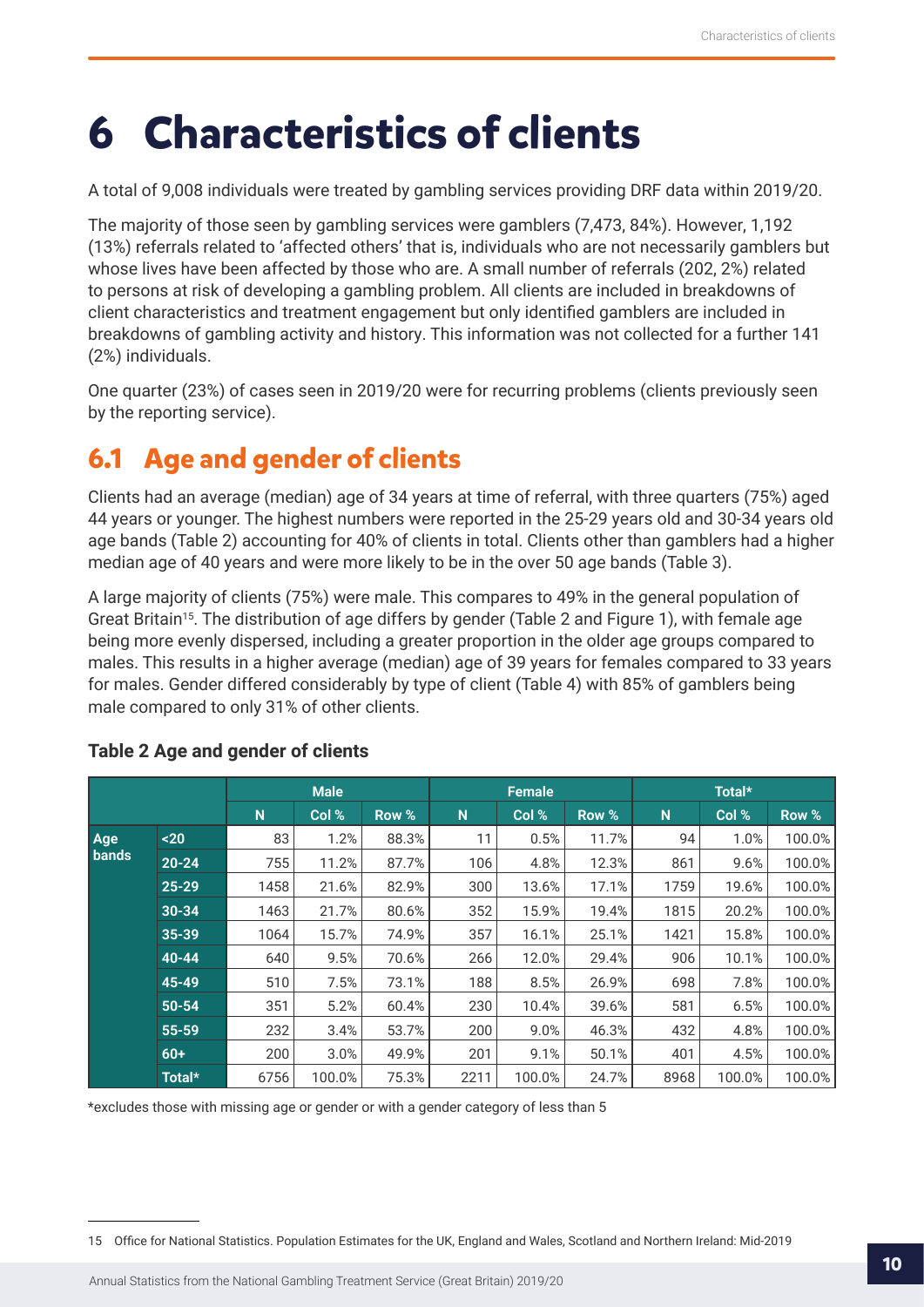## <span id="page-9-0"></span>**6 Characteristics of clients**

A total of 9,008 individuals were treated by gambling services providing DRF data within 2019/20.

The majority of those seen by gambling services were gamblers (7,473, 84%). However, 1,192 (13%) referrals related to 'affected others' that is, individuals who are not necessarily gamblers but whose lives have been affected by those who are. A small number of referrals (202, 2%) related to persons at risk of developing a gambling problem. All clients are included in breakdowns of client characteristics and treatment engagement but only identified gamblers are included in breakdowns of gambling activity and history. This information was not collected for a further 141 (2%) individuals.

One quarter (23%) of cases seen in 2019/20 were for recurring problems (clients previously seen by the reporting service).

## **6.1 Age and gender of clients**

Clients had an average (median) age of 34 years at time of referral, with three quarters (75%) aged 44 years or younger. The highest numbers were reported in the 25-29 years old and 30-34 years old age bands (Table 2) accounting for 40% of clients in total. Clients other than gamblers had a higher median age of 40 years and were more likely to be in the over 50 age bands (Table 3).

A large majority of clients (75%) were male. This compares to 49% in the general population of Great Britain<sup>15</sup>. The distribution of age differs by gender (Table 2 and Figure 1), with female age being more evenly dispersed, including a greater proportion in the older age groups compared to males. This results in a higher average (median) age of 39 years for females compared to 33 years for males. Gender differed considerably by type of client (Table 4) with 85% of gamblers being male compared to only 31% of other clients.

|       |           |      | <b>Male</b> |       |      | <b>Female</b> |       |      | Total* |        |
|-------|-----------|------|-------------|-------|------|---------------|-------|------|--------|--------|
|       |           | N    | Col %       | Row % | N    | Col %         | Row % | N    | Col %  | Row %  |
| Age   | $20$      | 83   | 1.2%        | 88.3% | 11   | 0.5%          | 11.7% | 94   | 1.0%   | 100.0% |
| bands | $20 - 24$ | 755  | 11.2%       | 87.7% | 106  | 4.8%          | 12.3% | 861  | 9.6%   | 100.0% |
|       | $25 - 29$ | 1458 | 21.6%       | 82.9% | 300  | 13.6%         | 17.1% | 1759 | 19.6%  | 100.0% |
|       | $30 - 34$ | 1463 | 21.7%       | 80.6% | 352  | 15.9%         | 19.4% | 1815 | 20.2%  | 100.0% |
|       | 35-39     | 1064 | 15.7%       | 74.9% | 357  | 16.1%         | 25.1% | 1421 | 15.8%  | 100.0% |
|       | $40 - 44$ | 640  | 9.5%        | 70.6% | 266  | 12.0%         | 29.4% | 906  | 10.1%  | 100.0% |
|       | 45-49     | 510  | 7.5%        | 73.1% | 188  | 8.5%          | 26.9% | 698  | 7.8%   | 100.0% |
|       | 50-54     | 351  | 5.2%        | 60.4% | 230  | 10.4%         | 39.6% | 581  | 6.5%   | 100.0% |
|       | 55-59     | 232  | 3.4%        | 53.7% | 200  | 9.0%          | 46.3% | 432  | 4.8%   | 100.0% |
|       | $60+$     | 200  | 3.0%        | 49.9% | 201  | 9.1%          | 50.1% | 401  | 4.5%   | 100.0% |
|       | Total*    | 6756 | 100.0%      | 75.3% | 2211 | 100.0%        | 24.7% | 8968 | 100.0% | 100.0% |

### **Table 2 Age and gender of clients**

\*excludes those with missing age or gender or with a gender category of less than 5

<sup>15</sup> Office for National Statistics. Population Estimates for the UK, England and Wales, Scotland and Northern Ireland: Mid-2019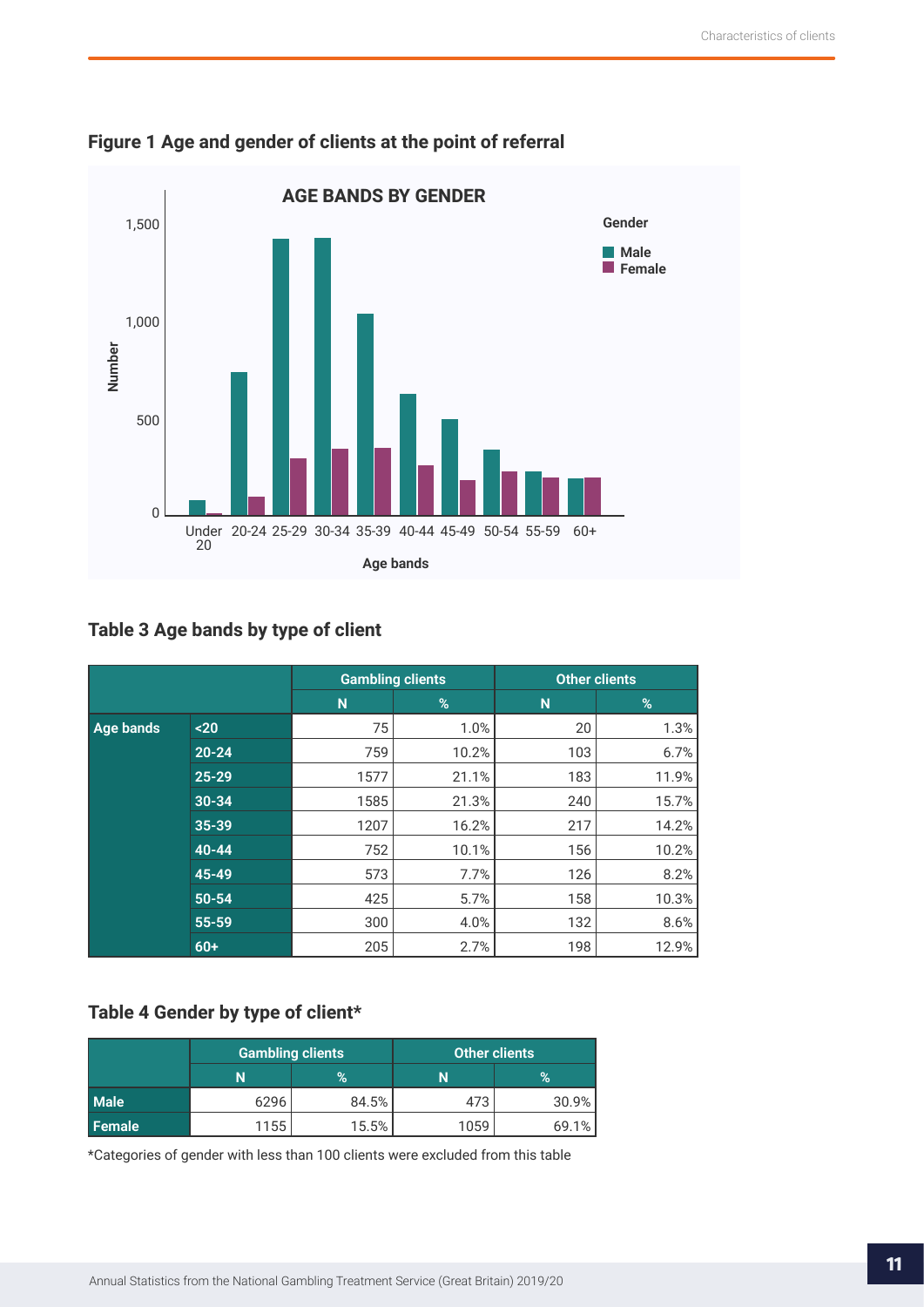

## **Figure 1 Age and gender of clients at the point of referral**

## **Table 3 Age bands by type of client**

|           |           | <b>Gambling clients</b> |       | <b>Other clients</b> |       |  |
|-----------|-----------|-------------------------|-------|----------------------|-------|--|
|           |           | N                       | %     | N                    | %     |  |
| Age bands | $20$      | 75                      | 1.0%  | 20                   | 1.3%  |  |
|           | $20 - 24$ | 759                     | 10.2% | 103                  | 6.7%  |  |
|           | $25 - 29$ | 1577                    | 21.1% | 183                  | 11.9% |  |
|           | $30 - 34$ | 1585                    | 21.3% | 240                  | 15.7% |  |
|           | 35-39     | 1207                    | 16.2% | 217                  | 14.2% |  |
|           | $40 - 44$ | 752                     | 10.1% | 156                  | 10.2% |  |
|           | 45-49     | 573                     | 7.7%  | 126                  | 8.2%  |  |
|           | $50 - 54$ | 425                     | 5.7%  | 158                  | 10.3% |  |
|           | 55-59     | 300                     | 4.0%  | 132                  | 8.6%  |  |
|           | $60+$     | 205                     | 2.7%  | 198                  | 12.9% |  |

## **Table 4 Gender by type of client\***

|             |      | <b>Gambling clients</b> | <b>Other clients</b> |       |  |
|-------------|------|-------------------------|----------------------|-------|--|
|             | N    | $\%$                    |                      | $\%$  |  |
| <b>Male</b> | 6296 | 84.5%                   | 473                  | 30.9% |  |
| Female      | 1155 | 15.5%                   | 1059                 | 69.1% |  |

\*Categories of gender with less than 100 clients were excluded from this table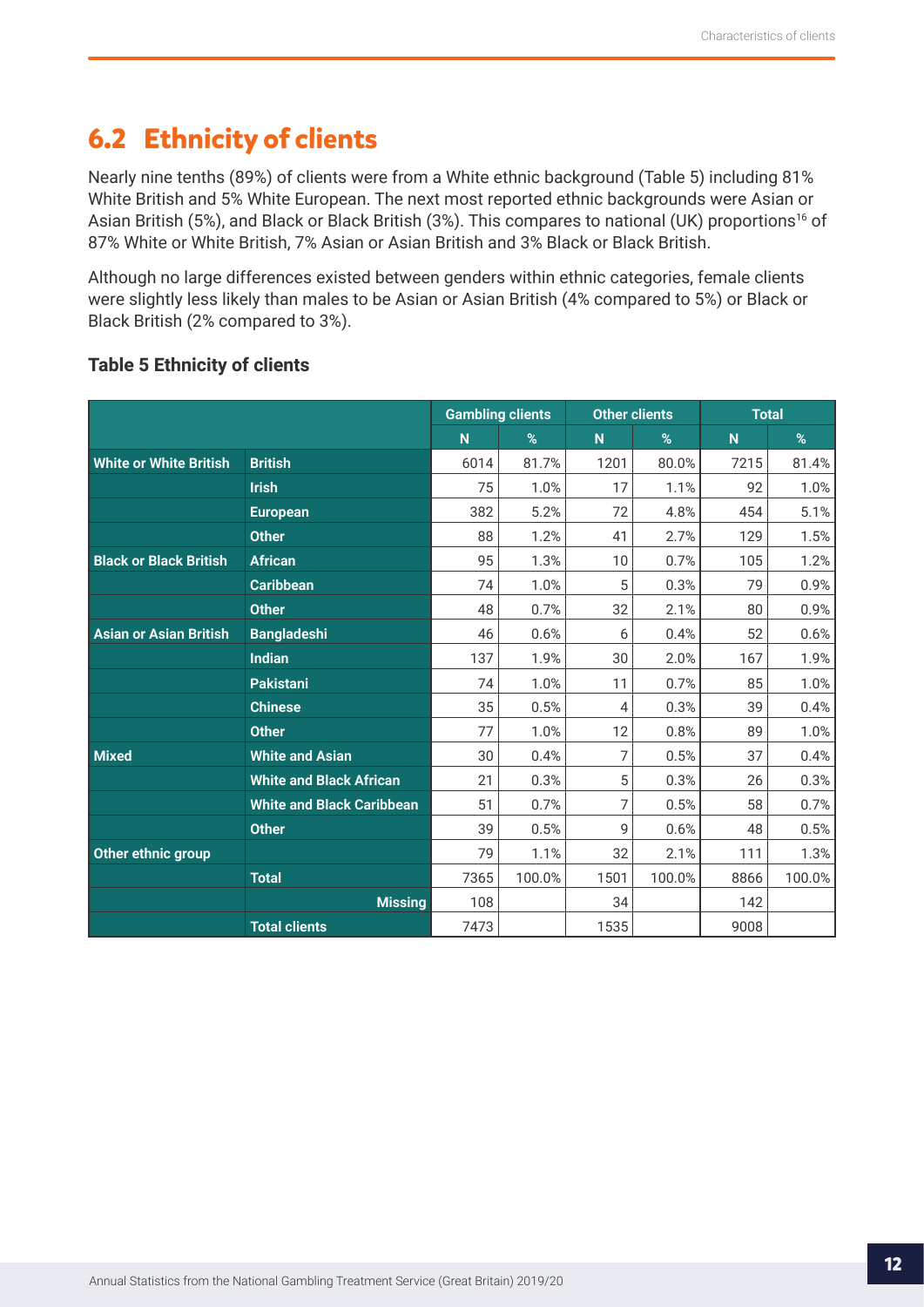## <span id="page-11-0"></span>**6.2 Ethnicity of clients**

Nearly nine tenths (89%) of clients were from a White ethnic background (Table 5) including 81% White British and 5% White European. The next most reported ethnic backgrounds were Asian or Asian British (5%), and Black or Black British (3%). This compares to national (UK) proportions<sup>16</sup> of 87% White or White British, 7% Asian or Asian British and 3% Black or Black British.

Although no large differences existed between genders within ethnic categories, female clients were slightly less likely than males to be Asian or Asian British (4% compared to 5%) or Black or Black British (2% compared to 3%).

|                               |                                  | <b>Gambling clients</b> |        | <b>Other clients</b> |        | <b>Total</b>   |        |
|-------------------------------|----------------------------------|-------------------------|--------|----------------------|--------|----------------|--------|
|                               |                                  | N                       | %      | N                    | %      | N <sub>1</sub> | %      |
| <b>White or White British</b> | <b>British</b>                   | 6014                    | 81.7%  | 1201                 | 80.0%  | 7215           | 81.4%  |
|                               | <b>Irish</b>                     | 75                      | 1.0%   | 17                   | 1.1%   | 92             | 1.0%   |
|                               | <b>European</b>                  | 382                     | 5.2%   | 72                   | 4.8%   | 454            | 5.1%   |
|                               | <b>Other</b>                     | 88                      | 1.2%   | 41                   | 2.7%   | 129            | 1.5%   |
| <b>Black or Black British</b> | <b>African</b>                   | 95                      | 1.3%   | 10                   | 0.7%   | 105            | 1.2%   |
|                               | <b>Caribbean</b>                 | 74                      | 1.0%   | 5                    | 0.3%   | 79             | 0.9%   |
|                               | <b>Other</b>                     | 48                      | 0.7%   | 32                   | 2.1%   | 80             | 0.9%   |
| <b>Asian or Asian British</b> | <b>Bangladeshi</b>               | 46                      | 0.6%   | 6                    | 0.4%   | 52             | 0.6%   |
|                               | <b>Indian</b>                    | 137                     | 1.9%   | 30                   | 2.0%   | 167            | 1.9%   |
|                               | <b>Pakistani</b>                 | 74                      | 1.0%   | 11                   | 0.7%   | 85             | 1.0%   |
|                               | <b>Chinese</b>                   | 35                      | 0.5%   | 4                    | 0.3%   | 39             | 0.4%   |
|                               | <b>Other</b>                     | 77                      | 1.0%   | 12                   | 0.8%   | 89             | 1.0%   |
| <b>Mixed</b>                  | <b>White and Asian</b>           | 30                      | 0.4%   | 7                    | 0.5%   | 37             | 0.4%   |
|                               | <b>White and Black African</b>   | 21                      | 0.3%   | 5                    | 0.3%   | 26             | 0.3%   |
|                               | <b>White and Black Caribbean</b> | 51                      | 0.7%   | 7                    | 0.5%   | 58             | 0.7%   |
|                               | <b>Other</b>                     | 39                      | 0.5%   | 9                    | 0.6%   | 48             | 0.5%   |
| Other ethnic group            |                                  | 79                      | 1.1%   | 32                   | 2.1%   | 111            | 1.3%   |
|                               | <b>Total</b>                     | 7365                    | 100.0% | 1501                 | 100.0% | 8866           | 100.0% |
|                               | <b>Missing</b>                   | 108                     |        | 34                   |        | 142            |        |
|                               | <b>Total clients</b>             | 7473                    |        | 1535                 |        | 9008           |        |

### **Table 5 Ethnicity of clients**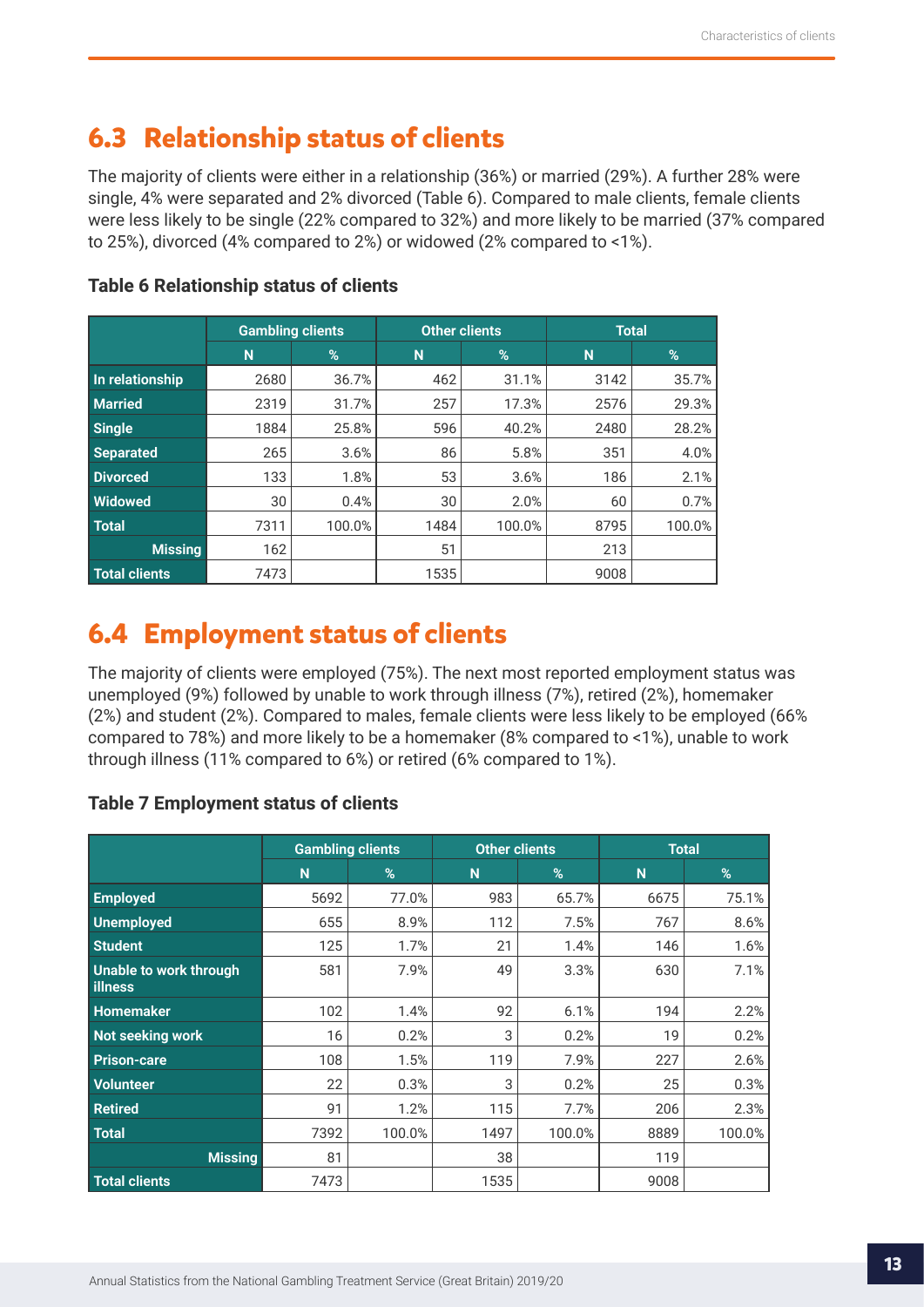## <span id="page-12-0"></span>**6.3 Relationship status of clients**

The majority of clients were either in a relationship (36%) or married (29%). A further 28% were single, 4% were separated and 2% divorced (Table 6). Compared to male clients, female clients were less likely to be single (22% compared to 32%) and more likely to be married (37% compared to 25%), divorced (4% compared to 2%) or widowed (2% compared to <1%).

|                  | <b>Gambling clients</b> |        |      | <b>Other clients</b> | <b>Total</b> |        |  |
|------------------|-------------------------|--------|------|----------------------|--------------|--------|--|
|                  | N                       | %      | N    | $\frac{9}{6}$        | N            | %      |  |
| In relationship  | 2680                    | 36.7%  | 462  | 31.1%                | 3142         | 35.7%  |  |
| <b>Married</b>   | 2319                    | 31.7%  | 257  | 17.3%                | 2576         | 29.3%  |  |
| <b>Single</b>    | 1884                    | 25.8%  | 596  | 40.2%                | 2480         | 28.2%  |  |
| <b>Separated</b> | 265                     | 3.6%   | 86   | 5.8%                 | 351          | 4.0%   |  |
| <b>Divorced</b>  | 133                     | 1.8%   | 53   | 3.6%                 | 186          | 2.1%   |  |
| <b>Widowed</b>   | 30                      | 0.4%   | 30   | 2.0%                 | 60           | 0.7%   |  |
| <b>Total</b>     | 7311                    | 100.0% | 1484 | 100.0%               | 8795         | 100.0% |  |
| <b>Missing</b>   | 162                     |        | 51   |                      | 213          |        |  |
| Total clients    | 7473                    |        | 1535 |                      | 9008         |        |  |

## **Table 6 Relationship status of clients**

## **6.4 Employment status of clients**

The majority of clients were employed (75%). The next most reported employment status was unemployed (9%) followed by unable to work through illness (7%), retired (2%), homemaker (2%) and student (2%). Compared to males, female clients were less likely to be employed (66% compared to 78%) and more likely to be a homemaker (8% compared to <1%), unable to work through illness (11% compared to 6%) or retired (6% compared to 1%).

### **Table 7 Employment status of clients**

|                                   | <b>Gambling clients</b> |        | <b>Other clients</b> |        | <b>Total</b> |        |  |
|-----------------------------------|-------------------------|--------|----------------------|--------|--------------|--------|--|
|                                   | N                       | %      | N                    | %      | N            | %      |  |
| <b>Employed</b>                   | 5692                    | 77.0%  | 983                  | 65.7%  | 6675         | 75.1%  |  |
| <b>Unemployed</b>                 | 655                     | 8.9%   | 112                  | 7.5%   | 767          | 8.6%   |  |
| <b>Student</b>                    | 125                     | 1.7%   | 21                   | 1.4%   | 146          | 1.6%   |  |
| Unable to work through<br>illness | 581                     | 7.9%   | 49                   | 3.3%   | 630          | 7.1%   |  |
| <b>Homemaker</b>                  | 102                     | 1.4%   | 92                   | 6.1%   | 194          | 2.2%   |  |
| Not seeking work                  | 16                      | 0.2%   | 3                    | 0.2%   | 19           | 0.2%   |  |
| <b>Prison-care</b>                | 108                     | 1.5%   | 119                  | 7.9%   | 227          | 2.6%   |  |
| <b>Volunteer</b>                  | 22                      | 0.3%   | 3                    | 0.2%   | 25           | 0.3%   |  |
| <b>Retired</b>                    | 91                      | 1.2%   | 115                  | 7.7%   | 206          | 2.3%   |  |
| <b>Total</b>                      | 7392                    | 100.0% | 1497                 | 100.0% | 8889         | 100.0% |  |
| <b>Missing</b>                    | 81                      |        | 38                   |        | 119          |        |  |
| <b>Total clients</b>              | 7473                    |        | 1535                 |        | 9008         |        |  |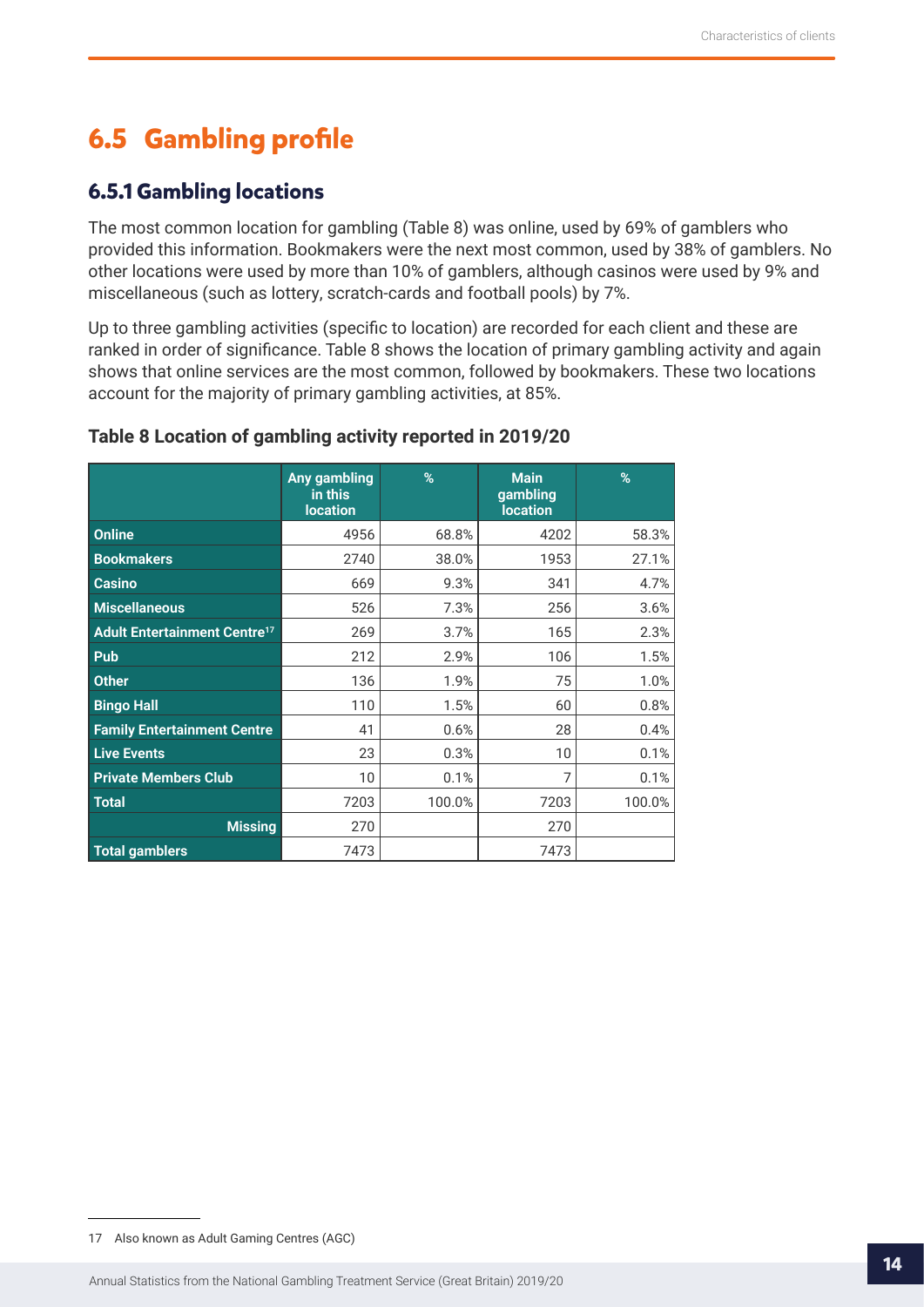## <span id="page-13-0"></span>**6.5 Gambling profile**

## **6.5.1 Gambling locations**

The most common location for gambling (Table 8) was online, used by 69% of gamblers who provided this information. Bookmakers were the next most common, used by 38% of gamblers. No other locations were used by more than 10% of gamblers, although casinos were used by 9% and miscellaneous (such as lottery, scratch-cards and football pools) by 7%.

Up to three gambling activities (specific to location) are recorded for each client and these are ranked in order of significance. Table 8 shows the location of primary gambling activity and again shows that online services are the most common, followed by bookmakers. These two locations account for the majority of primary gambling activities, at 85%.

|                                                | Any gambling<br>in this<br><b>location</b> | %      | <b>Main</b><br>gambling<br><b>location</b> | %      |
|------------------------------------------------|--------------------------------------------|--------|--------------------------------------------|--------|
| <b>Online</b>                                  | 4956                                       | 68.8%  | 4202                                       | 58.3%  |
| <b>Bookmakers</b>                              | 2740                                       | 38.0%  | 1953                                       | 27.1%  |
| <b>Casino</b>                                  | 669                                        | 9.3%   | 341                                        | 4.7%   |
| <b>Miscellaneous</b>                           | 526                                        | 7.3%   | 256                                        | 3.6%   |
| <b>Adult Entertainment Centre<sup>17</sup></b> | 269                                        | 3.7%   | 165                                        | 2.3%   |
| Pub                                            | 212                                        | 2.9%   | 106                                        | 1.5%   |
| <b>Other</b>                                   | 136                                        | 1.9%   | 75                                         | 1.0%   |
| <b>Bingo Hall</b>                              | 110                                        | 1.5%   | 60                                         | 0.8%   |
| <b>Family Entertainment Centre</b>             | 41                                         | 0.6%   | 28                                         | 0.4%   |
| <b>Live Events</b>                             | 23                                         | 0.3%   | 10                                         | 0.1%   |
| <b>Private Members Club</b>                    | 10                                         | 0.1%   | 7                                          | 0.1%   |
| <b>Total</b>                                   | 7203                                       | 100.0% | 7203                                       | 100.0% |
| <b>Missing</b>                                 | 270                                        |        | 270                                        |        |
| <b>Total gamblers</b>                          | 7473                                       |        | 7473                                       |        |

#### **Table 8 Location of gambling activity reported in 2019/20**

<sup>17</sup> Also known as Adult Gaming Centres (AGC)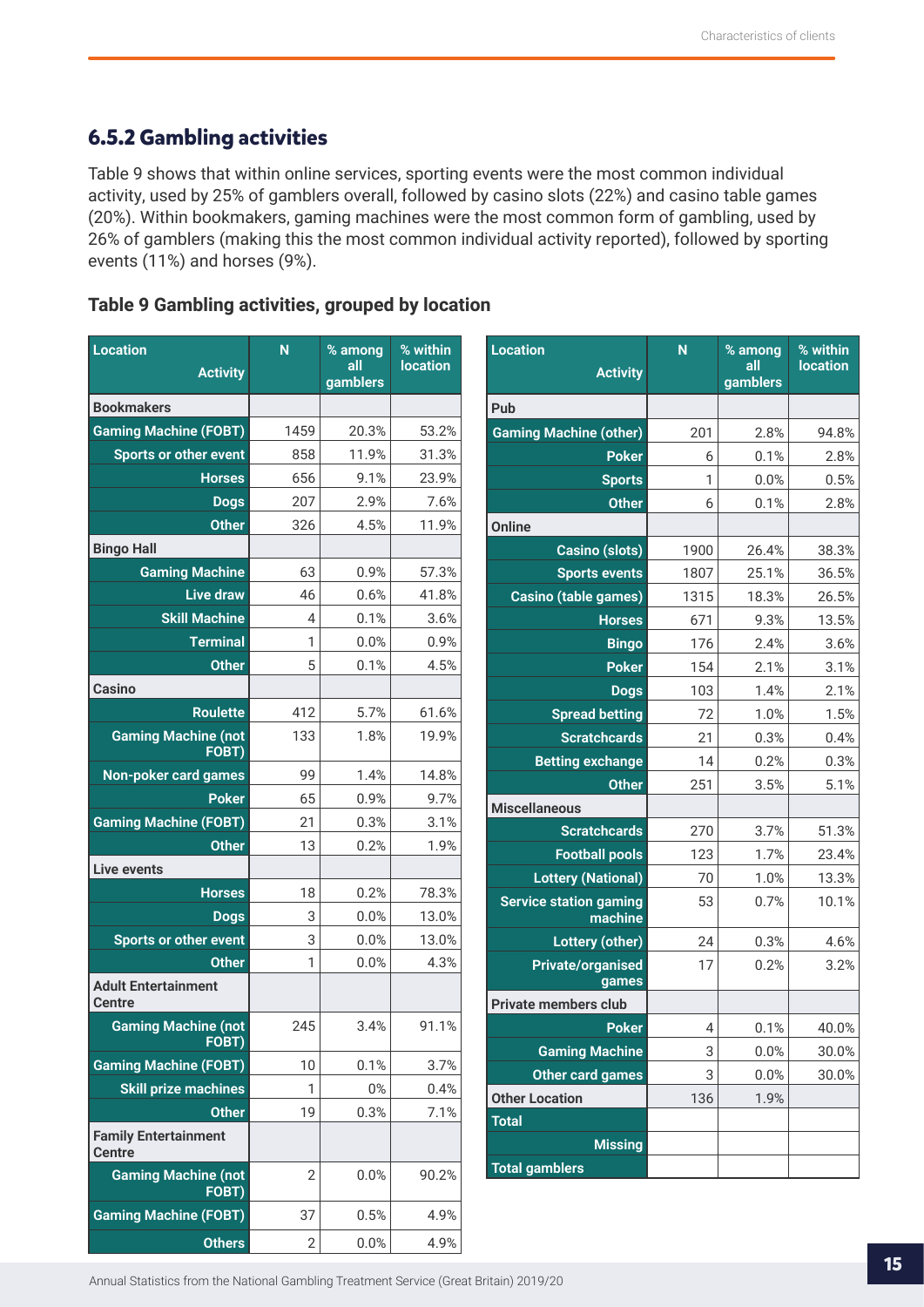## <span id="page-14-0"></span>**6.5.2 Gambling activities**

Table 9 shows that within online services, sporting events were the most common individual activity, used by 25% of gamblers overall, followed by casino slots (22%) and casino table games (20%). Within bookmakers, gaming machines were the most common form of gambling, used by 26% of gamblers (making this the most common individual activity reported), followed by sporting events (11%) and horses (9%).

## **Table 9 Gambling activities, grouped by location**

| <b>Location</b><br><b>Activity</b>           | $\mathsf{N}$   | % among<br>all<br>gamblers | % within<br><b>location</b> | <b>Location</b><br><b>Activity</b> | N    | % among<br>all<br>gamblers | % within<br><b>location</b> |
|----------------------------------------------|----------------|----------------------------|-----------------------------|------------------------------------|------|----------------------------|-----------------------------|
| <b>Bookmakers</b>                            |                |                            |                             | Pub                                |      |                            |                             |
| <b>Gaming Machine (FOBT)</b>                 | 1459           | 20.3%                      | 53.2%                       | <b>Gaming Machine (other)</b>      | 201  | 2.8%                       | 94.8%                       |
| <b>Sports or other event</b>                 | 858            | 11.9%                      | 31.3%                       | <b>Poker</b>                       | 6    | 0.1%                       | 2.8%                        |
| <b>Horses</b>                                | 656            | 9.1%                       | 23.9%                       | <b>Sports</b>                      | 1    | 0.0%                       | 0.5%                        |
| <b>Dogs</b>                                  | 207            | 2.9%                       | 7.6%                        | <b>Other</b>                       | 6    | 0.1%                       | 2.8%                        |
| <b>Other</b>                                 | 326            | 4.5%                       | 11.9%                       | <b>Online</b>                      |      |                            |                             |
| <b>Bingo Hall</b>                            |                |                            |                             | <b>Casino (slots)</b>              | 1900 | 26.4%                      | 38.3%                       |
| <b>Gaming Machine</b>                        | 63             | 0.9%                       | 57.3%                       | <b>Sports events</b>               | 1807 | 25.1%                      | 36.5%                       |
| <b>Live draw</b>                             | 46             | 0.6%                       | 41.8%                       | Casino (table games)               | 1315 | 18.3%                      | 26.5%                       |
| <b>Skill Machine</b>                         | 4              | 0.1%                       | 3.6%                        | <b>Horses</b>                      | 671  | 9.3%                       | 13.5%                       |
| <b>Terminal</b>                              | 1              | 0.0%                       | 0.9%                        | <b>Bingo</b>                       | 176  | 2.4%                       | 3.6%                        |
| <b>Other</b>                                 | 5              | 0.1%                       | 4.5%                        | <b>Poker</b>                       | 154  | 2.1%                       | 3.1%                        |
| <b>Casino</b>                                |                |                            |                             | <b>Dogs</b>                        | 103  | 1.4%                       | 2.1%                        |
| <b>Roulette</b>                              | 412            | 5.7%                       | 61.6%                       | <b>Spread betting</b>              | 72   | 1.0%                       | 1.5%                        |
| <b>Gaming Machine (not</b>                   | 133            | 1.8%                       | 19.9%                       | <b>Scratchcards</b>                | 21   | 0.3%                       | 0.4%                        |
| FOBT)                                        |                |                            |                             | <b>Betting exchange</b>            | 14   | 0.2%                       | 0.3%                        |
| <b>Non-poker card games</b>                  | 99             | 1.4%                       | 14.8%                       | <b>Other</b>                       | 251  | 3.5%                       | 5.1%                        |
| <b>Poker</b>                                 | 65             | 0.9%                       | 9.7%                        | <b>Miscellaneous</b>               |      |                            |                             |
| <b>Gaming Machine (FOBT)</b>                 | 21             | 0.3%                       | 3.1%                        | <b>Scratchcards</b>                | 270  | 3.7%                       | 51.3%                       |
| <b>Other</b>                                 | 13             | 0.2%                       | 1.9%                        | <b>Football pools</b>              | 123  | 1.7%                       | 23.4%                       |
| <b>Live events</b>                           |                |                            |                             | <b>Lottery (National)</b>          | 70   | 1.0%                       | 13.3%                       |
| <b>Horses</b>                                | 18             | 0.2%                       | 78.3%                       | <b>Service station gaming</b>      | 53   | 0.7%                       | 10.1%                       |
| <b>Dogs</b>                                  | 3              | 0.0%                       | 13.0%                       | machine                            |      |                            |                             |
| Sports or other event                        | 3              | 0.0%                       | 13.0%                       | <b>Lottery (other)</b>             | 24   | 0.3%                       | 4.6%                        |
| <b>Other</b><br><b>Adult Entertainment</b>   | 1              | 0.0%                       | 4.3%                        | <b>Private/organised</b><br>games  | 17   | 0.2%                       | 3.2%                        |
| <b>Centre</b>                                |                |                            |                             | <b>Private members club</b>        |      |                            |                             |
| <b>Gaming Machine (not</b><br>FOBT)          | 245            | 3.4%                       | 91.1%                       | <b>Poker</b>                       | 4    | 0.1%                       | 40.0%                       |
| <b>Gaming Machine (FOBT)</b>                 | 10             | 0.1%                       | 3.7%                        | <b>Gaming Machine</b>              | 3    | 0.0%                       | 30.0%                       |
| <b>Skill prize machines</b>                  | 1              | $0\%$                      | 0.4%                        | <b>Other card games</b>            | 3    | 0.0%                       | 30.0%                       |
| <b>Other</b>                                 | 19             | 0.3%                       | 7.1%                        | <b>Other Location</b>              | 136  | 1.9%                       |                             |
| <b>Family Entertainment</b><br><b>Centre</b> |                |                            |                             | <b>Total</b><br><b>Missing</b>     |      |                            |                             |
| <b>Gaming Machine (not</b><br>FOBT)          | $\overline{2}$ | 0.0%                       | 90.2%                       | <b>Total gamblers</b>              |      |                            |                             |
| <b>Gaming Machine (FOBT)</b>                 | 37             | 0.5%                       | 4.9%                        |                                    |      |                            |                             |
| <b>Others</b>                                | $\overline{2}$ | 0.0%                       | 4.9%                        |                                    |      |                            |                             |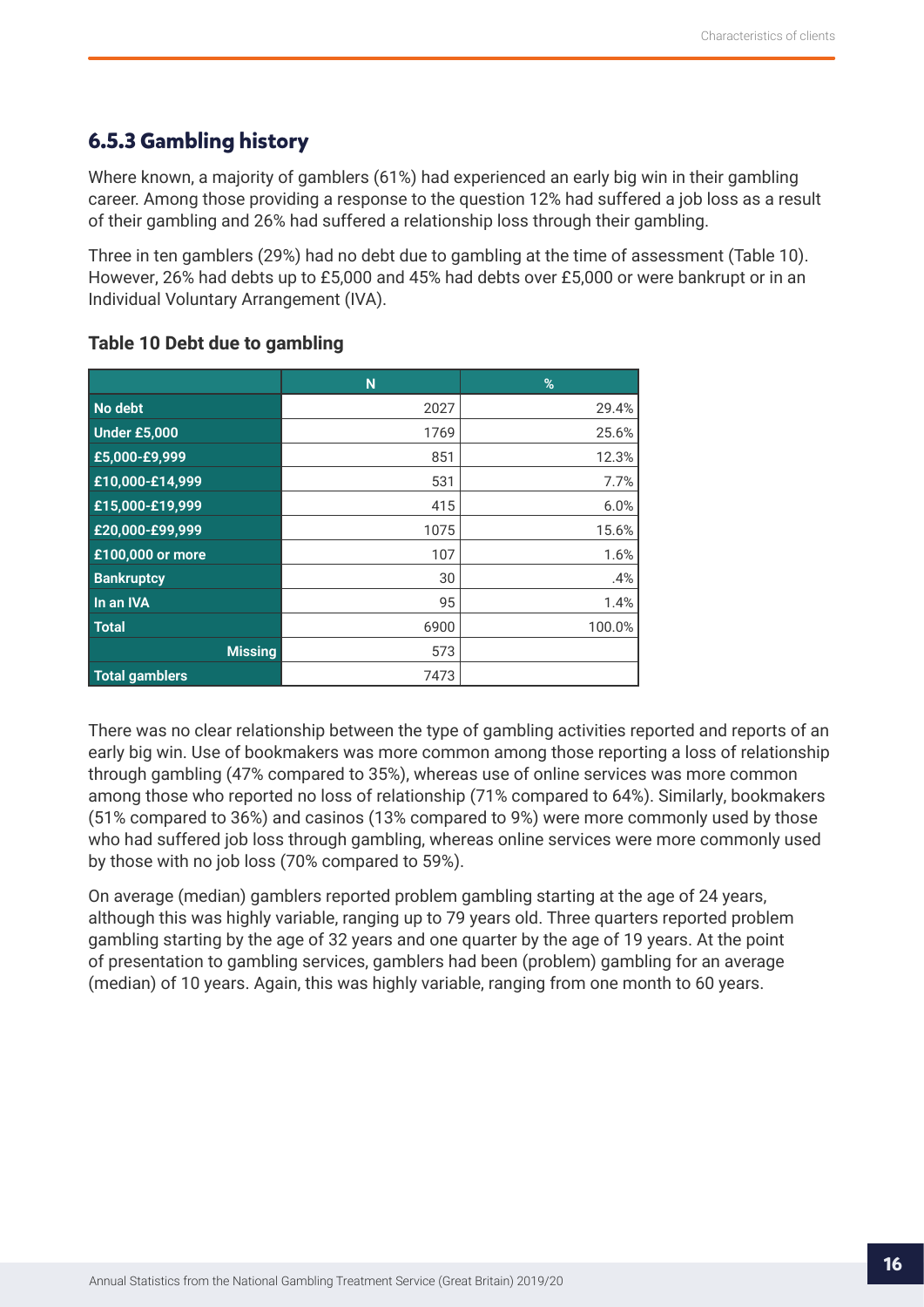## <span id="page-15-0"></span>**6.5.3 Gambling history**

Where known, a majority of gamblers (61%) had experienced an early big win in their gambling career. Among those providing a response to the question 12% had suffered a job loss as a result of their gambling and 26% had suffered a relationship loss through their gambling.

Three in ten gamblers (29%) had no debt due to gambling at the time of assessment (Table 10). However, 26% had debts up to £5,000 and 45% had debts over £5,000 or were bankrupt or in an Individual Voluntary Arrangement (IVA).

|                       | N    | %      |
|-----------------------|------|--------|
| No debt               | 2027 | 29.4%  |
| <b>Under £5,000</b>   | 1769 | 25.6%  |
| £5,000-£9,999         | 851  | 12.3%  |
| £10,000-£14,999       | 531  | 7.7%   |
| £15,000-£19,999       | 415  | 6.0%   |
| £20,000-£99,999       | 1075 | 15.6%  |
| £100,000 or more      | 107  | 1.6%   |
| <b>Bankruptcy</b>     | 30   | .4%    |
| In an IVA             | 95   | 1.4%   |
| <b>Total</b>          | 6900 | 100.0% |
| <b>Missing</b>        | 573  |        |
| <b>Total gamblers</b> | 7473 |        |

#### **Table 10 Debt due to gambling**

There was no clear relationship between the type of gambling activities reported and reports of an early big win. Use of bookmakers was more common among those reporting a loss of relationship through gambling (47% compared to 35%), whereas use of online services was more common among those who reported no loss of relationship (71% compared to 64%). Similarly, bookmakers (51% compared to 36%) and casinos (13% compared to 9%) were more commonly used by those who had suffered job loss through gambling, whereas online services were more commonly used by those with no job loss (70% compared to 59%).

On average (median) gamblers reported problem gambling starting at the age of 24 years, although this was highly variable, ranging up to 79 years old. Three quarters reported problem gambling starting by the age of 32 years and one quarter by the age of 19 years. At the point of presentation to gambling services, gamblers had been (problem) gambling for an average (median) of 10 years. Again, this was highly variable, ranging from one month to 60 years.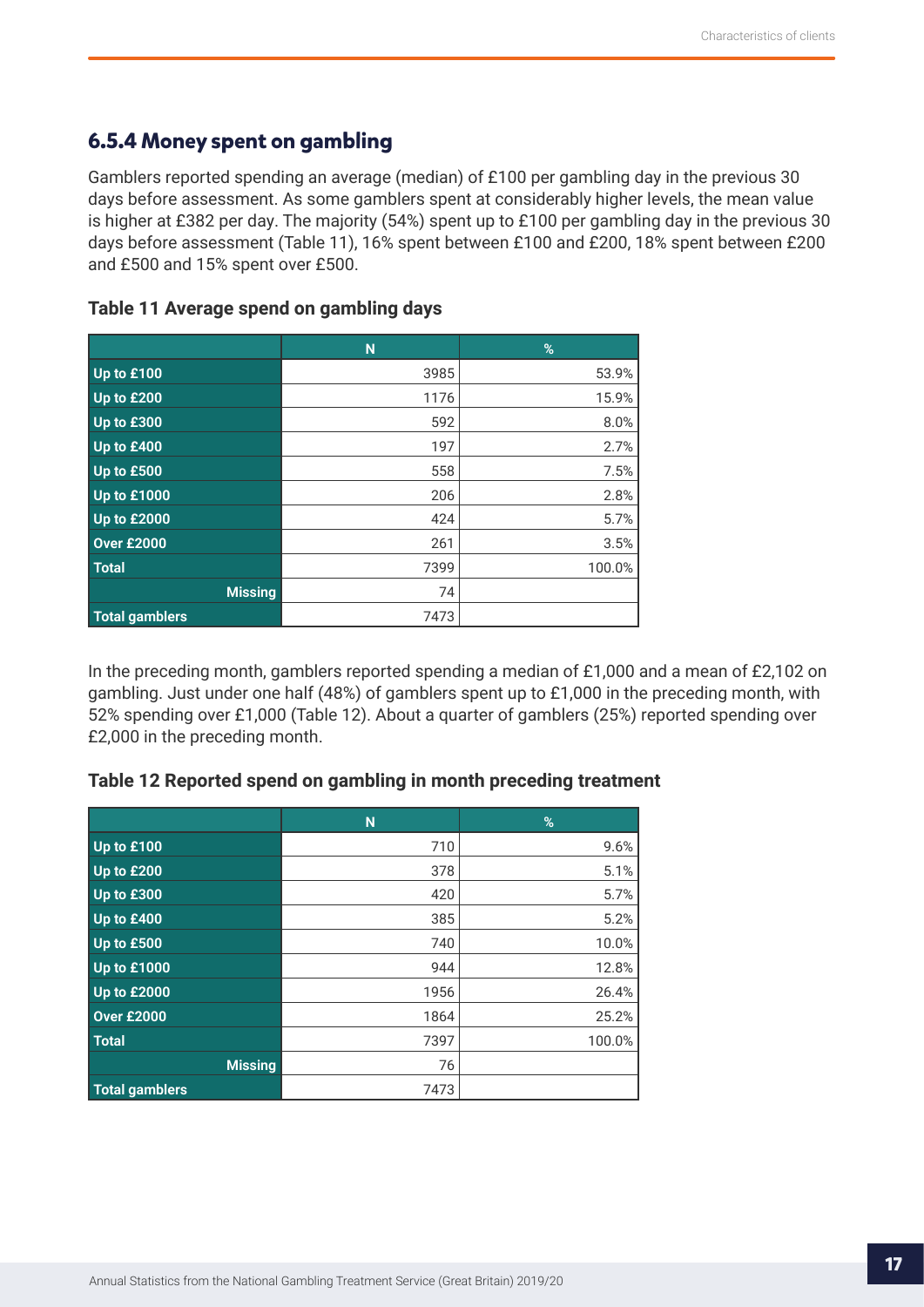## <span id="page-16-0"></span>**6.5.4 Money spent on gambling**

Gamblers reported spending an average (median) of £100 per gambling day in the previous 30 days before assessment. As some gamblers spent at considerably higher levels, the mean value is higher at £382 per day. The majority (54%) spent up to £100 per gambling day in the previous 30 days before assessment (Table 11), 16% spent between £100 and £200, 18% spent between £200 and £500 and 15% spent over £500.

|                       | N    | %      |
|-----------------------|------|--------|
| Up to £100            | 3985 | 53.9%  |
| Up to £200            | 1176 | 15.9%  |
| Up to £300            | 592  | 8.0%   |
| Up to £400            | 197  | 2.7%   |
| Up to £500            | 558  | 7.5%   |
| <b>Up to £1000</b>    | 206  | 2.8%   |
| <b>Up to £2000</b>    | 424  | 5.7%   |
| <b>Over £2000</b>     | 261  | 3.5%   |
| <b>Total</b>          | 7399 | 100.0% |
| <b>Missing</b>        | 74   |        |
| <b>Total gamblers</b> | 7473 |        |

#### **Table 11 Average spend on gambling days**

In the preceding month, gamblers reported spending a median of £1,000 and a mean of £2,102 on gambling. Just under one half (48%) of gamblers spent up to £1,000 in the preceding month, with 52% spending over £1,000 (Table 12). About a quarter of gamblers (25%) reported spending over £2,000 in the preceding month.

|                       | N    | %      |
|-----------------------|------|--------|
| Up to £100            | 710  | 9.6%   |
| Up to £200            | 378  | 5.1%   |
| Up to £300            | 420  | 5.7%   |
| Up to £400            | 385  | 5.2%   |
| Up to £500            | 740  | 10.0%  |
| <b>Up to £1000</b>    | 944  | 12.8%  |
| <b>Up to £2000</b>    | 1956 | 26.4%  |
| <b>Over £2000</b>     | 1864 | 25.2%  |
| <b>Total</b>          | 7397 | 100.0% |
| <b>Missing</b>        | 76   |        |
| <b>Total gamblers</b> | 7473 |        |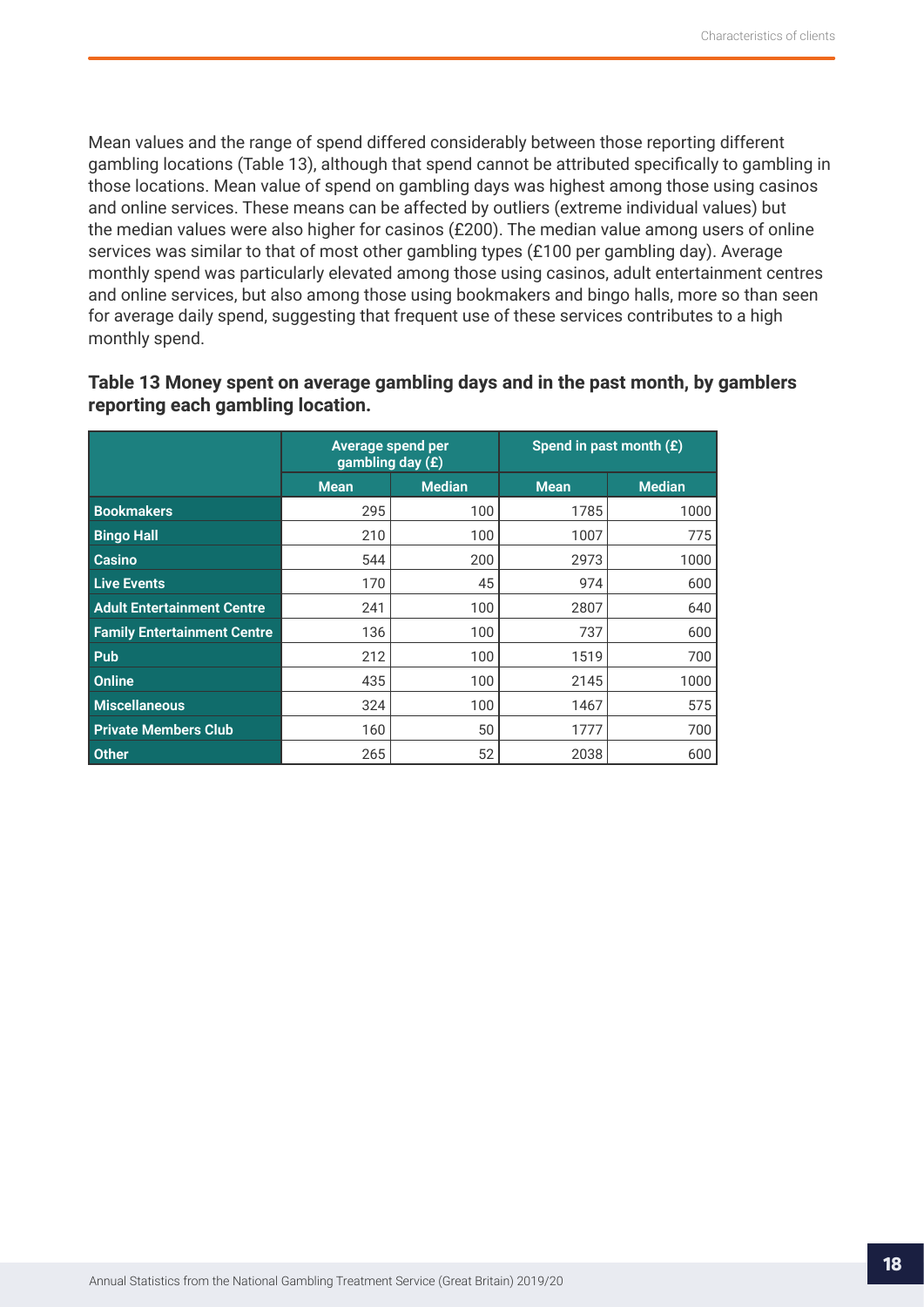Mean values and the range of spend differed considerably between those reporting different gambling locations (Table 13), although that spend cannot be attributed specifically to gambling in those locations. Mean value of spend on gambling days was highest among those using casinos and online services. These means can be affected by outliers (extreme individual values) but the median values were also higher for casinos (£200). The median value among users of online services was similar to that of most other gambling types (£100 per gambling day). Average monthly spend was particularly elevated among those using casinos, adult entertainment centres and online services, but also among those using bookmakers and bingo halls, more so than seen for average daily spend, suggesting that frequent use of these services contributes to a high monthly spend.

### **Table 13 Money spent on average gambling days and in the past month, by gamblers reporting each gambling location.**

|                                    | Average spend per<br>gambling day (£) |               | Spend in past month $(E)$ |               |  |  |
|------------------------------------|---------------------------------------|---------------|---------------------------|---------------|--|--|
|                                    | <b>Mean</b>                           | <b>Median</b> | <b>Mean</b>               | <b>Median</b> |  |  |
| <b>Bookmakers</b>                  | 295                                   | 100           | 1785                      | 1000          |  |  |
| <b>Bingo Hall</b>                  | 210                                   | 100           | 1007                      | 775           |  |  |
| <b>Casino</b>                      | 544                                   | 200           | 2973                      | 1000          |  |  |
| <b>Live Events</b>                 | 170                                   | 45            | 974                       | 600           |  |  |
| <b>Adult Entertainment Centre</b>  | 241                                   | 100           | 2807                      | 640           |  |  |
| <b>Family Entertainment Centre</b> | 136                                   | 100           | 737                       | 600           |  |  |
| Pub                                | 212                                   | 100           | 1519                      | 700           |  |  |
| Online                             | 435                                   | 100           | 2145                      | 1000          |  |  |
| <b>Miscellaneous</b>               | 324                                   | 100           | 1467                      | 575           |  |  |
| <b>Private Members Club</b>        | 160                                   | 50            | 1777                      | 700           |  |  |
| <b>Other</b>                       | 265                                   | 52            | 2038                      | 600           |  |  |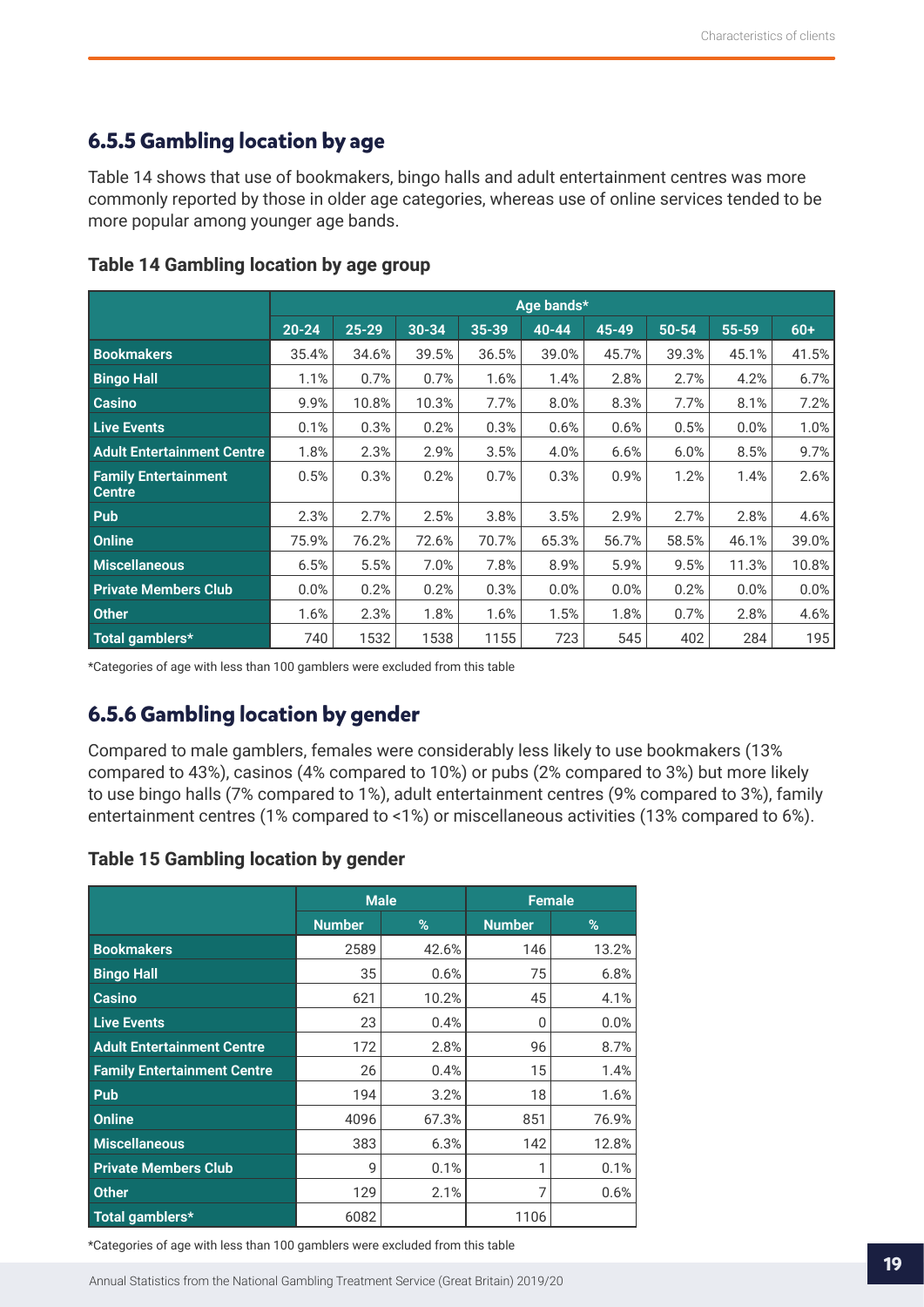## <span id="page-18-0"></span>**6.5.5 Gambling location by age**

Table 14 shows that use of bookmakers, bingo halls and adult entertainment centres was more commonly reported by those in older age categories, whereas use of online services tended to be more popular among younger age bands.

|                                              |           |           |           |       | Age bands* |           |       |       |       |
|----------------------------------------------|-----------|-----------|-----------|-------|------------|-----------|-------|-------|-------|
|                                              | $20 - 24$ | $25 - 29$ | $30 - 34$ | 35-39 | $40 - 44$  | $45 - 49$ | 50-54 | 55-59 | $60+$ |
| <b>Bookmakers</b>                            | 35.4%     | 34.6%     | 39.5%     | 36.5% | 39.0%      | 45.7%     | 39.3% | 45.1% | 41.5% |
| <b>Bingo Hall</b>                            | 1.1%      | 0.7%      | 0.7%      | 1.6%  | 1.4%       | 2.8%      | 2.7%  | 4.2%  | 6.7%  |
| <b>Casino</b>                                | 9.9%      | 10.8%     | 10.3%     | 7.7%  | 8.0%       | 8.3%      | 7.7%  | 8.1%  | 7.2%  |
| <b>Live Events</b>                           | 0.1%      | 0.3%      | 0.2%      | 0.3%  | 0.6%       | 0.6%      | 0.5%  | 0.0%  | 1.0%  |
| <b>Adult Entertainment Centre</b>            | 1.8%      | 2.3%      | 2.9%      | 3.5%  | 4.0%       | 6.6%      | 6.0%  | 8.5%  | 9.7%  |
| <b>Family Entertainment</b><br><b>Centre</b> | 0.5%      | 0.3%      | 0.2%      | 0.7%  | 0.3%       | 0.9%      | 1.2%  | 1.4%  | 2.6%  |
| Pub                                          | 2.3%      | 2.7%      | 2.5%      | 3.8%  | 3.5%       | 2.9%      | 2.7%  | 2.8%  | 4.6%  |
| <b>Online</b>                                | 75.9%     | 76.2%     | 72.6%     | 70.7% | 65.3%      | 56.7%     | 58.5% | 46.1% | 39.0% |
| <b>Miscellaneous</b>                         | 6.5%      | 5.5%      | 7.0%      | 7.8%  | 8.9%       | 5.9%      | 9.5%  | 11.3% | 10.8% |
| <b>Private Members Club</b>                  | 0.0%      | 0.2%      | 0.2%      | 0.3%  | 0.0%       | 0.0%      | 0.2%  | 0.0%  | 0.0%  |
| <b>Other</b>                                 | 1.6%      | 2.3%      | 1.8%      | 1.6%  | 1.5%       | 1.8%      | 0.7%  | 2.8%  | 4.6%  |
| Total gamblers*                              | 740       | 1532      | 1538      | 1155  | 723        | 545       | 402   | 284   | 195   |

#### **Table 14 Gambling location by age group**

\*Categories of age with less than 100 gamblers were excluded from this table

## **6.5.6 Gambling location by gender**

Compared to male gamblers, females were considerably less likely to use bookmakers (13% compared to 43%), casinos (4% compared to 10%) or pubs (2% compared to 3%) but more likely to use bingo halls (7% compared to 1%), adult entertainment centres (9% compared to 3%), family entertainment centres (1% compared to <1%) or miscellaneous activities (13% compared to 6%).

#### **Table 15 Gambling location by gender**

|                                    | <b>Male</b>   |       | <b>Female</b> |         |  |  |
|------------------------------------|---------------|-------|---------------|---------|--|--|
|                                    | <b>Number</b> | %     | <b>Number</b> | %       |  |  |
| <b>Bookmakers</b>                  | 2589          | 42.6% | 146           | 13.2%   |  |  |
| <b>Bingo Hall</b>                  | 35            | 0.6%  | 75            | 6.8%    |  |  |
| <b>Casino</b>                      | 621           | 10.2% | 45            | 4.1%    |  |  |
| <b>Live Events</b>                 | 23            | 0.4%  | 0             | $0.0\%$ |  |  |
| <b>Adult Entertainment Centre</b>  | 172           | 2.8%  | 96            | 8.7%    |  |  |
| <b>Family Entertainment Centre</b> | 26            | 0.4%  | 15            | 1.4%    |  |  |
| Pub                                | 194           | 3.2%  | 18            | 1.6%    |  |  |
| <b>Online</b>                      | 4096          | 67.3% | 851           | 76.9%   |  |  |
| <b>Miscellaneous</b>               | 383           | 6.3%  | 142           | 12.8%   |  |  |
| <b>Private Members Club</b>        | 9             | 0.1%  | 1             | 0.1%    |  |  |
| <b>Other</b>                       | 129           | 2.1%  | 7             | 0.6%    |  |  |
| Total gamblers*                    | 6082          |       | 1106          |         |  |  |

\*Categories of age with less than 100 gamblers were excluded from this table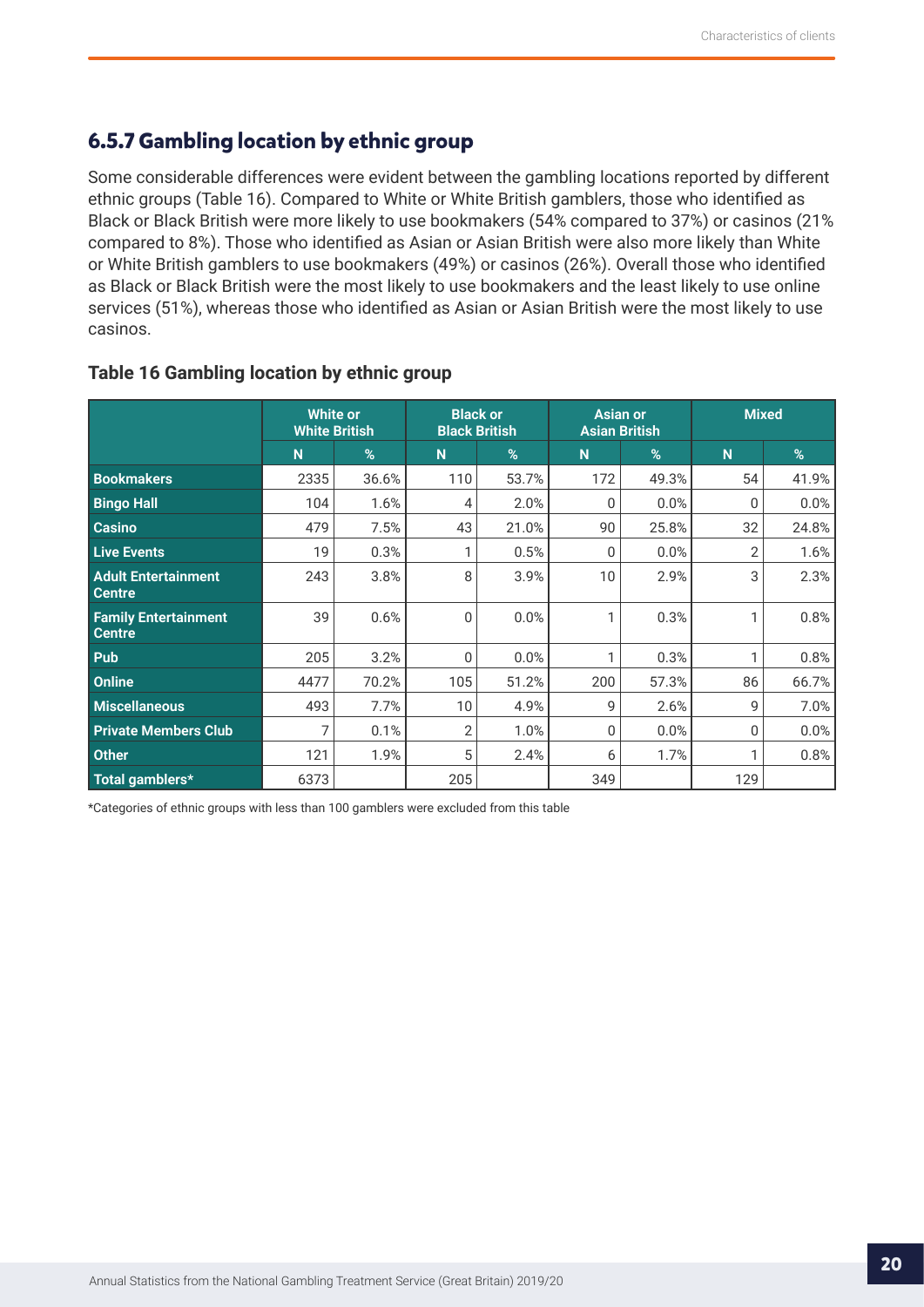## <span id="page-19-0"></span>**6.5.7 Gambling location by ethnic group**

Some considerable differences were evident between the gambling locations reported by different ethnic groups (Table 16). Compared to White or White British gamblers, those who identified as Black or Black British were more likely to use bookmakers (54% compared to 37%) or casinos (21% compared to 8%). Those who identified as Asian or Asian British were also more likely than White or White British gamblers to use bookmakers (49%) or casinos (26%). Overall those who identified as Black or Black British were the most likely to use bookmakers and the least likely to use online services (51%), whereas those who identified as Asian or Asian British were the most likely to use casinos.

|                                              | <b>White or</b><br><b>White British</b> |       | <b>Black or</b><br><b>Black British</b> |       | <b>Asian or</b> | <b>Asian British</b> | <b>Mixed</b>   |       |
|----------------------------------------------|-----------------------------------------|-------|-----------------------------------------|-------|-----------------|----------------------|----------------|-------|
|                                              | N                                       | %     | N                                       | %     | N               | $\%$                 | N <sub>1</sub> | %     |
| <b>Bookmakers</b>                            | 2335                                    | 36.6% | 110                                     | 53.7% | 172             | 49.3%                | 54             | 41.9% |
| <b>Bingo Hall</b>                            | 104                                     | 1.6%  | 4                                       | 2.0%  | $\Omega$        | 0.0%                 | 0              | 0.0%  |
| <b>Casino</b>                                | 479                                     | 7.5%  | 43                                      | 21.0% | 90              | 25.8%                | 32             | 24.8% |
| <b>Live Events</b>                           | 19                                      | 0.3%  |                                         | 0.5%  | 0               | 0.0%                 | 2              | 1.6%  |
| <b>Adult Entertainment</b><br><b>Centre</b>  | 243                                     | 3.8%  | 8                                       | 3.9%  | 10              | 2.9%                 | 3              | 2.3%  |
| <b>Family Entertainment</b><br><b>Centre</b> | 39                                      | 0.6%  | 0                                       | 0.0%  | 1               | 0.3%                 | 1              | 0.8%  |
| Pub                                          | 205                                     | 3.2%  | 0                                       | 0.0%  | 1               | 0.3%                 |                | 0.8%  |
| Online                                       | 4477                                    | 70.2% | 105                                     | 51.2% | 200             | 57.3%                | 86             | 66.7% |
| <b>Miscellaneous</b>                         | 493                                     | 7.7%  | 10                                      | 4.9%  | 9               | 2.6%                 | 9              | 7.0%  |
| <b>Private Members Club</b>                  |                                         | 0.1%  | 2                                       | 1.0%  | 0               | 0.0%                 | 0              | 0.0%  |
| <b>Other</b>                                 | 121                                     | 1.9%  | 5                                       | 2.4%  | 6               | 1.7%                 | 1              | 0.8%  |
| Total gamblers*                              | 6373                                    |       | 205                                     |       | 349             |                      | 129            |       |

#### **Table 16 Gambling location by ethnic group**

\*Categories of ethnic groups with less than 100 gamblers were excluded from this table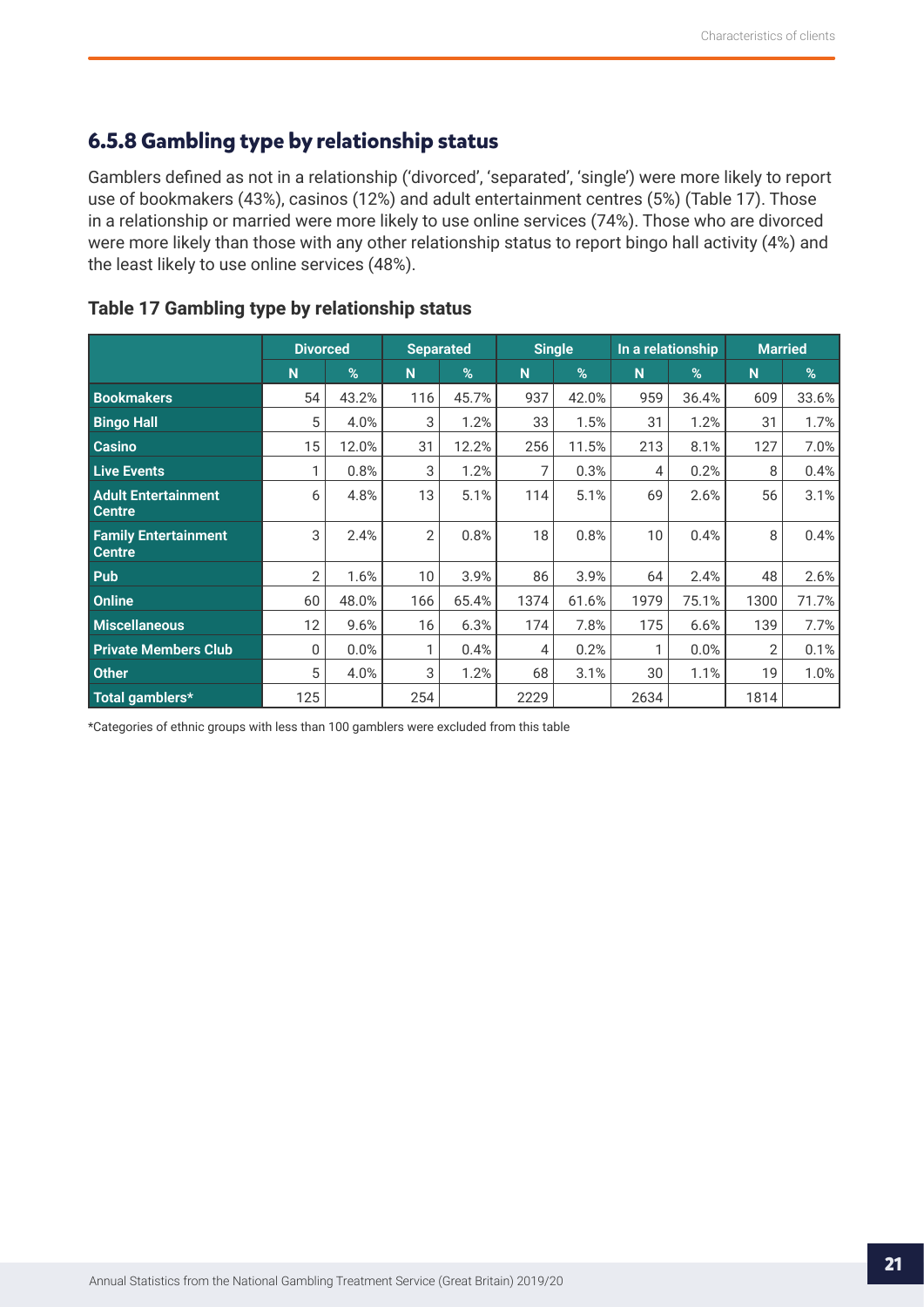## <span id="page-20-0"></span>**6.5.8 Gambling type by relationship status**

Gamblers defined as not in a relationship ('divorced', 'separated', 'single') were more likely to report use of bookmakers (43%), casinos (12%) and adult entertainment centres (5%) (Table 17). Those in a relationship or married were more likely to use online services (74%). Those who are divorced were more likely than those with any other relationship status to report bingo hall activity (4%) and the least likely to use online services (48%).

|                                              | <b>Divorced</b> |       | <b>Separated</b> |       | <b>Single</b> |       | In a relationship |       | <b>Married</b> |       |
|----------------------------------------------|-----------------|-------|------------------|-------|---------------|-------|-------------------|-------|----------------|-------|
|                                              | N               | %     | N <sub>1</sub>   | %     | N             | %     | N                 | %     | N <sub>1</sub> | %     |
| <b>Bookmakers</b>                            | 54              | 43.2% | 116              | 45.7% | 937           | 42.0% | 959               | 36.4% | 609            | 33.6% |
| <b>Bingo Hall</b>                            | 5               | 4.0%  | 3                | 1.2%  | 33            | 1.5%  | 31                | 1.2%  | 31             | 1.7%  |
| Casino                                       | 15              | 12.0% | 31               | 12.2% | 256           | 11.5% | 213               | 8.1%  | 127            | 7.0%  |
| <b>Live Events</b>                           | 1               | 0.8%  | 3                | 1.2%  | 7             | 0.3%  | 4                 | 0.2%  | 8              | 0.4%  |
| <b>Adult Entertainment</b><br><b>Centre</b>  | 6               | 4.8%  | 13               | 5.1%  | 114           | 5.1%  | 69                | 2.6%  | 56             | 3.1%  |
| <b>Family Entertainment</b><br><b>Centre</b> | 3               | 2.4%  | $\overline{2}$   | 0.8%  | 18            | 0.8%  | 10                | 0.4%  | 8              | 0.4%  |
| Pub                                          | $\overline{2}$  | 1.6%  | 10               | 3.9%  | 86            | 3.9%  | 64                | 2.4%  | 48             | 2.6%  |
| Online                                       | 60              | 48.0% | 166              | 65.4% | 1374          | 61.6% | 1979              | 75.1% | 1300           | 71.7% |
| <b>Miscellaneous</b>                         | 12              | 9.6%  | 16               | 6.3%  | 174           | 7.8%  | 175               | 6.6%  | 139            | 7.7%  |
| <b>Private Members Club</b>                  | 0               | 0.0%  | 1                | 0.4%  | 4             | 0.2%  | 1                 | 0.0%  | 2              | 0.1%  |
| <b>Other</b>                                 | 5               | 4.0%  | 3                | 1.2%  | 68            | 3.1%  | 30                | 1.1%  | 19             | 1.0%  |
| Total gamblers*                              | 125             |       | 254              |       | 2229          |       | 2634              |       | 1814           |       |

#### **Table 17 Gambling type by relationship status**

\*Categories of ethnic groups with less than 100 gamblers were excluded from this table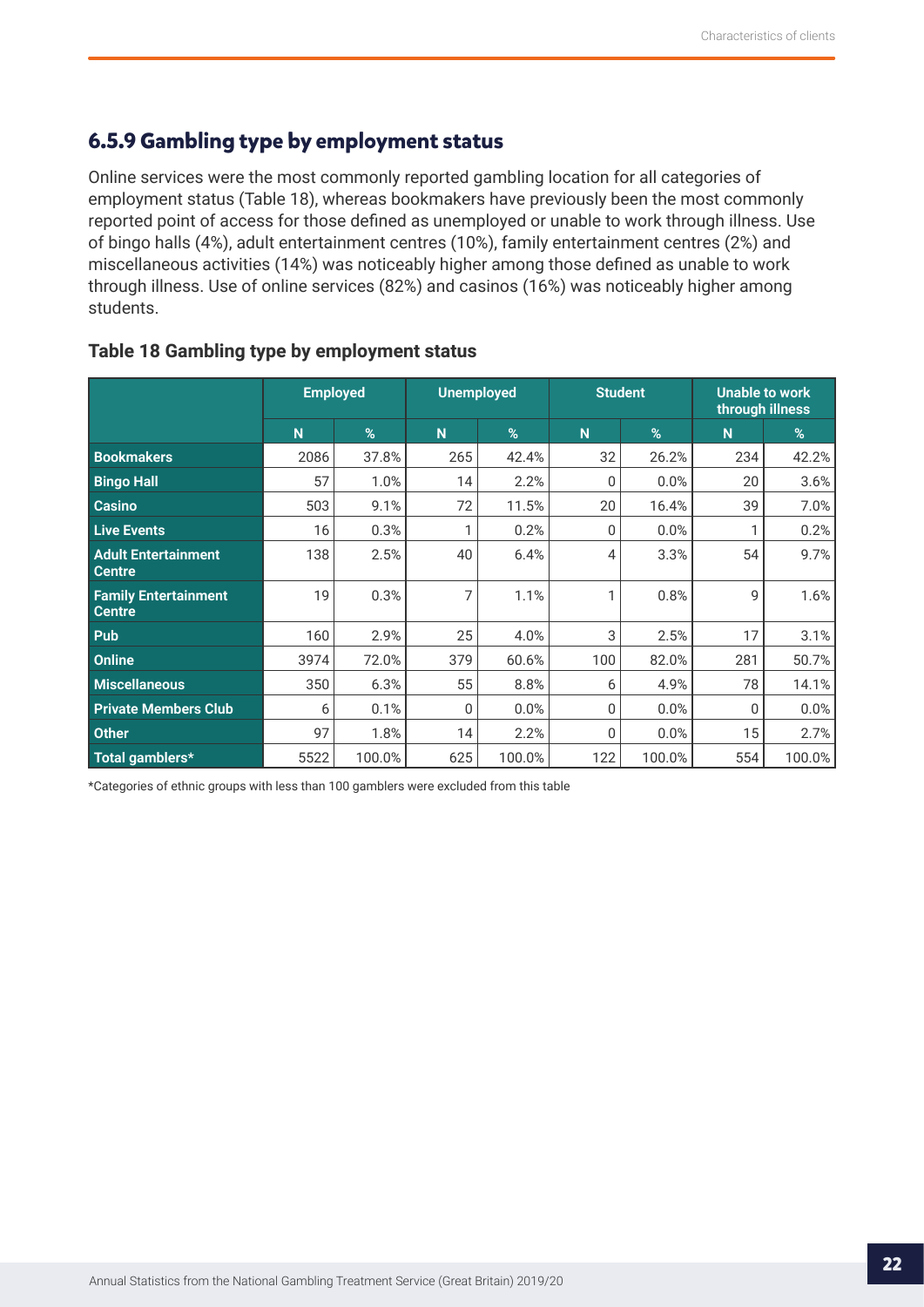## <span id="page-21-0"></span>**6.5.9 Gambling type by employment status**

Online services were the most commonly reported gambling location for all categories of employment status (Table 18), whereas bookmakers have previously been the most commonly reported point of access for those defined as unemployed or unable to work through illness. Use of bingo halls (4%), adult entertainment centres (10%), family entertainment centres (2%) and miscellaneous activities (14%) was noticeably higher among those defined as unable to work through illness. Use of online services (82%) and casinos (16%) was noticeably higher among students.

|                                              | <b>Employed</b> |        | <b>Unemployed</b> |        | <b>Student</b> |        | <b>Unable to work</b><br>through illness |        |  |
|----------------------------------------------|-----------------|--------|-------------------|--------|----------------|--------|------------------------------------------|--------|--|
|                                              | N               | %      | N                 | %      | N              | %      | N                                        | %      |  |
| <b>Bookmakers</b>                            | 2086            | 37.8%  | 265               | 42.4%  | 32             | 26.2%  | 234                                      | 42.2%  |  |
| <b>Bingo Hall</b>                            | 57              | 1.0%   | 14                | 2.2%   | $\mathbf{0}$   | 0.0%   | 20                                       | 3.6%   |  |
| <b>Casino</b>                                | 503             | 9.1%   | 72                | 11.5%  | 20             | 16.4%  | 39                                       | 7.0%   |  |
| <b>Live Events</b>                           | 16              | 0.3%   | 1                 | 0.2%   | $\Omega$       | 0.0%   | 1                                        | 0.2%   |  |
| <b>Adult Entertainment</b><br><b>Centre</b>  | 138             | 2.5%   | 40                | 6.4%   | 4              | 3.3%   | 54                                       | 9.7%   |  |
| <b>Family Entertainment</b><br><b>Centre</b> | 19              | 0.3%   | 7                 | 1.1%   | 1              | 0.8%   | 9                                        | 1.6%   |  |
| Pub                                          | 160             | 2.9%   | 25                | 4.0%   | 3              | 2.5%   | 17                                       | 3.1%   |  |
| <b>Online</b>                                | 3974            | 72.0%  | 379               | 60.6%  | 100            | 82.0%  | 281                                      | 50.7%  |  |
| <b>Miscellaneous</b>                         | 350             | 6.3%   | 55                | 8.8%   | 6              | 4.9%   | 78                                       | 14.1%  |  |
| <b>Private Members Club</b>                  | 6               | 0.1%   | 0                 | 0.0%   | $\mathbf{0}$   | 0.0%   | 0                                        | 0.0%   |  |
| <b>Other</b>                                 | 97              | 1.8%   | 14                | 2.2%   | $\mathbf{0}$   | 0.0%   | 15                                       | 2.7%   |  |
| Total gamblers*                              | 5522            | 100.0% | 625               | 100.0% | 122            | 100.0% | 554                                      | 100.0% |  |

## **Table 18 Gambling type by employment status**

\*Categories of ethnic groups with less than 100 gamblers were excluded from this table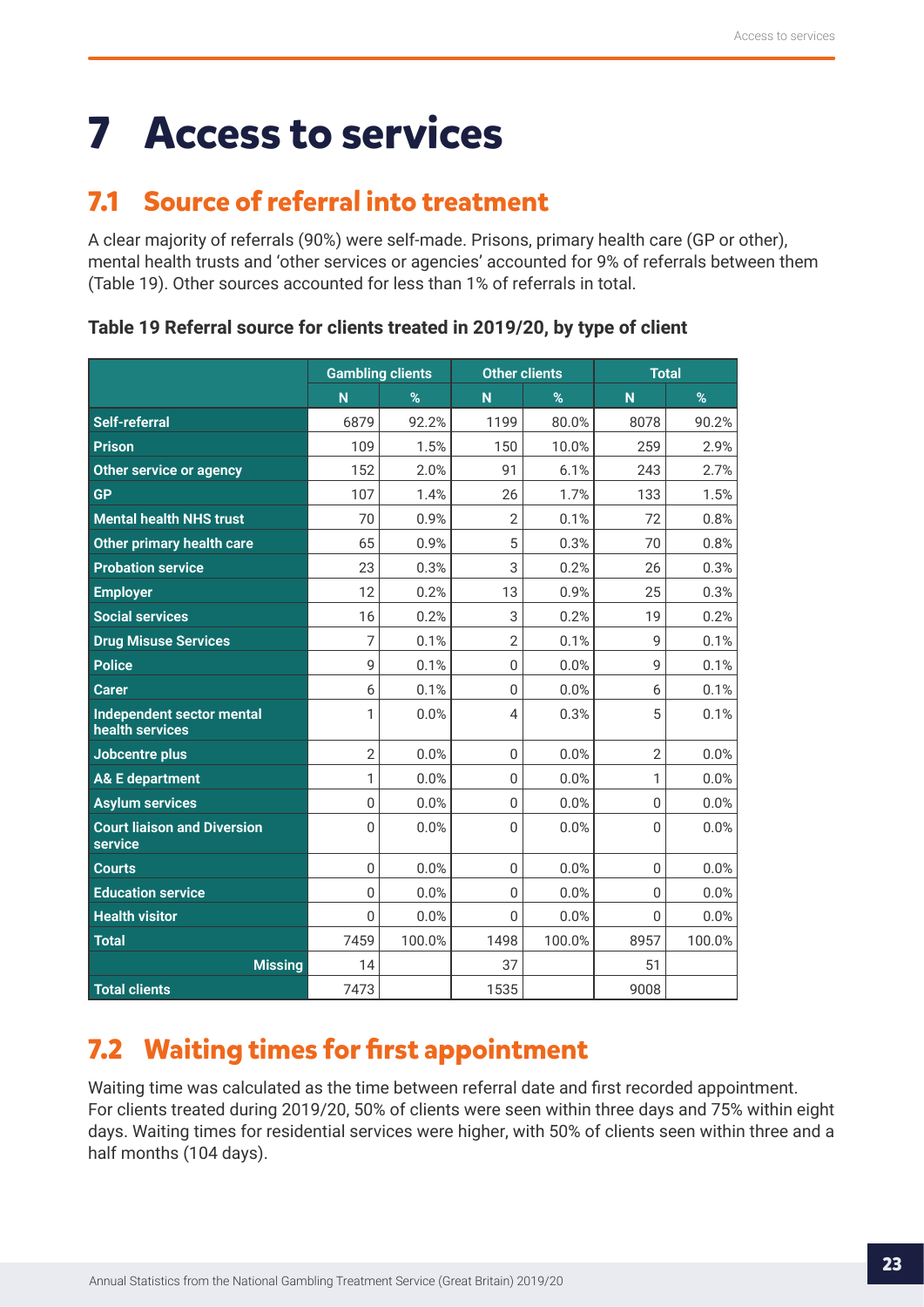## <span id="page-22-0"></span>**7 Access to services**

## **7.1 Source of referral into treatment**

A clear majority of referrals (90%) were self-made. Prisons, primary health care (GP or other), mental health trusts and 'other services or agencies' accounted for 9% of referrals between them (Table 19). Other sources accounted for less than 1% of referrals in total.

| Table 19 Referral source for clients treated in 2019/20, by type of client |  |  |  |  |  |  |  |  |  |  |  |  |  |
|----------------------------------------------------------------------------|--|--|--|--|--|--|--|--|--|--|--|--|--|
|----------------------------------------------------------------------------|--|--|--|--|--|--|--|--|--|--|--|--|--|

|                                               | <b>Gambling clients</b> |        | <b>Other clients</b> |        | <b>Total</b>   |        |  |
|-----------------------------------------------|-------------------------|--------|----------------------|--------|----------------|--------|--|
|                                               | N                       | %      | N                    | %      | N              | %      |  |
| <b>Self-referral</b>                          | 6879                    | 92.2%  | 1199                 | 80.0%  | 8078           | 90.2%  |  |
| <b>Prison</b>                                 | 109                     | 1.5%   | 150                  | 10.0%  | 259            | 2.9%   |  |
| <b>Other service or agency</b>                | 152                     | 2.0%   | 91                   | 6.1%   | 243            | 2.7%   |  |
| <b>GP</b>                                     | 107                     | 1.4%   | 26                   | 1.7%   | 133            | 1.5%   |  |
| <b>Mental health NHS trust</b>                | 70                      | 0.9%   | $\overline{2}$       | 0.1%   | 72             | 0.8%   |  |
| Other primary health care                     | 65                      | 0.9%   | 5                    | 0.3%   | 70             | 0.8%   |  |
| <b>Probation service</b>                      | 23                      | 0.3%   | 3                    | 0.2%   | 26             | 0.3%   |  |
| <b>Employer</b>                               | 12                      | 0.2%   | 13                   | 0.9%   | 25             | 0.3%   |  |
| <b>Social services</b>                        | 16                      | 0.2%   | 3                    | 0.2%   | 19             | 0.2%   |  |
| <b>Drug Misuse Services</b>                   | 7                       | 0.1%   | $\overline{2}$       | 0.1%   | 9              | 0.1%   |  |
| <b>Police</b>                                 | 9                       | 0.1%   | $\overline{0}$       | 0.0%   | 9              | 0.1%   |  |
| <b>Carer</b>                                  | 6                       | 0.1%   | $\Omega$             | 0.0%   | 6              | 0.1%   |  |
| Independent sector mental<br>health services  | 1                       | 0.0%   | $\overline{4}$       | 0.3%   | 5              | 0.1%   |  |
| Jobcentre plus                                | $\overline{2}$          | 0.0%   | $\overline{0}$       | 0.0%   | $\overline{2}$ | 0.0%   |  |
| <b>A&amp; E department</b>                    | 1                       | 0.0%   | $\mathbf{0}$         | 0.0%   | 1              | 0.0%   |  |
| <b>Asylum services</b>                        | $\bf 0$                 | 0.0%   | $\overline{0}$       | 0.0%   | $\overline{0}$ | 0.0%   |  |
| <b>Court liaison and Diversion</b><br>service | $\overline{0}$          | 0.0%   | $\Omega$             | 0.0%   | 0              | 0.0%   |  |
| <b>Courts</b>                                 | $\boldsymbol{0}$        | 0.0%   | $\mathbf{0}$         | 0.0%   | 0              | 0.0%   |  |
| <b>Education service</b>                      | $\mathbf 0$             | 0.0%   | $\mathbf{0}$         | 0.0%   | $\overline{0}$ | 0.0%   |  |
| <b>Health visitor</b>                         | $\boldsymbol{0}$        | 0.0%   | $\mathbf{0}$         | 0.0%   | $\overline{0}$ | 0.0%   |  |
| <b>Total</b>                                  | 7459                    | 100.0% | 1498                 | 100.0% | 8957           | 100.0% |  |
| <b>Missing</b>                                | 14                      |        | 37                   |        | 51             |        |  |
| <b>Total clients</b>                          | 7473                    |        | 1535                 |        | 9008           |        |  |

## **7.2 Waiting times for first appointment**

Waiting time was calculated as the time between referral date and first recorded appointment. For clients treated during 2019/20, 50% of clients were seen within three days and 75% within eight days. Waiting times for residential services were higher, with 50% of clients seen within three and a half months (104 days).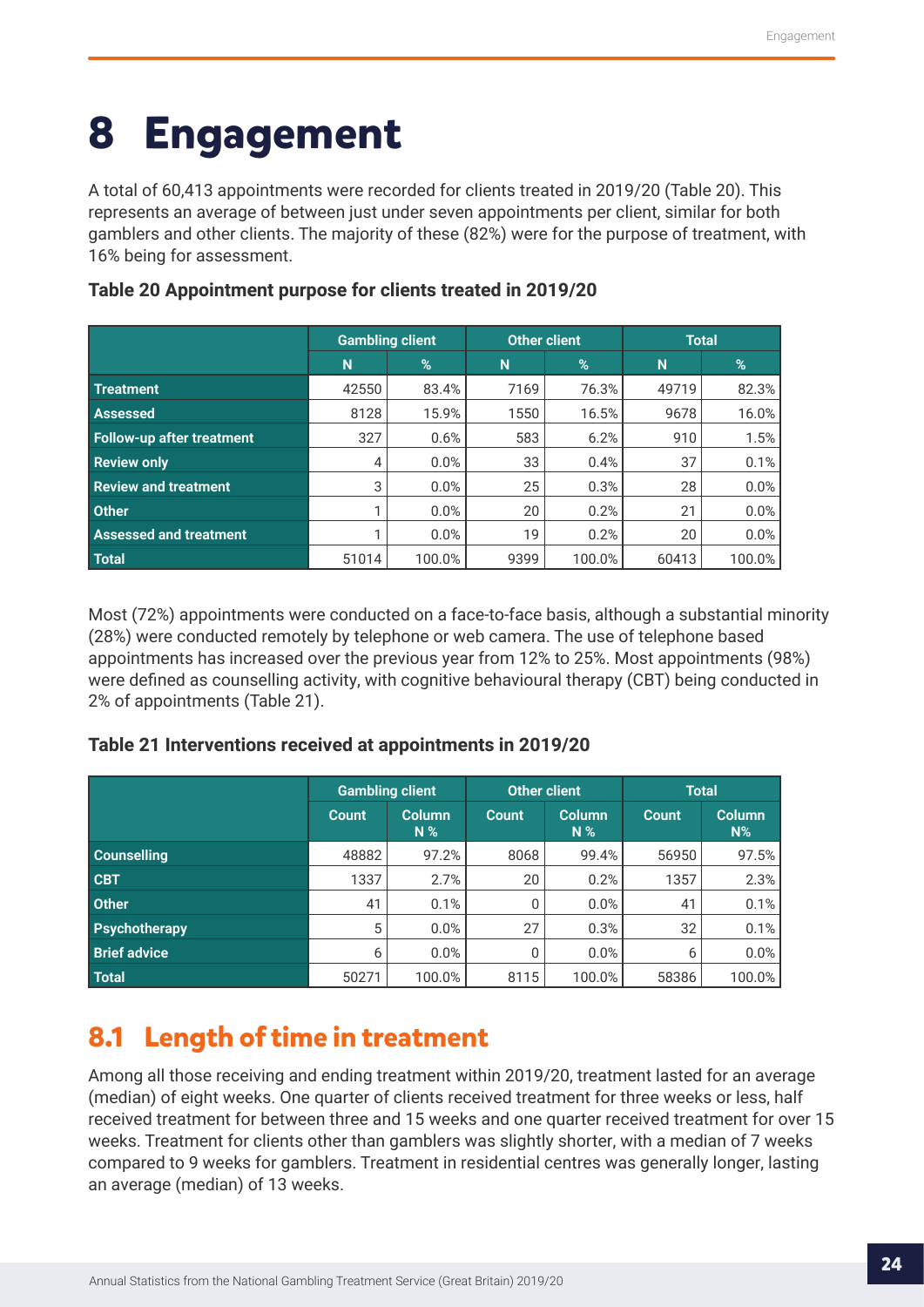## <span id="page-23-0"></span>**8 Engagement**

A total of 60,413 appointments were recorded for clients treated in 2019/20 (Table 20). This represents an average of between just under seven appointments per client, similar for both gamblers and other clients. The majority of these (82%) were for the purpose of treatment, with 16% being for assessment.

|                                  | <b>Gambling client</b> |        | <b>Other client</b> |        | <b>Total</b> |        |  |
|----------------------------------|------------------------|--------|---------------------|--------|--------------|--------|--|
|                                  | N                      | %      | N                   | %      | N            | %      |  |
| <b>Treatment</b>                 | 42550                  | 83.4%  | 7169                | 76.3%  | 49719        | 82.3%  |  |
| <b>Assessed</b>                  | 8128                   | 15.9%  | 1550                | 16.5%  | 9678         | 16.0%  |  |
| <b>Follow-up after treatment</b> | 327                    | 0.6%   | 583                 | 6.2%   | 910          | 1.5%   |  |
| <b>Review only</b>               | 4                      | 0.0%   | 33                  | 0.4%   | 37           | 0.1%   |  |
| <b>Review and treatment</b>      | 3                      | 0.0%   | 25                  | 0.3%   | 28           | 0.0%   |  |
| <b>Other</b>                     |                        | 0.0%   | 20                  | 0.2%   | 21           | 0.0%   |  |
| <b>Assessed and treatment</b>    |                        | 0.0%   | 19                  | 0.2%   | 20           | 0.0%   |  |
| <b>Total</b>                     | 51014                  | 100.0% | 9399                | 100.0% | 60413        | 100.0% |  |

## **Table 20 Appointment purpose for clients treated in 2019/20**

Most (72%) appointments were conducted on a face-to-face basis, although a substantial minority (28%) were conducted remotely by telephone or web camera. The use of telephone based appointments has increased over the previous year from 12% to 25%. Most appointments (98%) were defined as counselling activity, with cognitive behavioural therapy (CBT) being conducted in 2% of appointments (Table 21).

## **Table 21 Interventions received at appointments in 2019/20**

|                      | <b>Gambling client</b> |                                 |              | Other client           | <b>Total</b> |                        |
|----------------------|------------------------|---------------------------------|--------------|------------------------|--------------|------------------------|
|                      | <b>Count</b>           | <b>Column</b><br>N <sup>2</sup> | <b>Count</b> | <b>Column</b><br>$N\%$ | <b>Count</b> | <b>Column</b><br>$N\%$ |
| <b>Counselling</b>   | 48882                  | 97.2%                           | 8068         | 99.4%                  | 56950        | 97.5%                  |
| <b>CBT</b>           | 1337                   | 2.7%                            | 20           | 0.2%                   | 1357         | 2.3%                   |
| <b>Other</b>         | 41                     | 0.1%                            | 0            | 0.0%                   | 41           | 0.1%                   |
| <b>Psychotherapy</b> | 5                      | 0.0%                            | 27           | 0.3%                   | 32           | 0.1%                   |
| <b>Brief advice</b>  | 6                      | 0.0%                            | 0            | 0.0%                   | 6            | 0.0%                   |
| <b>Total</b>         | 50271                  | 100.0%                          | 8115         | 100.0%                 | 58386        | 100.0%                 |

## **8.1 Length of time in treatment**

Among all those receiving and ending treatment within 2019/20, treatment lasted for an average (median) of eight weeks. One quarter of clients received treatment for three weeks or less, half received treatment for between three and 15 weeks and one quarter received treatment for over 15 weeks. Treatment for clients other than gamblers was slightly shorter, with a median of 7 weeks compared to 9 weeks for gamblers. Treatment in residential centres was generally longer, lasting an average (median) of 13 weeks.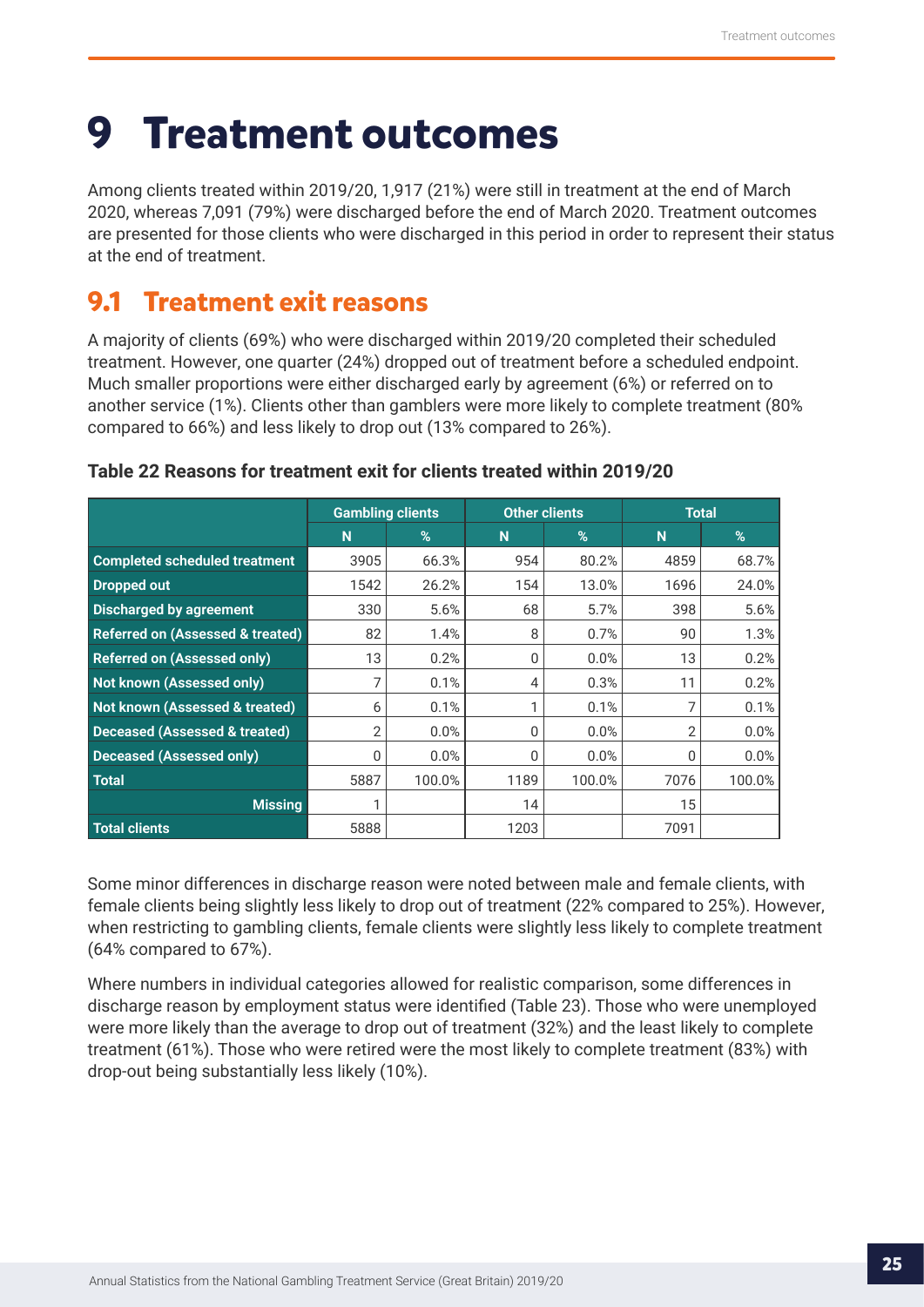## <span id="page-24-0"></span>**9 Treatment outcomes**

Among clients treated within 2019/20, 1,917 (21%) were still in treatment at the end of March 2020, whereas 7,091 (79%) were discharged before the end of March 2020. Treatment outcomes are presented for those clients who were discharged in this period in order to represent their status at the end of treatment.

## **9.1 Treatment exit reasons**

A majority of clients (69%) who were discharged within 2019/20 completed their scheduled treatment. However, one quarter (24%) dropped out of treatment before a scheduled endpoint. Much smaller proportions were either discharged early by agreement (6%) or referred on to another service (1%). Clients other than gamblers were more likely to complete treatment (80% compared to 66%) and less likely to drop out (13% compared to 26%).

|                                             | <b>Gambling clients</b> |        | <b>Other clients</b> |        | <b>Total</b> |        |
|---------------------------------------------|-------------------------|--------|----------------------|--------|--------------|--------|
|                                             | N                       | %      | N                    | $\%$   | N            | %      |
| <b>Completed scheduled treatment</b>        | 3905                    | 66.3%  | 954                  | 80.2%  | 4859         | 68.7%  |
| <b>Dropped out</b>                          | 1542                    | 26.2%  | 154                  | 13.0%  | 1696         | 24.0%  |
| <b>Discharged by agreement</b>              | 330                     | 5.6%   | 68                   | 5.7%   | 398          | 5.6%   |
| <b>Referred on (Assessed &amp; treated)</b> | 82                      | 1.4%   | 8                    | 0.7%   | 90           | 1.3%   |
| <b>Referred on (Assessed only)</b>          | 13                      | 0.2%   | 0                    | 0.0%   | 13           | 0.2%   |
| Not known (Assessed only)                   | 7                       | 0.1%   | 4                    | 0.3%   | 11           | 0.2%   |
| Not known (Assessed & treated)              | 6                       | 0.1%   | 1                    | 0.1%   |              | 0.1%   |
| <b>Deceased (Assessed &amp; treated)</b>    | 2                       | 0.0%   | 0                    | 0.0%   | 2            | 0.0%   |
| <b>Deceased (Assessed only)</b>             | 0                       | 0.0%   | 0                    | 0.0%   | 0            | 0.0%   |
| <b>Total</b>                                | 5887                    | 100.0% | 1189                 | 100.0% | 7076         | 100.0% |
| <b>Missing</b>                              |                         |        | 14                   |        | 15           |        |
| Total clients                               | 5888                    |        | 1203                 |        | 7091         |        |

### **Table 22 Reasons for treatment exit for clients treated within 2019/20**

Some minor differences in discharge reason were noted between male and female clients, with female clients being slightly less likely to drop out of treatment (22% compared to 25%). However, when restricting to gambling clients, female clients were slightly less likely to complete treatment (64% compared to 67%).

Where numbers in individual categories allowed for realistic comparison, some differences in discharge reason by employment status were identified (Table 23). Those who were unemployed were more likely than the average to drop out of treatment (32%) and the least likely to complete treatment (61%). Those who were retired were the most likely to complete treatment (83%) with drop-out being substantially less likely (10%).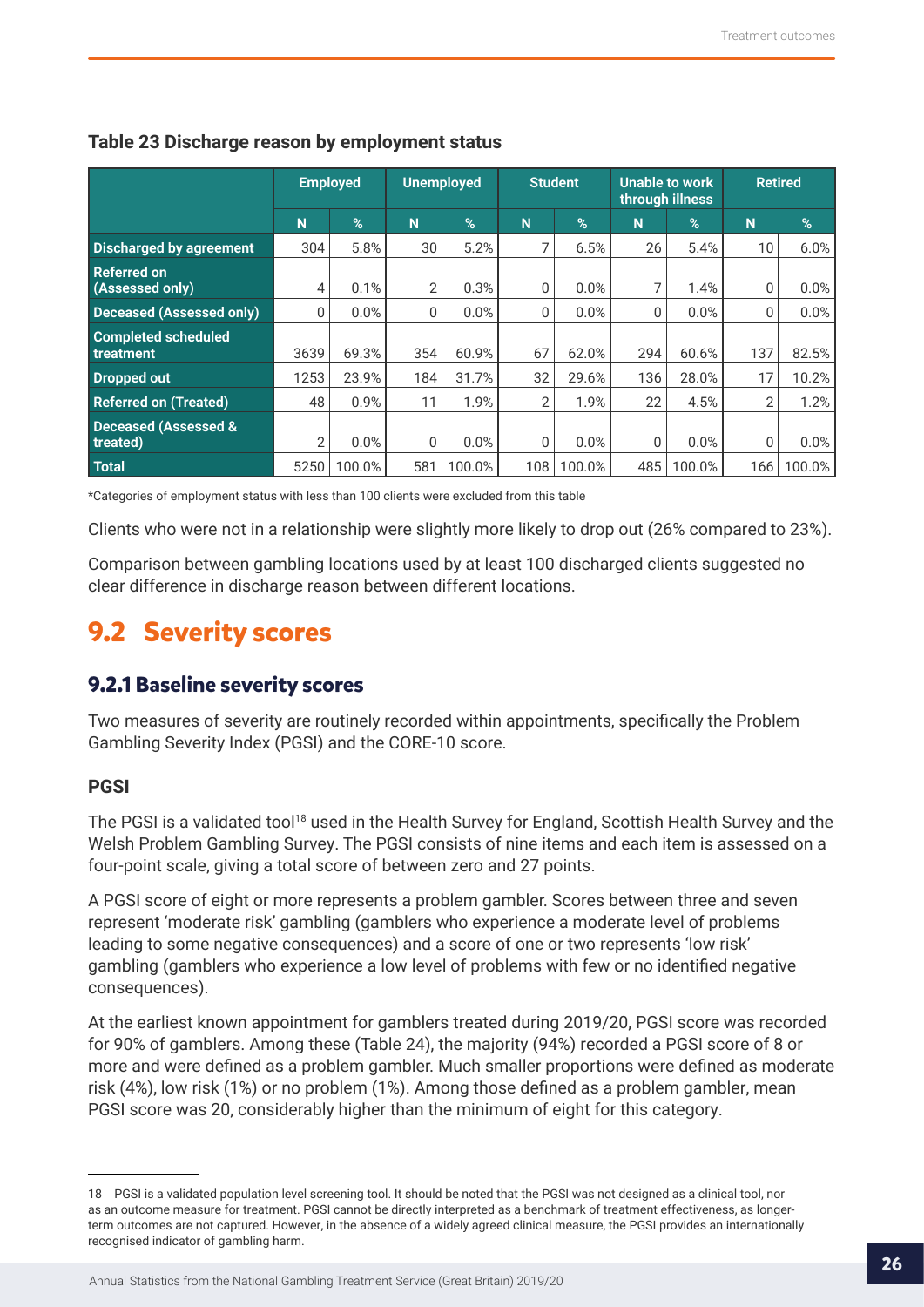|                                             | <b>Employed</b> |        | <b>Unemployed</b><br><b>Student</b> |               | Unable to work<br>through illness |        |          | <b>Retired</b> |     |        |
|---------------------------------------------|-----------------|--------|-------------------------------------|---------------|-----------------------------------|--------|----------|----------------|-----|--------|
|                                             | N               | $\%$   | N                                   | $\frac{9}{6}$ | N                                 | %      | N        | %              | N   | %      |
| <b>Discharged by agreement</b>              | 304             | 5.8%   | 30                                  | 5.2%          |                                   | 6.5%   | 26       | 5.4%           | 10  | 6.0%   |
| <b>Referred on</b><br>(Assessed only)       | 4               | 0.1%   | $\overline{2}$                      | 0.3%          | 0                                 | 0.0%   |          | 1.4%           | 0   | 0.0%   |
| <b>Deceased (Assessed only)</b>             | $\mathbf{0}$    | 0.0%   | 0                                   | 0.0%          | 0                                 | 0.0%   | 0        | 0.0%           | 0   | 0.0%   |
| <b>Completed scheduled</b><br>treatment     | 3639            | 69.3%  | 354                                 | 60.9%         | 67                                | 62.0%  | 294      | 60.6%          | 137 | 82.5%  |
| Dropped out                                 | 1253            | 23.9%  | 184                                 | 31.7%         | 32                                | 29.6%  | 136      | 28.0%          | 17  | 10.2%  |
| <b>Referred on (Treated)</b>                | 48              | 0.9%   | 11                                  | 1.9%          | $\overline{2}$                    | 1.9%   | 22       | 4.5%           | 2   | 1.2%   |
| <b>Deceased (Assessed &amp;</b><br>treated) | $\overline{2}$  | 0.0%   | 0                                   | 0.0%          | 0                                 | 0.0%   | $\Omega$ | 0.0%           | 0   | 0.0%   |
| <b>Total</b>                                | 5250            | 100.0% | 581                                 | 100.0%        | 108                               | 100.0% | 485      | 100.0%         | 166 | 100.0% |

## <span id="page-25-0"></span>**Table 23 Discharge reason by employment status**

\*Categories of employment status with less than 100 clients were excluded from this table

Clients who were not in a relationship were slightly more likely to drop out (26% compared to 23%).

Comparison between gambling locations used by at least 100 discharged clients suggested no clear difference in discharge reason between different locations.

## **9.2 Severity scores**

## **9.2.1 Baseline severity scores**

Two measures of severity are routinely recorded within appointments, specifically the Problem Gambling Severity Index (PGSI) and the CORE-10 score.

### **PGSI**

The PGSI is a validated tool<sup>18</sup> used in the Health Survey for England, Scottish Health Survey and the Welsh Problem Gambling Survey. The PGSI consists of nine items and each item is assessed on a four-point scale, giving a total score of between zero and 27 points.

A PGSI score of eight or more represents a problem gambler. Scores between three and seven represent 'moderate risk' gambling (gamblers who experience a moderate level of problems leading to some negative consequences) and a score of one or two represents 'low risk' gambling (gamblers who experience a low level of problems with few or no identified negative consequences).

At the earliest known appointment for gamblers treated during 2019/20, PGSI score was recorded for 90% of gamblers. Among these (Table 24), the majority (94%) recorded a PGSI score of 8 or more and were defined as a problem gambler. Much smaller proportions were defined as moderate risk (4%), low risk (1%) or no problem (1%). Among those defined as a problem gambler, mean PGSI score was 20, considerably higher than the minimum of eight for this category.

<sup>18</sup> PGSI is a validated population level screening tool. It should be noted that the PGSI was not designed as a clinical tool, nor as an outcome measure for treatment. PGSI cannot be directly interpreted as a benchmark of treatment effectiveness, as longerterm outcomes are not captured. However, in the absence of a widely agreed clinical measure, the PGSI provides an internationally recognised indicator of gambling harm.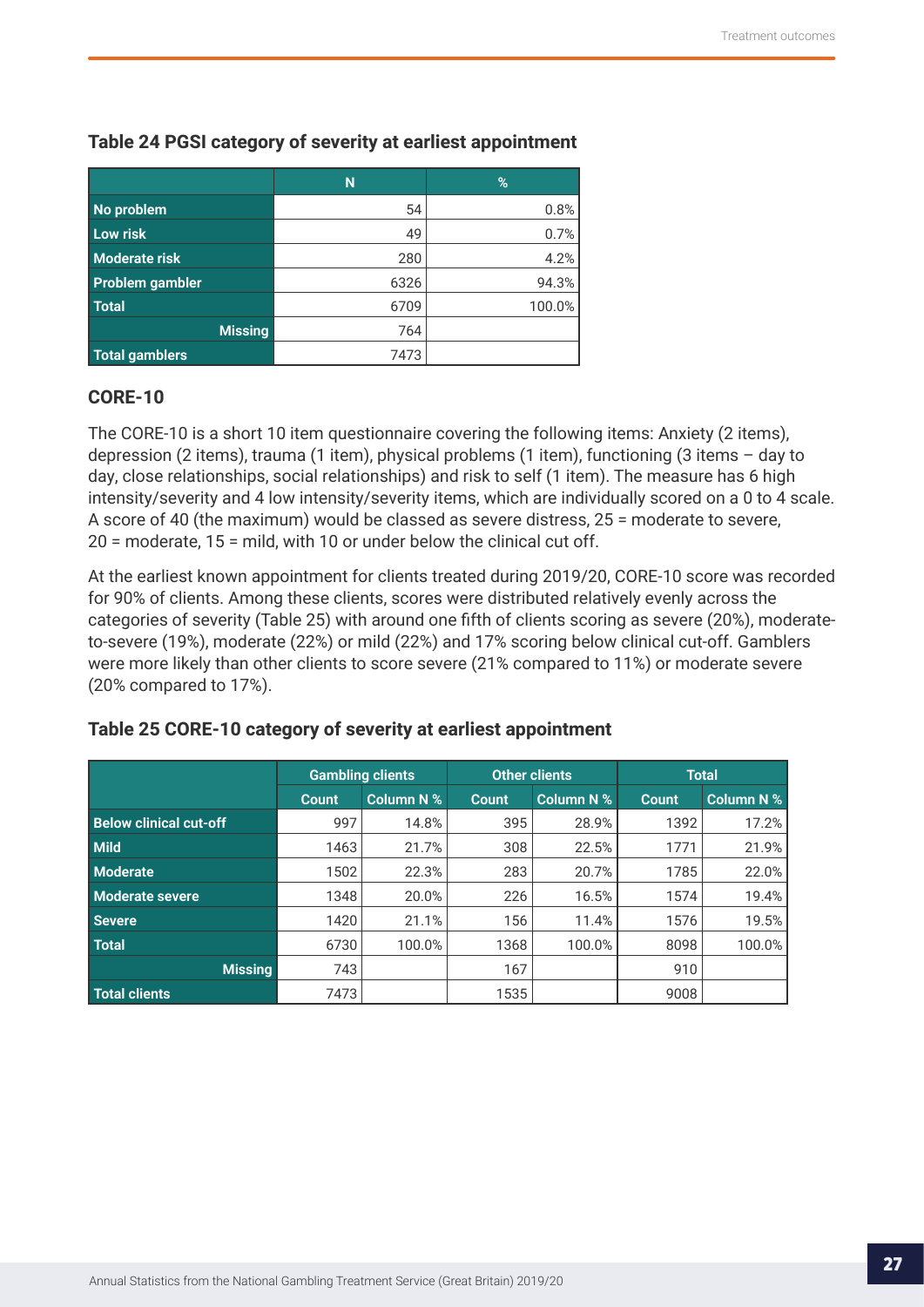|                        | N    | %      |
|------------------------|------|--------|
| No problem             | 54   | 0.8%   |
| Low risk               | 49   | 0.7%   |
| <b>Moderate risk</b>   | 280  | 4.2%   |
| <b>Problem gambler</b> | 6326 | 94.3%  |
| Total <sup>'</sup>     | 6709 | 100.0% |
| <b>Missing</b>         | 764  |        |
| <b>Total gamblers</b>  | 7473 |        |

## **Table 24 PGSI category of severity at earliest appointment**

#### **CORE-10**

The CORE-10 is a short 10 item questionnaire covering the following items: Anxiety (2 items), depression (2 items), trauma (1 item), physical problems (1 item), functioning (3 items – day to day, close relationships, social relationships) and risk to self (1 item). The measure has 6 high intensity/severity and 4 low intensity/severity items, which are individually scored on a 0 to 4 scale. A score of 40 (the maximum) would be classed as severe distress, 25 = moderate to severe, 20 = moderate, 15 = mild, with 10 or under below the clinical cut off.

At the earliest known appointment for clients treated during 2019/20, CORE-10 score was recorded for 90% of clients. Among these clients, scores were distributed relatively evenly across the categories of severity (Table 25) with around one fifth of clients scoring as severe (20%), moderateto-severe (19%), moderate (22%) or mild (22%) and 17% scoring below clinical cut-off. Gamblers were more likely than other clients to score severe (21% compared to 11%) or moderate severe (20% compared to 17%).

|                               | <b>Gambling clients</b> |                   |              | <b>Other clients</b> |              | <b>Total</b>      |
|-------------------------------|-------------------------|-------------------|--------------|----------------------|--------------|-------------------|
|                               | <b>Count</b>            | <b>Column N %</b> | <b>Count</b> | <b>Column N %</b>    | <b>Count</b> | <b>Column N %</b> |
| <b>Below clinical cut-off</b> | 997                     | 14.8%             | 395          | 28.9%                | 1392         | 17.2%             |
| <b>Mild</b>                   | 1463                    | 21.7%             | 308          | 22.5%                | 1771         | 21.9%             |
| <b>Moderate</b>               | 1502                    | 22.3%             | 283          | 20.7%                | 1785         | 22.0%             |
| <b>Moderate severe</b>        | 1348                    | 20.0%             | 226          | 16.5%                | 1574         | 19.4%             |
| <b>Severe</b>                 | 1420                    | 21.1%             | 156          | 11.4%                | 1576         | 19.5%             |
| <b>Total</b>                  | 6730                    | 100.0%            | 1368         | 100.0%               | 8098         | 100.0%            |
| <b>Missina</b>                | 743                     |                   | 167          |                      | 910          |                   |
| Total clients                 | 7473                    |                   | 1535         |                      | 9008         |                   |

### **Table 25 CORE-10 category of severity at earliest appointment**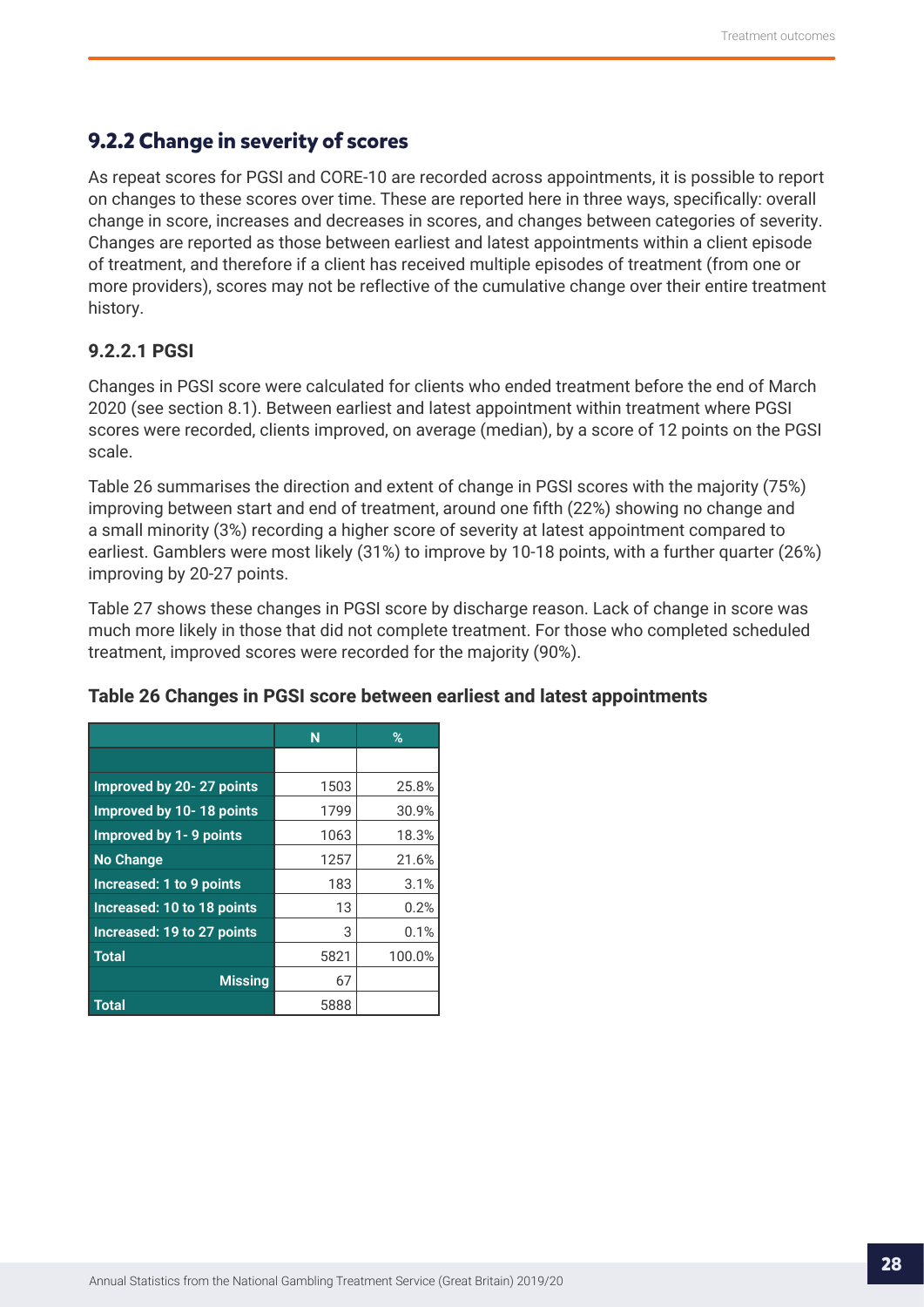## <span id="page-27-0"></span>**9.2.2 Change in severity of scores**

As repeat scores for PGSI and CORE-10 are recorded across appointments, it is possible to report on changes to these scores over time. These are reported here in three ways, specifically: overall change in score, increases and decreases in scores, and changes between categories of severity. Changes are reported as those between earliest and latest appointments within a client episode of treatment, and therefore if a client has received multiple episodes of treatment (from one or more providers), scores may not be reflective of the cumulative change over their entire treatment history.

### **9.2.2.1 PGSI**

Changes in PGSI score were calculated for clients who ended treatment before the end of March 2020 (see section 8.1). Between earliest and latest appointment within treatment where PGSI scores were recorded, clients improved, on average (median), by a score of 12 points on the PGSI scale.

Table 26 summarises the direction and extent of change in PGSI scores with the majority (75%) improving between start and end of treatment, around one fifth (22%) showing no change and a small minority (3%) recording a higher score of severity at latest appointment compared to earliest. Gamblers were most likely (31%) to improve by 10-18 points, with a further quarter (26%) improving by 20-27 points.

Table 27 shows these changes in PGSI score by discharge reason. Lack of change in score was much more likely in those that did not complete treatment. For those who completed scheduled treatment, improved scores were recorded for the majority (90%).

|                                 | N    | %      |
|---------------------------------|------|--------|
|                                 |      |        |
| <b>Improved by 20-27 points</b> | 1503 | 25.8%  |
| Improved by 10-18 points        | 1799 | 30.9%  |
| <b>Improved by 1-9 points</b>   | 1063 | 18.3%  |
| <b>No Change</b>                | 1257 | 21.6%  |
| Increased: 1 to 9 points        | 183  | 3.1%   |
| Increased: 10 to 18 points      | 13   | 0.2%   |
| Increased: 19 to 27 points      | 3    | 0.1%   |
| <b>Total</b>                    | 5821 | 100.0% |
| <b>Missing</b>                  | 67   |        |
| <b>Total</b>                    | 5888 |        |

#### **Table 26 Changes in PGSI score between earliest and latest appointments**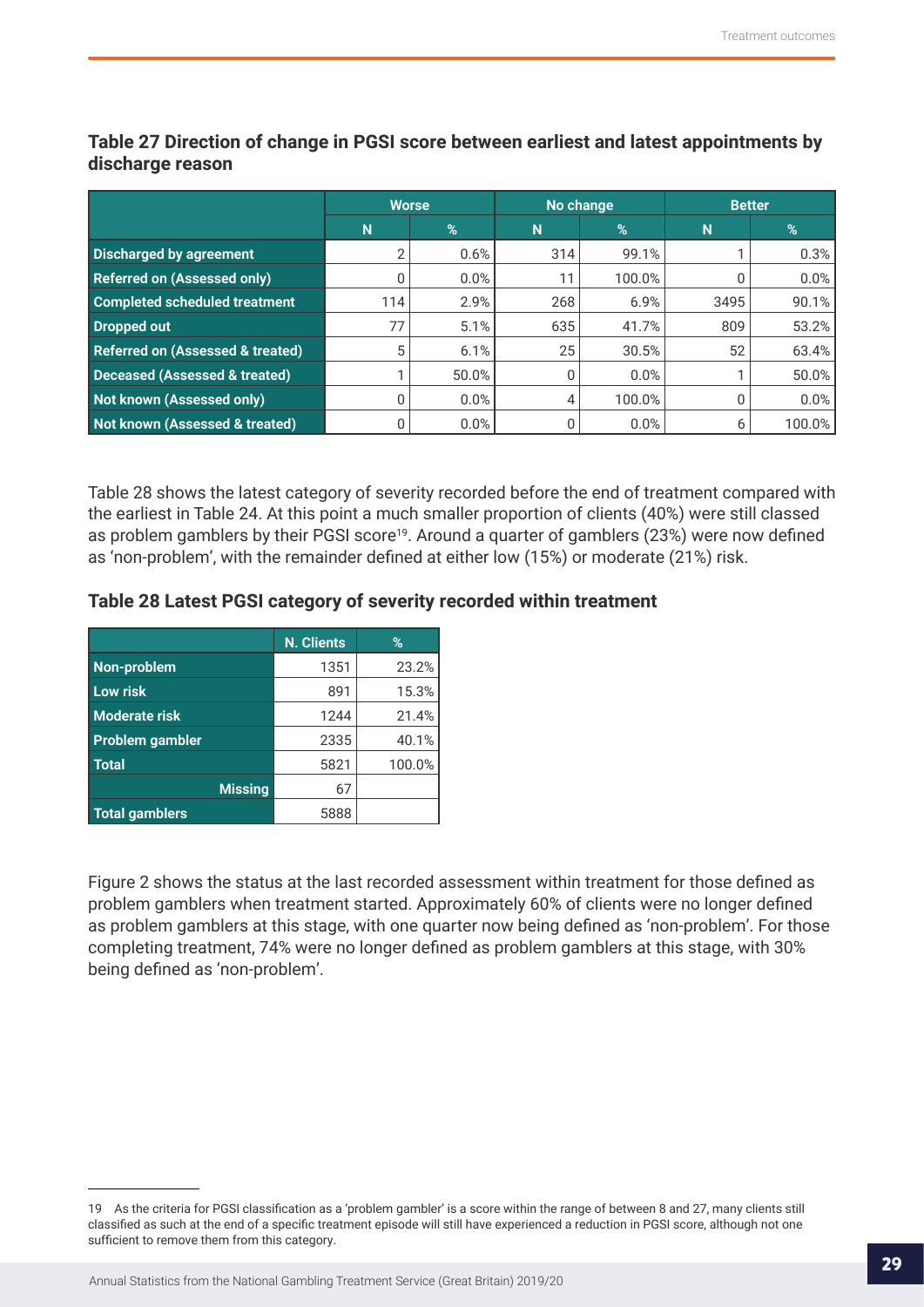|                                             | <b>Worse</b> |       |     | No change | <b>Better</b> |        |
|---------------------------------------------|--------------|-------|-----|-----------|---------------|--------|
|                                             | N            | %     | N   | %         | N             | %      |
| <b>Discharged by agreement</b>              | ി            | 0.6%  | 314 | 99.1%     |               | 0.3%   |
| <b>Referred on (Assessed only)</b>          |              | 0.0%  | 11  | 100.0%    |               | 0.0%   |
| <b>Completed scheduled treatment</b>        | 114          | 2.9%  | 268 | 6.9%      | 3495          | 90.1%  |
| Dropped out                                 | 77           | 5.1%  | 635 | 41.7%     | 809           | 53.2%  |
| <b>Referred on (Assessed &amp; treated)</b> | 5            | 6.1%  | 25  | 30.5%     | 52            | 63.4%  |
| <b>Deceased (Assessed &amp; treated)</b>    |              | 50.0% | 0   | 0.0%      |               | 50.0%  |
| Not known (Assessed only)                   |              | 0.0%  | 4   | 100.0%    | 0             | 0.0%   |
| Not known (Assessed & treated)              |              | 0.0%  | 0   | 0.0%      | 6             | 100.0% |

**Table 27 Direction of change in PGSI score between earliest and latest appointments by discharge reason**

Table 28 shows the latest category of severity recorded before the end of treatment compared with the earliest in Table 24. At this point a much smaller proportion of clients (40%) were still classed as problem gamblers by their PGSI score<sup>19</sup>. Around a quarter of gamblers (23%) were now defined as 'non-problem', with the remainder defined at either low (15%) or moderate (21%) risk.

#### **Table 28 Latest PGSI category of severity recorded within treatment**

|                        | <b>N. Clients</b> | $\%$   |
|------------------------|-------------------|--------|
| Non-problem            | 1351              | 23.2%  |
| <b>Low risk</b>        | 891               | 15.3%  |
| <b>Moderate risk</b>   | 1244              | 21.4%  |
| <b>Problem gambler</b> | 2335              | 40.1%  |
| <b>Total</b>           | 5821              | 100.0% |
| <b>Missing</b>         | 67                |        |
| <b>Total gamblers</b>  | 5888              |        |

Figure 2 shows the status at the last recorded assessment within treatment for those defined as problem gamblers when treatment started. Approximately 60% of clients were no longer defined as problem gamblers at this stage, with one quarter now being defined as 'non-problem'. For those completing treatment, 74% were no longer defined as problem gamblers at this stage, with 30% being defined as 'non-problem'.

<sup>19</sup> As the criteria for PGSI classification as a 'problem gambler' is a score within the range of between 8 and 27, many clients still classified as such at the end of a specific treatment episode will still have experienced a reduction in PGSI score, although not one sufficient to remove them from this category.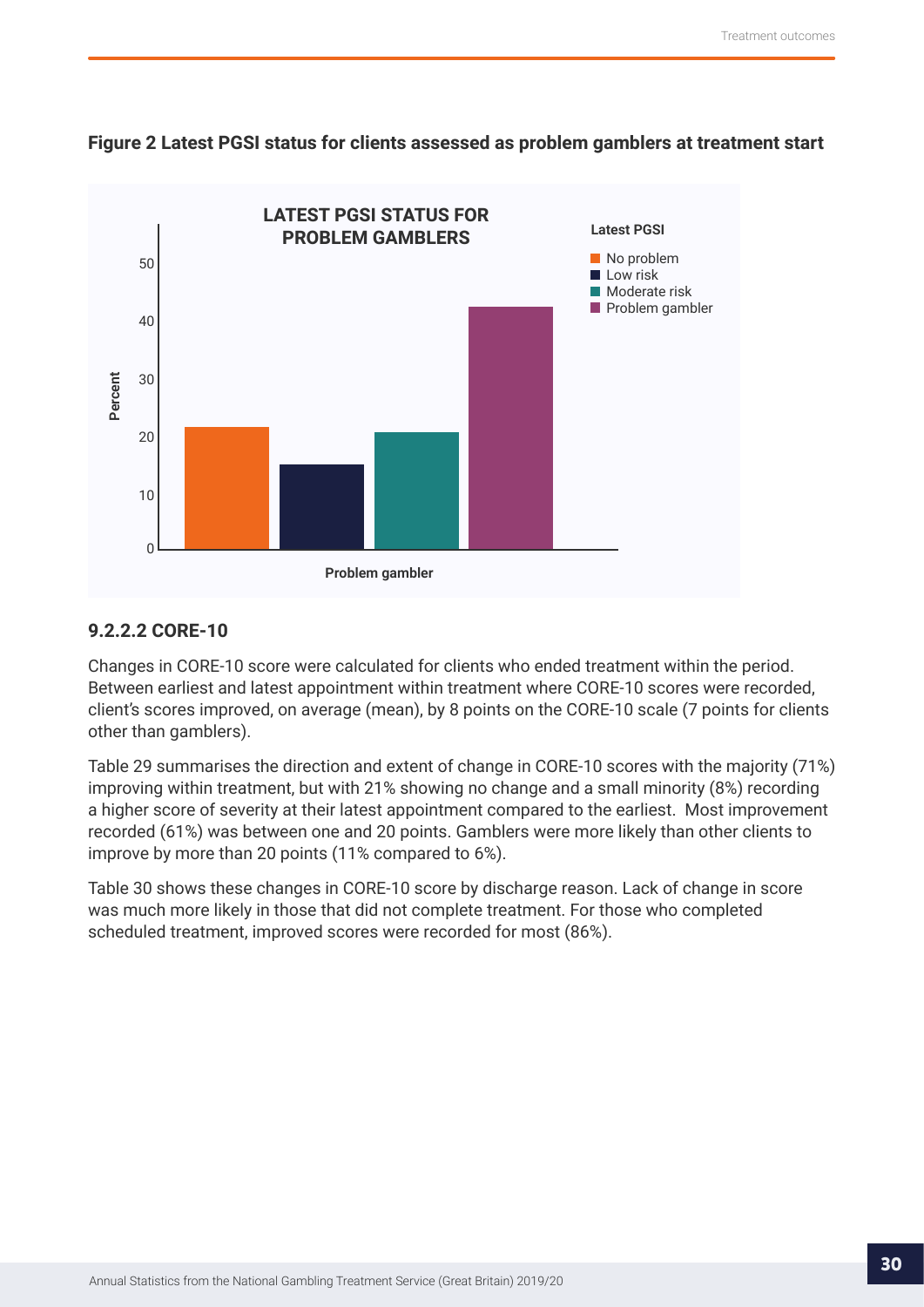<span id="page-29-0"></span>



## **9.2.2.2 CORE-10**

Changes in CORE-10 score were calculated for clients who ended treatment within the period. Between earliest and latest appointment within treatment where CORE-10 scores were recorded, client's scores improved, on average (mean), by 8 points on the CORE-10 scale (7 points for clients other than gamblers).

Table 29 summarises the direction and extent of change in CORE-10 scores with the majority (71%) improving within treatment, but with 21% showing no change and a small minority (8%) recording a higher score of severity at their latest appointment compared to the earliest. Most improvement recorded (61%) was between one and 20 points. Gamblers were more likely than other clients to improve by more than 20 points (11% compared to 6%).

Table 30 shows these changes in CORE-10 score by discharge reason. Lack of change in score was much more likely in those that did not complete treatment. For those who completed scheduled treatment, improved scores were recorded for most (86%).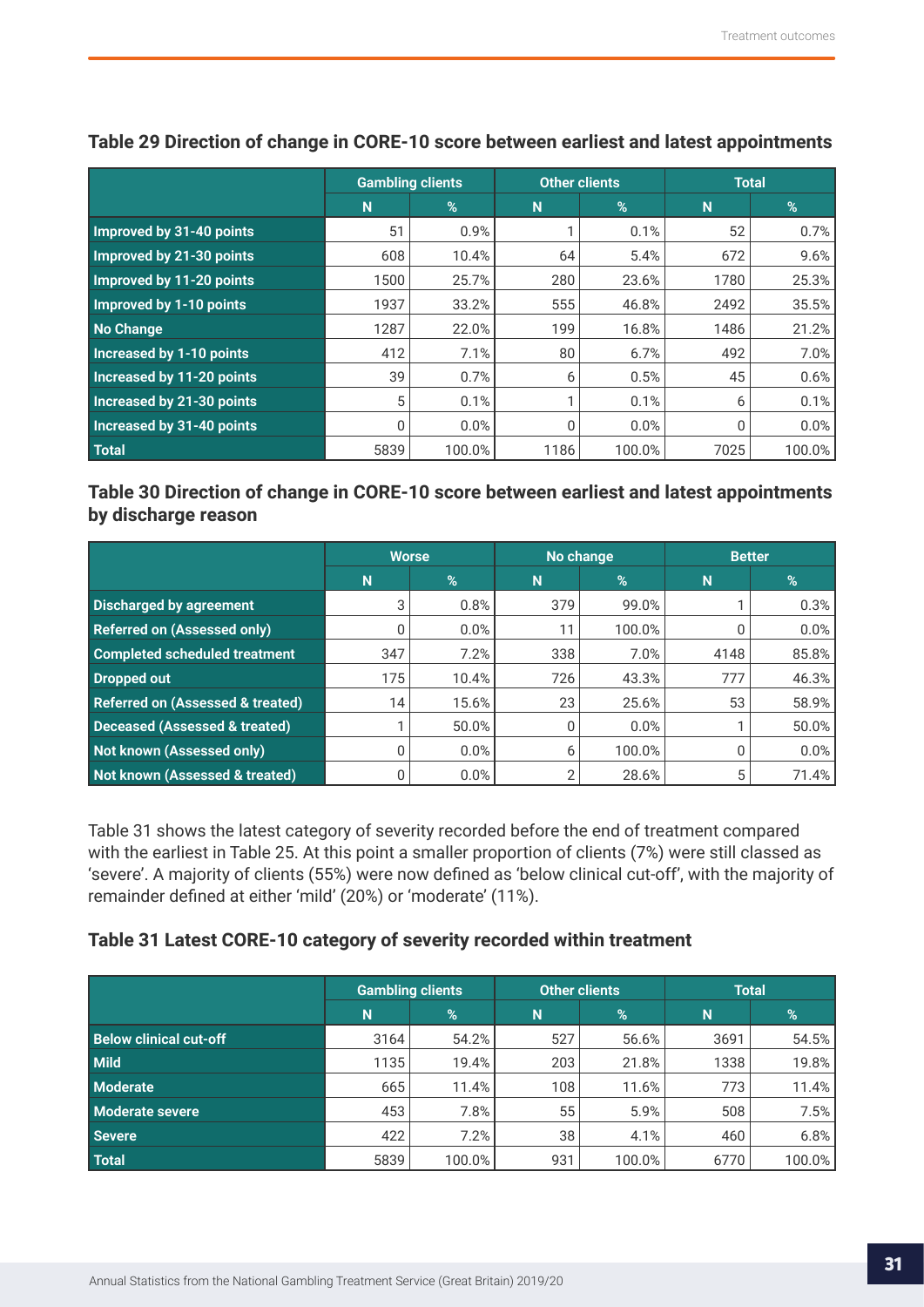|                                 | <b>Gambling clients</b> |        | <b>Other clients</b> |        | <b>Total</b> |        |
|---------------------------------|-------------------------|--------|----------------------|--------|--------------|--------|
|                                 | N                       | %      | N                    | %      | N            | %      |
| Improved by 31-40 points        | 51                      | 0.9%   |                      | 0.1%   | 52           | 0.7%   |
| Improved by 21-30 points        | 608                     | 10.4%  | 64                   | 5.4%   | 672          | 9.6%   |
| Improved by 11-20 points        | 1500                    | 25.7%  | 280                  | 23.6%  | 1780         | 25.3%  |
| Improved by 1-10 points         | 1937                    | 33.2%  | 555                  | 46.8%  | 2492         | 35.5%  |
| No Change                       | 1287                    | 22.0%  | 199                  | 16.8%  | 1486         | 21.2%  |
| <b>Increased by 1-10 points</b> | 412                     | 7.1%   | 80                   | 6.7%   | 492          | 7.0%   |
| Increased by 11-20 points       | 39                      | 0.7%   | 6                    | 0.5%   | 45           | 0.6%   |
| Increased by 21-30 points       | 5                       | 0.1%   | 1                    | 0.1%   | 6            | 0.1%   |
| Increased by 31-40 points       | 0                       | 0.0%   | $\mathbf{0}$         | 0.0%   | 0            | 0.0%   |
| <b>Total</b>                    | 5839                    | 100.0% | 1186                 | 100.0% | 7025         | 100.0% |

## **Table 29 Direction of change in CORE-10 score between earliest and latest appointments**

**Table 30 Direction of change in CORE-10 score between earliest and latest appointments by discharge reason**

|                                             | <b>Worse</b> |       |     | No change | <b>Better</b> |       |
|---------------------------------------------|--------------|-------|-----|-----------|---------------|-------|
|                                             | N            | %     | N   | $\%$      | N             | %     |
| Discharged by agreement                     | 3            | 0.8%  | 379 | 99.0%     |               | 0.3%  |
| <b>Referred on (Assessed only)</b>          |              | 0.0%  | 11  | 100.0%    |               | 0.0%  |
| <b>Completed scheduled treatment</b>        | 347          | 7.2%  | 338 | 7.0%      | 4148          | 85.8% |
| Dropped out                                 | 175          | 10.4% | 726 | 43.3%     | 777           | 46.3% |
| <b>Referred on (Assessed &amp; treated)</b> | 14           | 15.6% | 23  | 25.6%     | 53            | 58.9% |
| <b>Deceased (Assessed &amp; treated)</b>    |              | 50.0% | 0   | 0.0%      |               | 50.0% |
| Not known (Assessed only)                   |              | 0.0%  | 6   | 100.0%    |               | 0.0%  |
| Not known (Assessed & treated)              |              | 0.0%  | 2   | 28.6%     | 5             | 71.4% |

Table 31 shows the latest category of severity recorded before the end of treatment compared with the earliest in Table 25. At this point a smaller proportion of clients (7%) were still classed as 'severe'. A majority of clients (55%) were now defined as 'below clinical cut-off', with the majority of remainder defined at either 'mild' (20%) or 'moderate' (11%).

### **Table 31 Latest CORE-10 category of severity recorded within treatment**

|                               | <b>Gambling clients</b> |               |     | <b>Other clients</b> | <b>Total</b> |        |
|-------------------------------|-------------------------|---------------|-----|----------------------|--------------|--------|
|                               | N                       | $\frac{9}{6}$ | N   | $\%$                 | N            | $\%$   |
| <b>Below clinical cut-off</b> | 3164                    | 54.2%         | 527 | 56.6%                | 3691         | 54.5%  |
| <b>Mild</b>                   | 1135                    | 19.4%         | 203 | 21.8%                | 1338         | 19.8%  |
| <b>Moderate</b>               | 665                     | 11.4%         | 108 | 11.6%                | 773          | 11.4%  |
| Moderate severe               | 453                     | 7.8%          | 55  | 5.9%                 | 508          | 7.5%   |
| <b>Severe</b>                 | 422                     | 7.2%          | 38  | 4.1%                 | 460          | 6.8%   |
| <b>Total</b>                  | 5839                    | 100.0%        | 931 | 100.0%               | 6770         | 100.0% |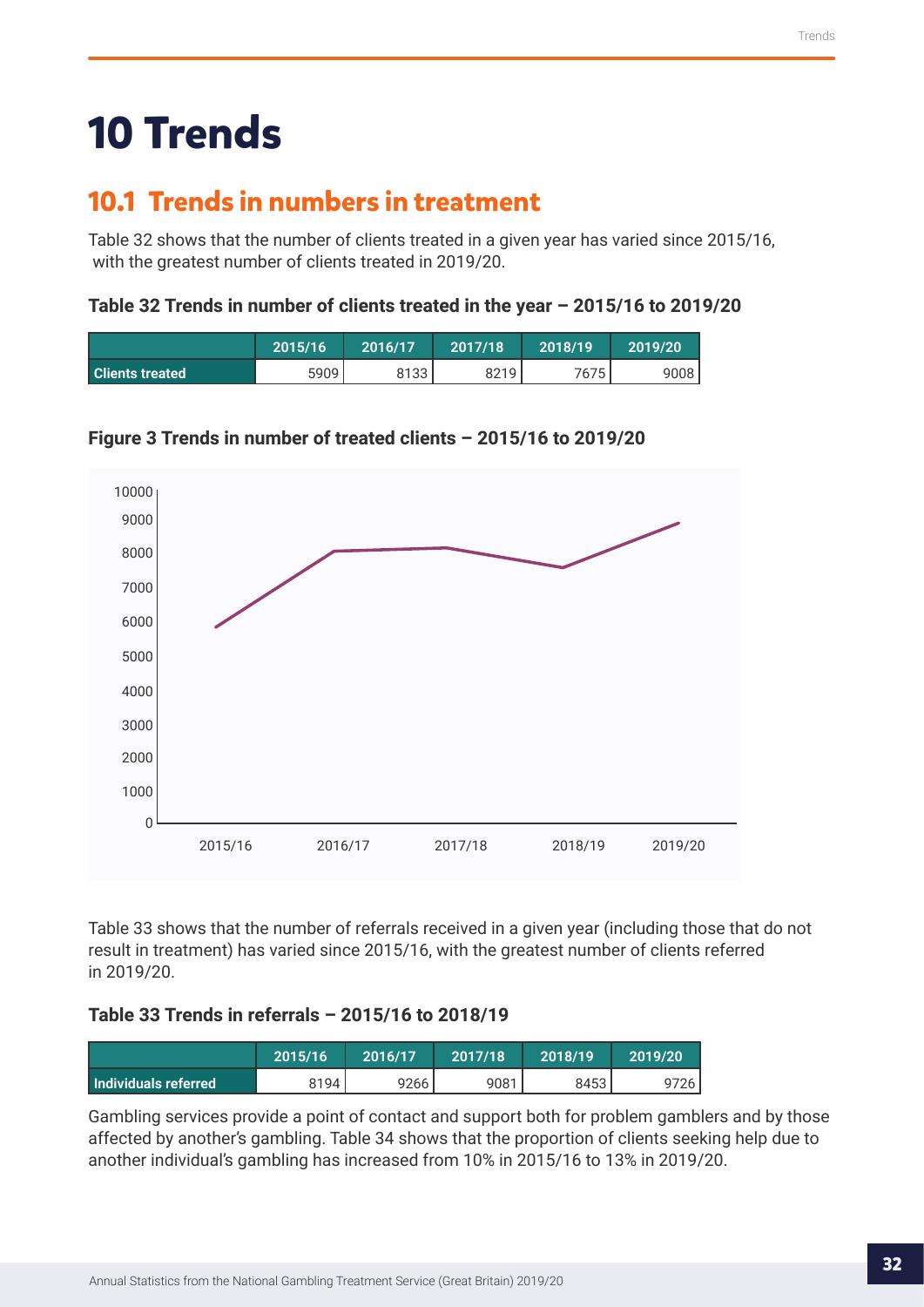## <span id="page-31-0"></span>**10 Trends**

## **10.1 Trends in numbers in treatment**

Table 32 shows that the number of clients treated in a given year has varied since 2015/16, with the greatest number of clients treated in 2019/20.

## **Table 32 Trends in number of clients treated in the year – 2015/16 to 2019/20**

|                        | 2015/16 | 2016/17 | 2017/18 | 2018/19 | 2019/20 |
|------------------------|---------|---------|---------|---------|---------|
| <b>Clients treated</b> | 5909    | 8133    | 8219    | 7675.   | 9008    |



## **Figure 3 Trends in number of treated clients – 2015/16 to 2019/20**

Table 33 shows that the number of referrals received in a given year (including those that do not result in treatment) has varied since 2015/16, with the greatest number of clients referred in 2019/20.

## **Table 33 Trends in referrals – 2015/16 to 2018/19**

|                        | 2015/16 | 2016/17 | 2017/18 | 2018/19 | 2019/20 |
|------------------------|---------|---------|---------|---------|---------|
| l Individuals referred | 8194    | 9266    | 9081    | 8453    | 9726    |

Gambling services provide a point of contact and support both for problem gamblers and by those affected by another's gambling. Table 34 shows that the proportion of clients seeking help due to another individual's gambling has increased from 10% in 2015/16 to 13% in 2019/20.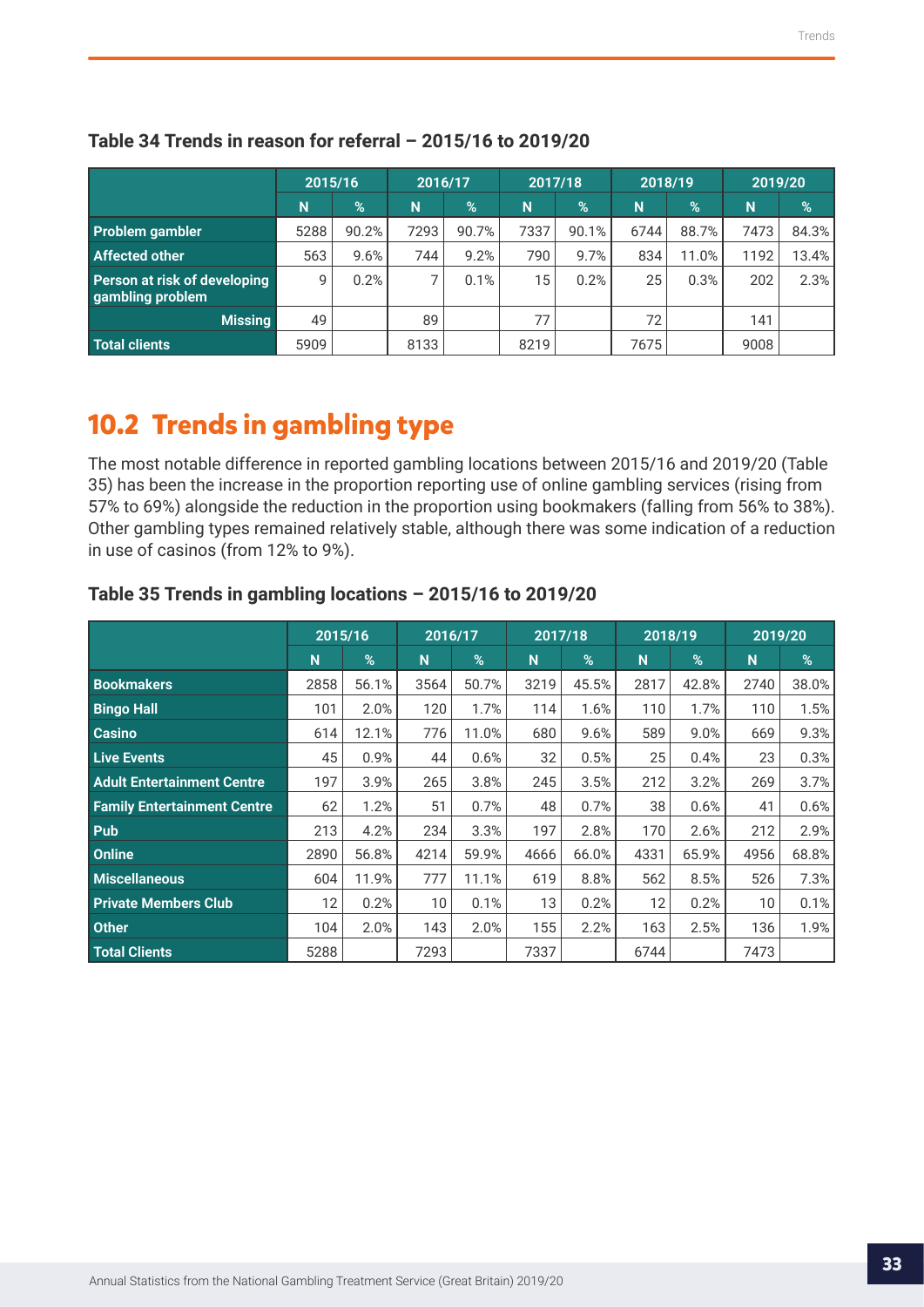|                                                  | 2015/16 |       |      | 2016/17 |      | 2017/18 |      | 2018/19       |      | 2019/20 |  |
|--------------------------------------------------|---------|-------|------|---------|------|---------|------|---------------|------|---------|--|
|                                                  | N       | $\%$  | N    | %       | N    | %       | N    | $\frac{9}{6}$ | N    | $\%$    |  |
| Problem gambler                                  | 5288    | 90.2% | 7293 | 90.7%   | 7337 | 90.1%   | 6744 | 88.7%         | 7473 | 84.3%   |  |
| <b>Affected other</b>                            | 563     | 9.6%  | 744  | 9.2%    | 790  | 9.7%    | 834  | 11.0%         | 1192 | 13.4%   |  |
| Person at risk of developing<br>gambling problem | 9       | 0.2%  |      | 0.1%    | 15   | 0.2%    | 25   | 0.3%          | 202  | $2.3\%$ |  |
| <b>Missing</b>                                   | 49      |       | 89   |         | 77   |         | 72   |               | 141  |         |  |
| Total clients                                    | 5909    |       | 8133 |         | 8219 |         | 7675 |               | 9008 |         |  |

#### <span id="page-32-0"></span>**Table 34 Trends in reason for referral – 2015/16 to 2019/20**

## **10.2 Trends in gambling type**

The most notable difference in reported gambling locations between 2015/16 and 2019/20 (Table 35) has been the increase in the proportion reporting use of online gambling services (rising from 57% to 69%) alongside the reduction in the proportion using bookmakers (falling from 56% to 38%). Other gambling types remained relatively stable, although there was some indication of a reduction in use of casinos (from 12% to 9%).

|                                    |      | 2015/16 |                 | 2016/17 |      | 2017/18 |      | 2018/19       | 2019/20 |       |
|------------------------------------|------|---------|-----------------|---------|------|---------|------|---------------|---------|-------|
|                                    | N    | %       | N               | $\%$    | N    | %       | N    | $\frac{9}{6}$ | N       | %     |
| <b>Bookmakers</b>                  | 2858 | 56.1%   | 3564            | 50.7%   | 3219 | 45.5%   | 2817 | 42.8%         | 2740    | 38.0% |
| <b>Bingo Hall</b>                  | 101  | 2.0%    | 120             | 1.7%    | 114  | 1.6%    | 110  | 1.7%          | 110     | 1.5%  |
| <b>Casino</b>                      | 614  | 12.1%   | 776             | 11.0%   | 680  | 9.6%    | 589  | 9.0%          | 669     | 9.3%  |
| <b>Live Events</b>                 | 45   | 0.9%    | 44              | 0.6%    | 32   | 0.5%    | 25   | 0.4%          | 23      | 0.3%  |
| <b>Adult Entertainment Centre</b>  | 197  | 3.9%    | 265             | 3.8%    | 245  | 3.5%    | 212  | 3.2%          | 269     | 3.7%  |
| <b>Family Entertainment Centre</b> | 62   | 1.2%    | 51              | 0.7%    | 48   | 0.7%    | 38   | 0.6%          | 41      | 0.6%  |
| Pub                                | 213  | 4.2%    | 234             | 3.3%    | 197  | 2.8%    | 170  | 2.6%          | 212     | 2.9%  |
| Online                             | 2890 | 56.8%   | 4214            | 59.9%   | 4666 | 66.0%   | 4331 | 65.9%         | 4956    | 68.8% |
| <b>Miscellaneous</b>               | 604  | 11.9%   | 777             | 11.1%   | 619  | 8.8%    | 562  | 8.5%          | 526     | 7.3%  |
| <b>Private Members Club</b>        | 12   | 0.2%    | 10 <sup>°</sup> | 0.1%    | 13   | 0.2%    | 12   | 0.2%          | 10      | 0.1%  |
| <b>Other</b>                       | 104  | 2.0%    | 143             | 2.0%    | 155  | 2.2%    | 163  | 2.5%          | 136     | 1.9%  |
| <b>Total Clients</b>               | 5288 |         | 7293            |         | 7337 |         | 6744 |               | 7473    |       |

#### **Table 35 Trends in gambling locations – 2015/16 to 2019/20**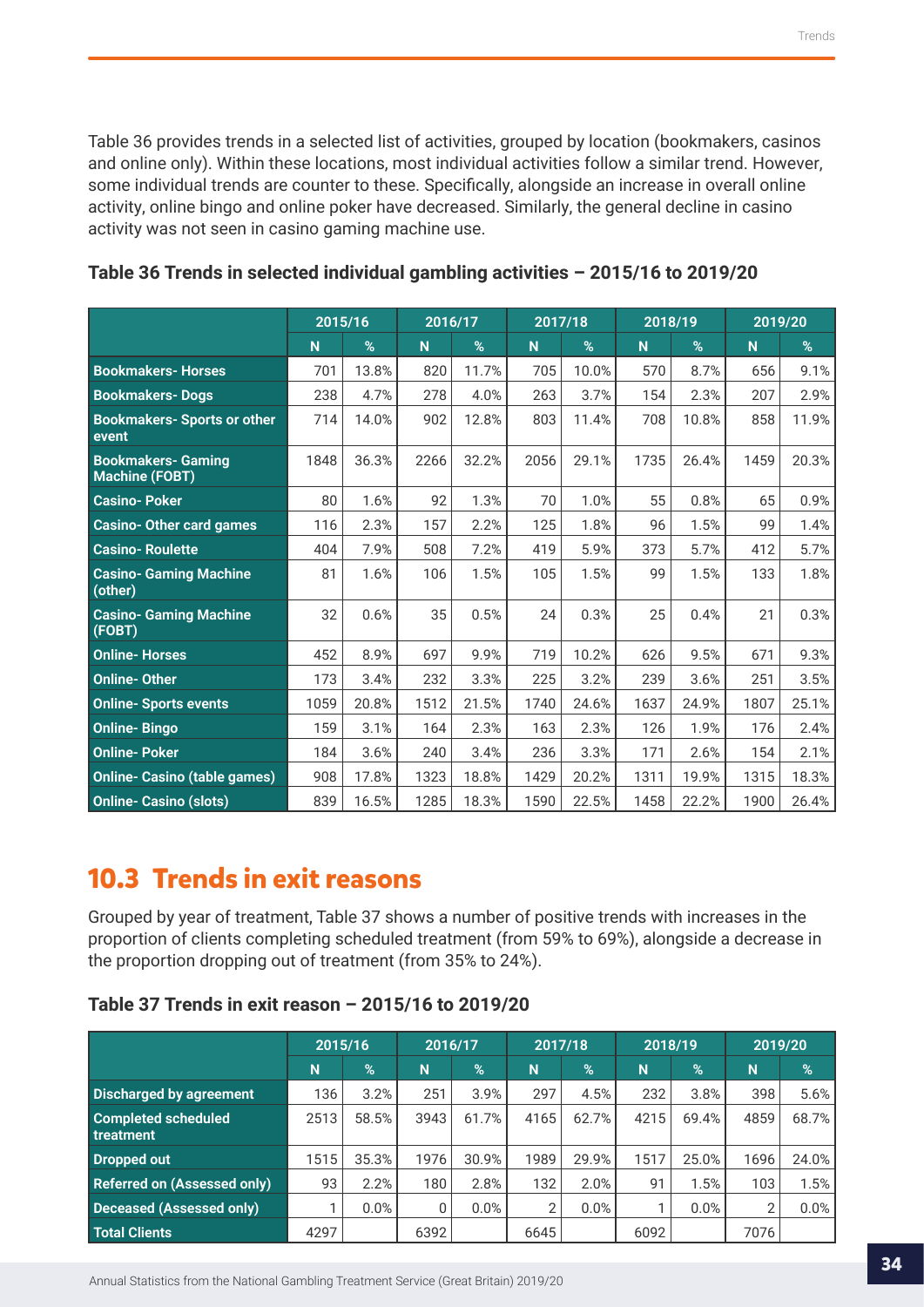<span id="page-33-0"></span>Table 36 provides trends in a selected list of activities, grouped by location (bookmakers, casinos and online only). Within these locations, most individual activities follow a similar trend. However, some individual trends are counter to these. Specifically, alongside an increase in overall online activity, online bingo and online poker have decreased. Similarly, the general decline in casino activity was not seen in casino gaming machine use.

|                                                    | 2015/16 |       | 2016/17 |       | 2017/18 |       | 2018/19 |       | 2019/20 |       |
|----------------------------------------------------|---------|-------|---------|-------|---------|-------|---------|-------|---------|-------|
|                                                    | N       | %     | N       | %     | N       | %     | N       | %     | N       | %     |
| <b>Bookmakers-Horses</b>                           | 701     | 13.8% | 820     | 11.7% | 705     | 10.0% | 570     | 8.7%  | 656     | 9.1%  |
| <b>Bookmakers-Dogs</b>                             | 238     | 4.7%  | 278     | 4.0%  | 263     | 3.7%  | 154     | 2.3%  | 207     | 2.9%  |
| <b>Bookmakers- Sports or other</b><br>event        | 714     | 14.0% | 902     | 12.8% | 803     | 11.4% | 708     | 10.8% | 858     | 11.9% |
| <b>Bookmakers- Gaming</b><br><b>Machine (FOBT)</b> | 1848    | 36.3% | 2266    | 32.2% | 2056    | 29.1% | 1735    | 26.4% | 1459    | 20.3% |
| <b>Casino-Poker</b>                                | 80      | 1.6%  | 92      | 1.3%  | 70      | 1.0%  | 55      | 0.8%  | 65      | 0.9%  |
| <b>Casino-Other card games</b>                     | 116     | 2.3%  | 157     | 2.2%  | 125     | 1.8%  | 96      | 1.5%  | 99      | 1.4%  |
| <b>Casino-Roulette</b>                             | 404     | 7.9%  | 508     | 7.2%  | 419     | 5.9%  | 373     | 5.7%  | 412     | 5.7%  |
| <b>Casino- Gaming Machine</b><br>(other)           | 81      | 1.6%  | 106     | 1.5%  | 105     | 1.5%  | 99      | 1.5%  | 133     | 1.8%  |
| <b>Casino- Gaming Machine</b><br>(FOBT)            | 32      | 0.6%  | 35      | 0.5%  | 24      | 0.3%  | 25      | 0.4%  | 21      | 0.3%  |
| <b>Online-Horses</b>                               | 452     | 8.9%  | 697     | 9.9%  | 719     | 10.2% | 626     | 9.5%  | 671     | 9.3%  |
| <b>Online-Other</b>                                | 173     | 3.4%  | 232     | 3.3%  | 225     | 3.2%  | 239     | 3.6%  | 251     | 3.5%  |
| <b>Online- Sports events</b>                       | 1059    | 20.8% | 1512    | 21.5% | 1740    | 24.6% | 1637    | 24.9% | 1807    | 25.1% |
| <b>Online-Bingo</b>                                | 159     | 3.1%  | 164     | 2.3%  | 163     | 2.3%  | 126     | 1.9%  | 176     | 2.4%  |
| <b>Online-Poker</b>                                | 184     | 3.6%  | 240     | 3.4%  | 236     | 3.3%  | 171     | 2.6%  | 154     | 2.1%  |
| <b>Online- Casino (table games)</b>                | 908     | 17.8% | 1323    | 18.8% | 1429    | 20.2% | 1311    | 19.9% | 1315    | 18.3% |
| <b>Online- Casino (slots)</b>                      | 839     | 16.5% | 1285    | 18.3% | 1590    | 22.5% | 1458    | 22.2% | 1900    | 26.4% |

## **Table 36 Trends in selected individual gambling activities – 2015/16 to 2019/20**

## **10.3 Trends in exit reasons**

Grouped by year of treatment, Table 37 shows a number of positive trends with increases in the proportion of clients completing scheduled treatment (from 59% to 69%), alongside a decrease in the proportion dropping out of treatment (from 35% to 24%).

### **Table 37 Trends in exit reason – 2015/16 to 2019/20**

|                                         |      | 2015/16 |      | 2016/17       |      | 2017/18       |      | 2018/19 |                | 2019/20 |  |
|-----------------------------------------|------|---------|------|---------------|------|---------------|------|---------|----------------|---------|--|
|                                         | N    | %       | N    | $\frac{9}{6}$ | 'N   | $\frac{9}{6}$ | N    | $\%$    | N              | %       |  |
| <b>Discharged by agreement</b>          | 136  | 3.2%    | 251  | 3.9%          | 297  | 4.5%          | 232  | 3.8%    | 398            | 5.6%    |  |
| <b>Completed scheduled</b><br>treatment | 2513 | 58.5%   | 3943 | 61.7%         | 4165 | 62.7%         | 4215 | 69.4%   | 4859           | 68.7%   |  |
| Dropped out                             | 1515 | 35.3%   | 1976 | 30.9%         | 1989 | 29.9%         | 1517 | 25.0%   | 1696           | 24.0%   |  |
| <b>Referred on (Assessed only)</b>      | 93   | 2.2%    | 180  | 2.8%          | 132  | 2.0%          | 91   | 1.5%    | 103            | 1.5%    |  |
| Deceased (Assessed only)                |      | 0.0%    | 0    | 0.0%          | 2    | 0.0%          |      | 0.0%    | $\overline{2}$ | 0.0%    |  |
| Total Clients                           | 4297 |         | 6392 |               | 6645 |               | 6092 |         | 7076           |         |  |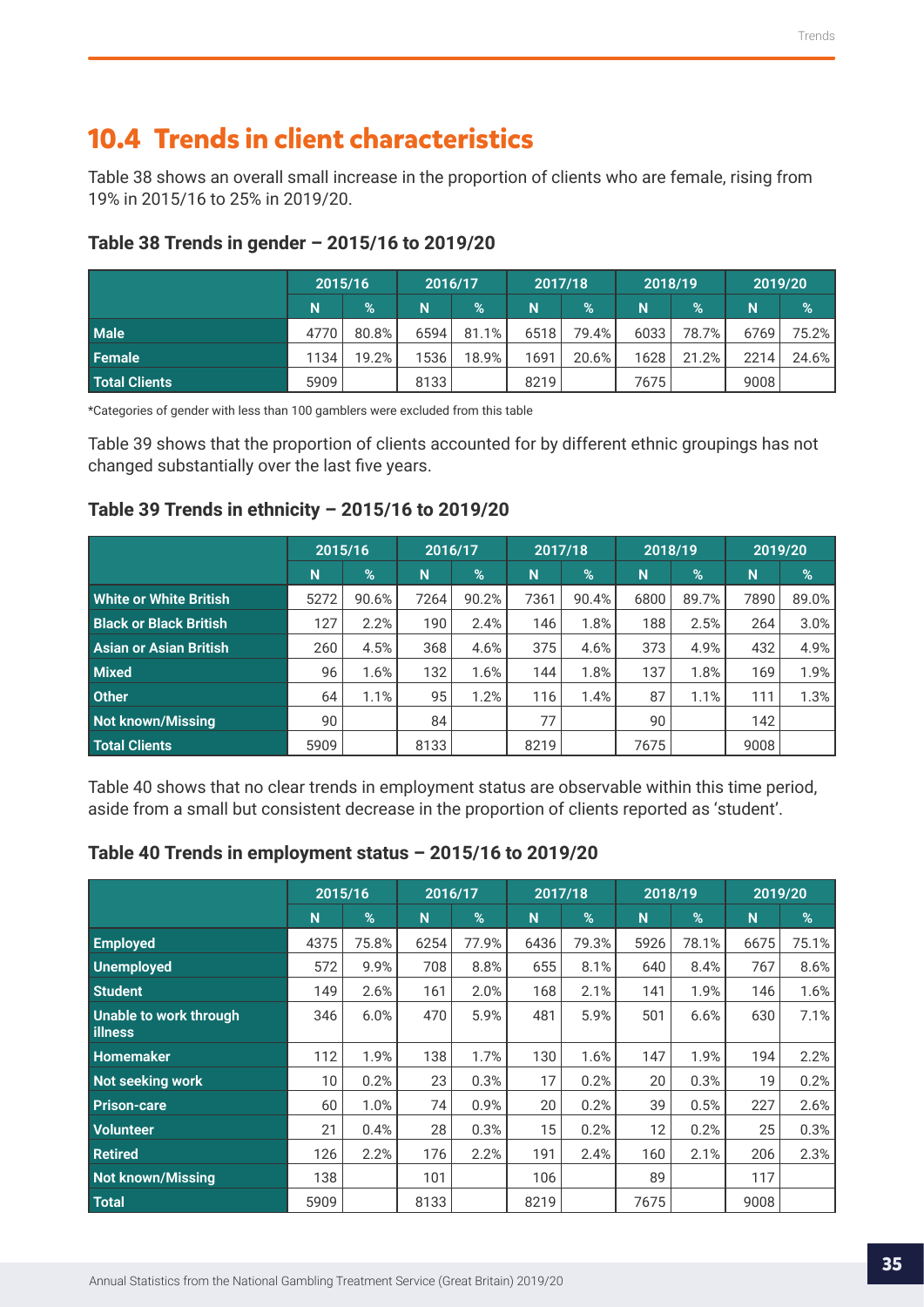## <span id="page-34-0"></span>**10.4 Trends in client characteristics**

Table 38 shows an overall small increase in the proportion of clients who are female, rising from 19% in 2015/16 to 25% in 2019/20.

|                      | 2015/16 |       | 2016/17 |       | 2017/18 |               | 2018/19 |       | 2019/20 |          |
|----------------------|---------|-------|---------|-------|---------|---------------|---------|-------|---------|----------|
|                      | N       | $\%$  | N       | $\%$  | N       | $\frac{9}{6}$ | N       | $\%$  | N       | %        |
| <b>Male</b>          | 4770    | 80.8% | 6594    | 81.1% | 6518    | 79.4%         | 6033    | 78.7% | 6769    | 75.2%    |
| Female               | 1134    | 19.2% | 1536    | 18.9% | 1691    | 20.6%         | 1628    | 21.2% | 2214    | $24.6\%$ |
| <b>Total Clients</b> | 5909    |       | 8133    |       | 8219    |               | 7675    |       | 9008    |          |

## **Table 38 Trends in gender – 2015/16 to 2019/20**

\*Categories of gender with less than 100 gamblers were excluded from this table

Table 39 shows that the proportion of clients accounted for by different ethnic groupings has not changed substantially over the last five years.

## **Table 39 Trends in ethnicity – 2015/16 to 2019/20**

|                               | 2015/16 |               | 2016/17 |               | 2017/18 |       | 2018/19 |               | 2019/20 |       |
|-------------------------------|---------|---------------|---------|---------------|---------|-------|---------|---------------|---------|-------|
|                               | N       | $\frac{9}{6}$ | N       | $\frac{9}{6}$ | N       | $\%$  | N       | $\frac{9}{6}$ | N       | %     |
| White or White British        | 5272    | 90.6%         | 7264    | 90.2%         | 7361    | 90.4% | 6800    | 89.7%         | 7890    | 89.0% |
| <b>Black or Black British</b> | 127     | 2.2%          | 190     | 2.4%          | 146     | 1.8%  | 188     | 2.5%          | 264     | 3.0%  |
| <b>Asian or Asian British</b> | 260     | 4.5%          | 368     | 4.6%          | 375     | 4.6%  | 373     | 4.9%          | 432     | 4.9%  |
| <b>Mixed</b>                  | 96      | 1.6%          | 132     | 1.6%          | 144     | 1.8%  | 137     | 1.8%          | 169     | 1.9%  |
| <b>Other</b>                  | 64      | 1.1%          | 95      | 1.2%          | 116     | 1.4%  | 87      | 1.1%          | 111     | 1.3%  |
| Not known/Missing             | 90      |               | 84      |               | 77      |       | 90      |               | 142     |       |
| <b>Total Clients</b>          | 5909    |               | 8133    |               | 8219    |       | 7675    |               | 9008    |       |

Table 40 shows that no clear trends in employment status are observable within this time period, aside from a small but consistent decrease in the proportion of clients reported as 'student'.

### **Table 40 Trends in employment status – 2015/16 to 2019/20**

|                                          | 2015/16         |       | 2016/17        |       | 2017/18 |       | 2018/19 |       | 2019/20 |       |
|------------------------------------------|-----------------|-------|----------------|-------|---------|-------|---------|-------|---------|-------|
|                                          | N               | %     | N <sub>1</sub> | %     | N       | $\%$  | N       | %     | N       | %     |
| <b>Employed</b>                          | 4375            | 75.8% | 6254           | 77.9% | 6436    | 79.3% | 5926    | 78.1% | 6675    | 75.1% |
| Unemployed                               | 572             | 9.9%  | 708            | 8.8%  | 655     | 8.1%  | 640     | 8.4%  | 767     | 8.6%  |
| <b>Student</b>                           | 149             | 2.6%  | 161            | 2.0%  | 168     | 2.1%  | 141     | 1.9%  | 146     | 1.6%  |
| Unable to work through<br><b>illness</b> | 346             | 6.0%  | 470            | 5.9%  | 481     | 5.9%  | 501     | 6.6%  | 630     | 7.1%  |
| <b>Homemaker</b>                         | 112             | 1.9%  | 138            | 1.7%  | 130     | 1.6%  | 147     | 1.9%  | 194     | 2.2%  |
| Not seeking work                         | 10 <sup>°</sup> | 0.2%  | 23             | 0.3%  | 17      | 0.2%  | 20      | 0.3%  | 19      | 0.2%  |
| <b>Prison-care</b>                       | 60              | 1.0%  | 74             | 0.9%  | 20      | 0.2%  | 39      | 0.5%  | 227     | 2.6%  |
| <b>Volunteer</b>                         | 21              | 0.4%  | 28             | 0.3%  | 15      | 0.2%  | 12      | 0.2%  | 25      | 0.3%  |
| <b>Retired</b>                           | 126             | 2.2%  | 176            | 2.2%  | 191     | 2.4%  | 160     | 2.1%  | 206     | 2.3%  |
| <b>Not known/Missing</b>                 | 138             |       | 101            |       | 106     |       | 89      |       | 117     |       |
| Total                                    | 5909            |       | 8133           |       | 8219    |       | 7675    |       | 9008    |       |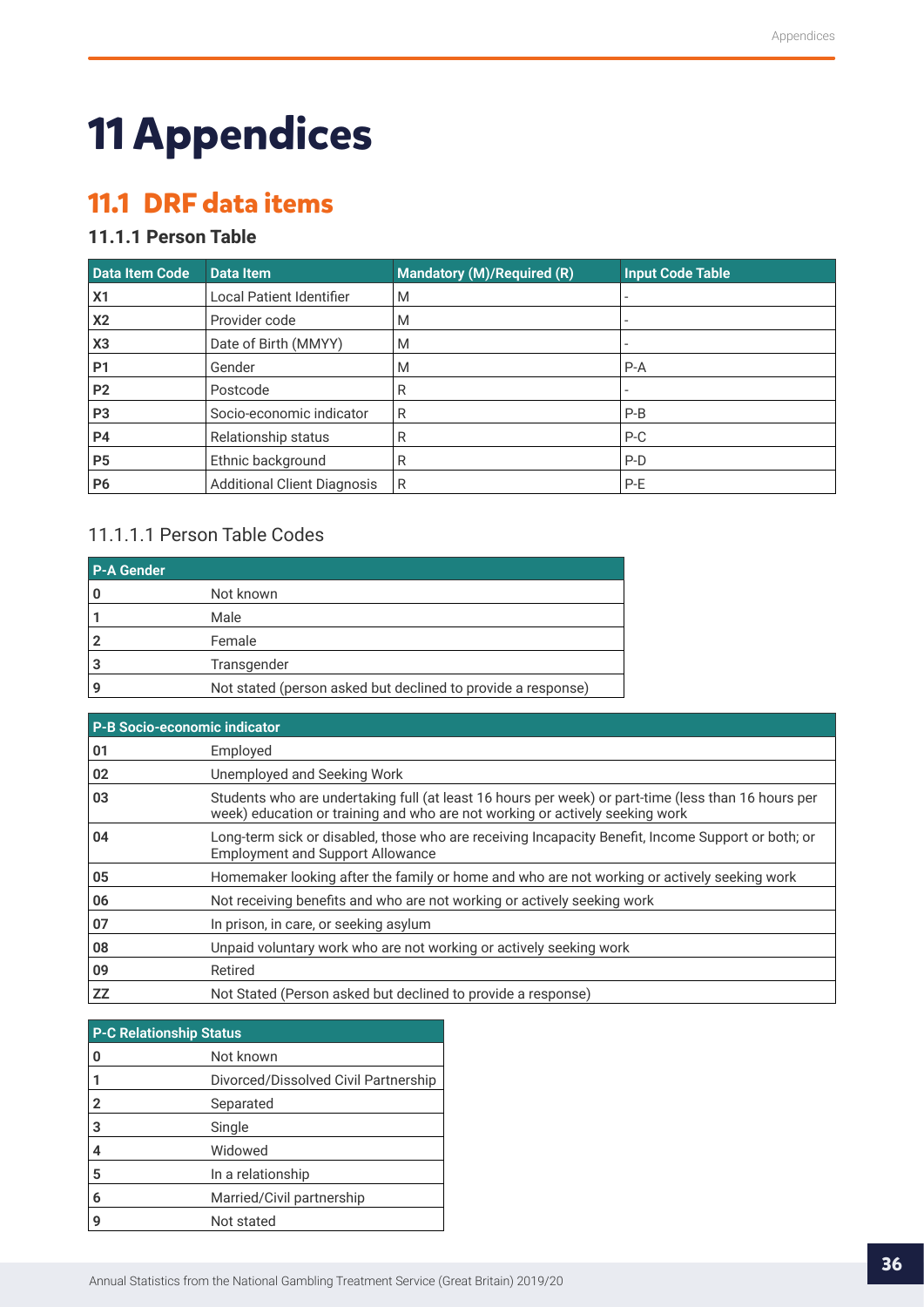## <span id="page-35-0"></span>**11 Appendices**

## **11.1 DRF data items**

## **11.1.1 Person Table**

| Data Item Code | <b>Data Item</b>                   | Mandatory (M)/Required (R) | <b>Input Code Table</b> |
|----------------|------------------------------------|----------------------------|-------------------------|
| X <sub>1</sub> | <b>Local Patient Identifier</b>    | M                          |                         |
| X <sub>2</sub> | Provider code                      | M                          |                         |
| X3             | Date of Birth (MMYY)               | M                          |                         |
| <b>P1</b>      | Gender                             | M                          | $P-A$                   |
| P <sub>2</sub> | Postcode                           | R                          |                         |
| P <sub>3</sub> | Socio-economic indicator           | R                          | $P-B$                   |
| <b>P4</b>      | Relationship status                | R                          | $P-C$                   |
| P <sub>5</sub> | Ethnic background                  | R                          | $P-D$                   |
| P <sub>6</sub> | <b>Additional Client Diagnosis</b> | R                          | P-E                     |

### 11.1.1.1 Person Table Codes

| <b>P-A Gender</b> |                                                              |
|-------------------|--------------------------------------------------------------|
|                   | Not known                                                    |
|                   | Male                                                         |
|                   | Female                                                       |
|                   | Transgender                                                  |
|                   | Not stated (person asked but declined to provide a response) |

| <b>P-B Socio-economic indicator</b> |                                                                                                                                                                                     |
|-------------------------------------|-------------------------------------------------------------------------------------------------------------------------------------------------------------------------------------|
| 01                                  | Employed                                                                                                                                                                            |
| 02                                  | Unemployed and Seeking Work                                                                                                                                                         |
| 03                                  | Students who are undertaking full (at least 16 hours per week) or part-time (less than 16 hours per<br>week) education or training and who are not working or actively seeking work |
| 04                                  | Long-term sick or disabled, those who are receiving Incapacity Benefit, Income Support or both; or<br><b>Employment and Support Allowance</b>                                       |
| 05                                  | Homemaker looking after the family or home and who are not working or actively seeking work                                                                                         |
| 06                                  | Not receiving benefits and who are not working or actively seeking work                                                                                                             |
| 07                                  | In prison, in care, or seeking asylum                                                                                                                                               |
| 08                                  | Unpaid voluntary work who are not working or actively seeking work                                                                                                                  |
| 09                                  | Retired                                                                                                                                                                             |
| ZZ                                  | Not Stated (Person asked but declined to provide a response)                                                                                                                        |

| <b>P-C Relationship Status</b> |                                      |  |  |  |
|--------------------------------|--------------------------------------|--|--|--|
| 0                              | Not known                            |  |  |  |
|                                | Divorced/Dissolved Civil Partnership |  |  |  |
| $\overline{2}$                 | Separated                            |  |  |  |
| 3                              | Single                               |  |  |  |
| 4                              | Widowed                              |  |  |  |
| 5                              | In a relationship                    |  |  |  |
| 6                              | Married/Civil partnership            |  |  |  |
| g                              | Not stated                           |  |  |  |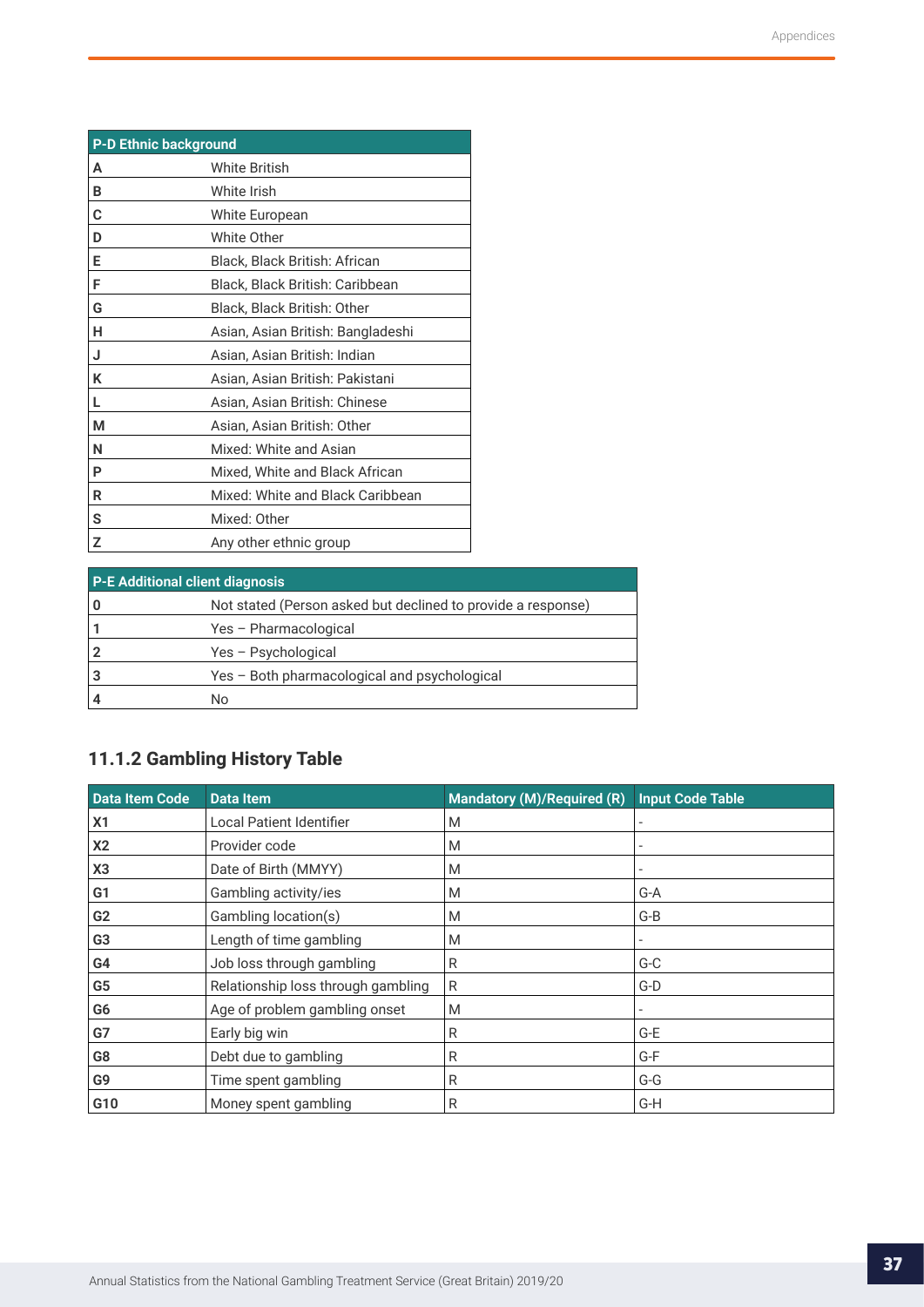<span id="page-36-0"></span>

| <b>P-D Ethnic background</b> |                                   |  |
|------------------------------|-----------------------------------|--|
| A                            | <b>White British</b>              |  |
| B                            | White Irish                       |  |
| C                            | White European                    |  |
| D                            | <b>White Other</b>                |  |
| E                            | Black, Black British: African     |  |
| F                            | Black, Black British: Caribbean   |  |
| G                            | Black, Black British: Other       |  |
| н                            | Asian, Asian British: Bangladeshi |  |
| J                            | Asian, Asian British: Indian      |  |
| K                            | Asian, Asian British: Pakistani   |  |
| L                            | Asian, Asian British: Chinese     |  |
| М                            | Asian, Asian British: Other       |  |
| N                            | Mixed: White and Asian            |  |
| P                            | Mixed, White and Black African    |  |
| R                            | Mixed: White and Black Caribbean  |  |
| S                            | Mixed: Other                      |  |
| Z                            | Any other ethnic group            |  |

| <b>P-E Additional client diagnosis</b> |                                                              |  |
|----------------------------------------|--------------------------------------------------------------|--|
|                                        | Not stated (Person asked but declined to provide a response) |  |
|                                        | Yes - Pharmacological                                        |  |
|                                        | Yes - Psychological                                          |  |
|                                        | Yes - Both pharmacological and psychological                 |  |
|                                        | No                                                           |  |

## **11.1.2 Gambling History Table**

| Data Item Code | <b>Data Item</b>                   | Mandatory (M)/Required (R) | <b>Input Code Table</b> |
|----------------|------------------------------------|----------------------------|-------------------------|
| X1             | <b>Local Patient Identifier</b>    | M                          |                         |
| <b>X2</b>      | Provider code                      | M                          |                         |
| X <sub>3</sub> | Date of Birth (MMYY)               | M                          |                         |
| G <sub>1</sub> | Gambling activity/ies              | M                          | G-A                     |
| G <sub>2</sub> | Gambling location(s)               | M                          | $G-B$                   |
| G <sub>3</sub> | Length of time gambling            | M                          |                         |
| G4             | Job loss through gambling          | R                          | $G-C$                   |
| G5             | Relationship loss through gambling | R                          | $G-D$                   |
| G6             | Age of problem gambling onset      | M                          |                         |
| G7             | Early big win                      | R                          | $G-E$                   |
| G8             | Debt due to gambling               | R                          | G-F                     |
| G9             | Time spent gambling                | R                          | $G-G$                   |
| G10            | Money spent gambling               | R                          | G-H                     |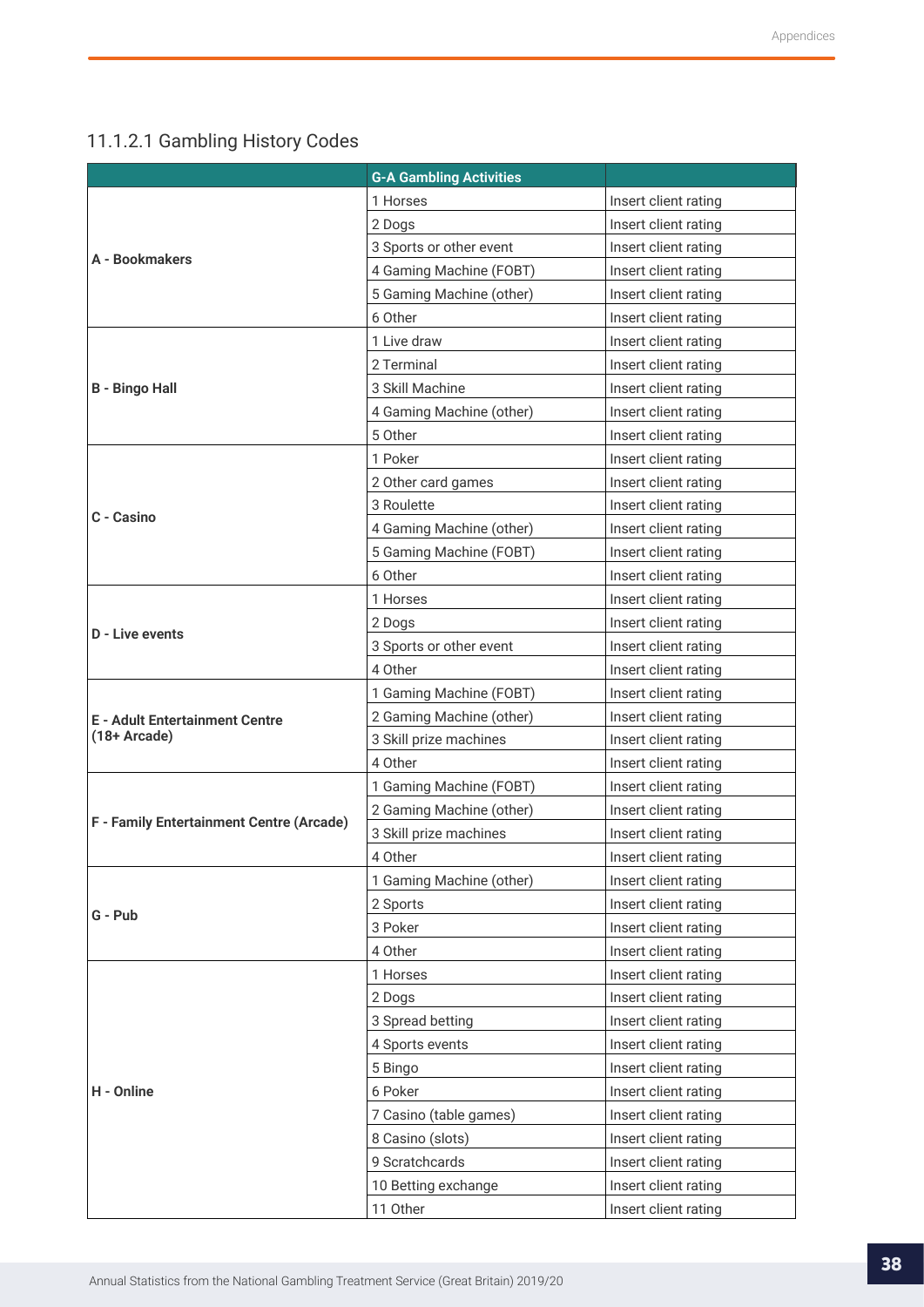## <span id="page-37-0"></span>11.1.2.1 Gambling History Codes

|                                          | <b>G-A Gambling Activities</b> |                      |
|------------------------------------------|--------------------------------|----------------------|
|                                          | 1 Horses                       | Insert client rating |
|                                          | 2 Dogs                         | Insert client rating |
|                                          | 3 Sports or other event        | Insert client rating |
| A - Bookmakers                           | 4 Gaming Machine (FOBT)        | Insert client rating |
|                                          | 5 Gaming Machine (other)       | Insert client rating |
|                                          | 6 Other                        | Insert client rating |
|                                          | 1 Live draw                    | Insert client rating |
|                                          | 2 Terminal                     | Insert client rating |
| <b>B</b> - Bingo Hall                    | 3 Skill Machine                | Insert client rating |
|                                          | 4 Gaming Machine (other)       | Insert client rating |
|                                          | 5 Other                        | Insert client rating |
|                                          | 1 Poker                        | Insert client rating |
|                                          | 2 Other card games             | Insert client rating |
|                                          | 3 Roulette                     | Insert client rating |
| C - Casino                               | 4 Gaming Machine (other)       | Insert client rating |
|                                          | 5 Gaming Machine (FOBT)        | Insert client rating |
|                                          | 6 Other                        | Insert client rating |
|                                          | 1 Horses                       | Insert client rating |
|                                          | 2 Dogs                         | Insert client rating |
| <b>D</b> - Live events                   | 3 Sports or other event        | Insert client rating |
|                                          | 4 Other                        | Insert client rating |
|                                          | 1 Gaming Machine (FOBT)        | Insert client rating |
| <b>E</b> - Adult Entertainment Centre    | 2 Gaming Machine (other)       | Insert client rating |
| $(18+Arcade)$                            | 3 Skill prize machines         | Insert client rating |
|                                          | 4 Other                        | Insert client rating |
|                                          | 1 Gaming Machine (FOBT)        | Insert client rating |
|                                          | 2 Gaming Machine (other)       | Insert client rating |
| F - Family Entertainment Centre (Arcade) | 3 Skill prize machines         | Insert client rating |
|                                          | 4 Other                        | Insert client rating |
|                                          | 1 Gaming Machine (other)       | Insert client rating |
| G - Pub                                  | 2 Sports                       | Insert client rating |
|                                          | 3 Poker                        | Insert client rating |
|                                          | 4 Other                        | Insert client rating |
|                                          | 1 Horses                       | Insert client rating |
|                                          | 2 Dogs                         | Insert client rating |
|                                          | 3 Spread betting               | Insert client rating |
|                                          | 4 Sports events                | Insert client rating |
|                                          | 5 Bingo                        | Insert client rating |
| H - Online                               | 6 Poker                        | Insert client rating |
|                                          | 7 Casino (table games)         | Insert client rating |
|                                          | 8 Casino (slots)               | Insert client rating |
|                                          | 9 Scratchcards                 | Insert client rating |
|                                          | 10 Betting exchange            | Insert client rating |
|                                          | 11 Other                       | Insert client rating |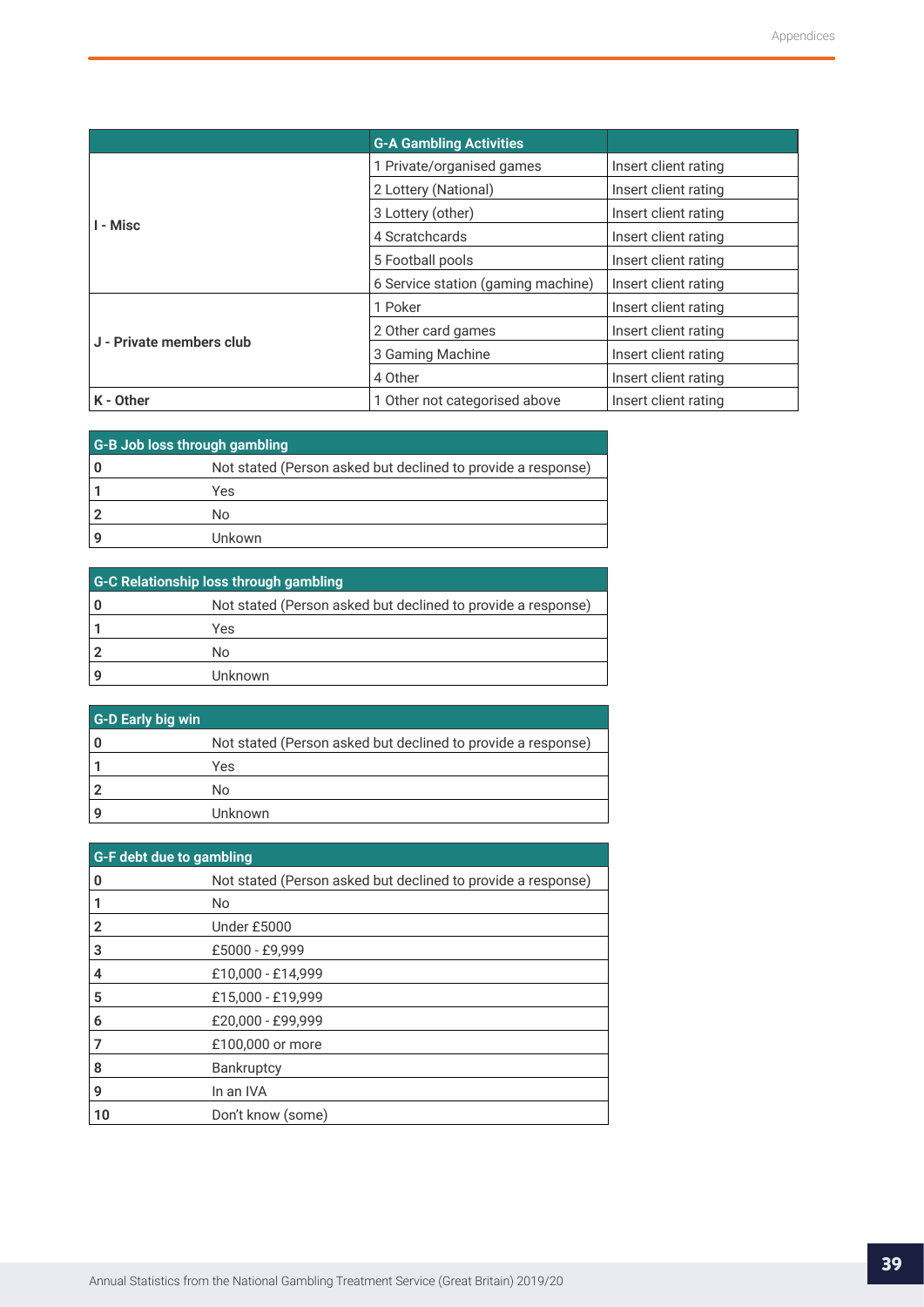|                          | <b>G-A Gambling Activities</b>                        |                      |
|--------------------------|-------------------------------------------------------|----------------------|
|                          | 1 Private/organised games                             | Insert client rating |
|                          | 2 Lottery (National)                                  | Insert client rating |
|                          | 3 Lottery (other)                                     | Insert client rating |
| I - Misc                 | 4 Scratchcards                                        | Insert client rating |
|                          | 5 Football pools                                      | Insert client rating |
|                          | 6 Service station (gaming machine)                    | Insert client rating |
|                          | 1 Poker                                               | Insert client rating |
|                          | 2 Other card games                                    | Insert client rating |
| J - Private members club | 3 Gaming Machine                                      | Insert client rating |
|                          | 4 Other                                               | Insert client rating |
| K - Other                | Insert client rating<br>1 Other not categorised above |                      |

| G-B Job loss through gambling |                                                              |  |
|-------------------------------|--------------------------------------------------------------|--|
|                               | Not stated (Person asked but declined to provide a response) |  |
|                               | Yes                                                          |  |
|                               | N٥                                                           |  |
|                               | Unkown                                                       |  |

| G-C Relationship loss through gambling |                                                              |  |
|----------------------------------------|--------------------------------------------------------------|--|
|                                        | Not stated (Person asked but declined to provide a response) |  |
|                                        | Yes                                                          |  |
|                                        | N٥                                                           |  |
|                                        | Unknown                                                      |  |

| G-D Early big win |                                                              |
|-------------------|--------------------------------------------------------------|
|                   | Not stated (Person asked but declined to provide a response) |
|                   | Yes                                                          |
|                   | No                                                           |
|                   | Unknown                                                      |

| <b>G-F debt due to gambling</b> |                                                              |  |
|---------------------------------|--------------------------------------------------------------|--|
| o                               | Not stated (Person asked but declined to provide a response) |  |
|                                 | No.                                                          |  |
| 2                               | Under £5000                                                  |  |
| 3                               | £5000 - £9,999                                               |  |
| 4                               | £10,000 - £14,999                                            |  |
| 5                               | £15,000 - £19,999                                            |  |
| 6                               | £20,000 - £99,999                                            |  |
|                                 | £100,000 or more                                             |  |
| 8                               | <b>Bankruptcy</b>                                            |  |
| 9                               | In an IVA                                                    |  |
| 10                              | Don't know (some)                                            |  |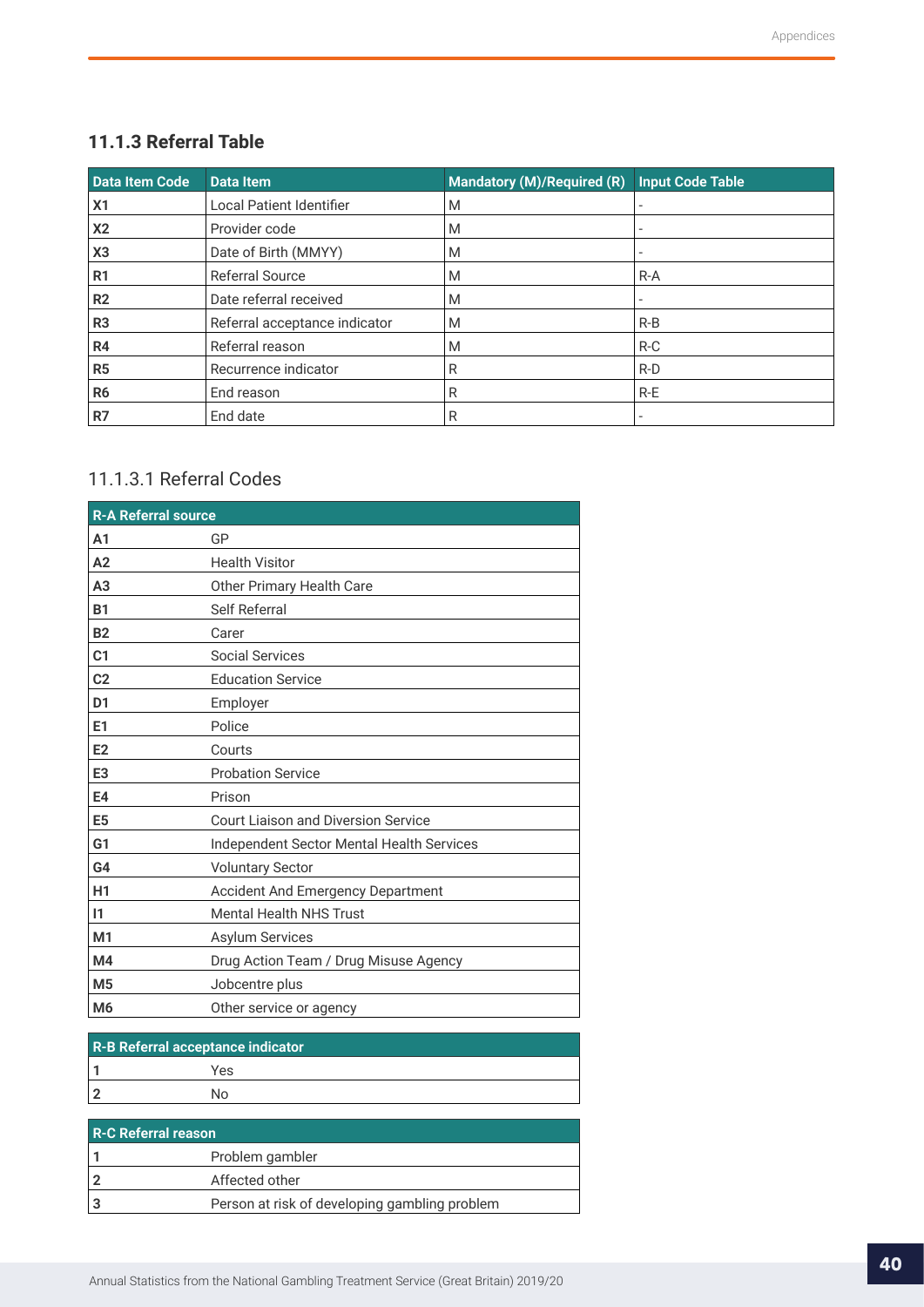## <span id="page-39-0"></span>**11.1.3 Referral Table**

| Data Item Code | <b>Data Item</b>                | <b>Mandatory (M)/Required (R)</b> | <b>Input Code Table</b> |
|----------------|---------------------------------|-----------------------------------|-------------------------|
| X <sub>1</sub> | <b>Local Patient Identifier</b> | M                                 |                         |
| X <sub>2</sub> | Provider code                   | M                                 |                         |
| X <sub>3</sub> | Date of Birth (MMYY)            | M                                 |                         |
| R <sub>1</sub> | <b>Referral Source</b>          | M                                 | $R-A$                   |
| R <sub>2</sub> | Date referral received          | M                                 |                         |
| R <sub>3</sub> | Referral acceptance indicator   | M                                 | $R-B$                   |
| R <sub>4</sub> | Referral reason                 | M                                 | $R-C$                   |
| R <sub>5</sub> | Recurrence indicator            | R                                 | $R-D$                   |
| R <sub>6</sub> | End reason                      | R                                 | R-E                     |
| R7             | End date                        | R                                 |                         |

## 11.1.3.1 Referral Codes

| <b>R-A Referral source</b> |                                            |
|----------------------------|--------------------------------------------|
| A <sub>1</sub>             | GP                                         |
| A2                         | <b>Health Visitor</b>                      |
| A <sub>3</sub>             | Other Primary Health Care                  |
| <b>B1</b>                  | Self Referral                              |
| <b>B2</b>                  | Carer                                      |
| C <sub>1</sub>             | <b>Social Services</b>                     |
| C <sub>2</sub>             | <b>Education Service</b>                   |
| D <sub>1</sub>             | Employer                                   |
| E <sub>1</sub>             | Police                                     |
| E2                         | Courts                                     |
| E <sub>3</sub>             | <b>Probation Service</b>                   |
| E4                         | Prison                                     |
| E <sub>5</sub>             | <b>Court Liaison and Diversion Service</b> |
| G <sub>1</sub>             | Independent Sector Mental Health Services  |
| G4                         | <b>Voluntary Sector</b>                    |
| H1                         | Accident And Emergency Department          |
| $\mathsf{I}$               | <b>Mental Health NHS Trust</b>             |
| M <sub>1</sub>             | <b>Asylum Services</b>                     |
| M4                         | Drug Action Team / Drug Misuse Agency      |
| M <sub>5</sub>             | Jobcentre plus                             |
| M <sub>6</sub>             | Other service or agency                    |

| R-B Referral acceptance indicator |     |  |
|-----------------------------------|-----|--|
|                                   | Yes |  |
|                                   | N٥  |  |

| <b>R-C Referral reason</b> |                                               |  |  |
|----------------------------|-----------------------------------------------|--|--|
|                            | Problem gambler                               |  |  |
| 2                          | Affected other                                |  |  |
| Ι3                         | Person at risk of developing gambling problem |  |  |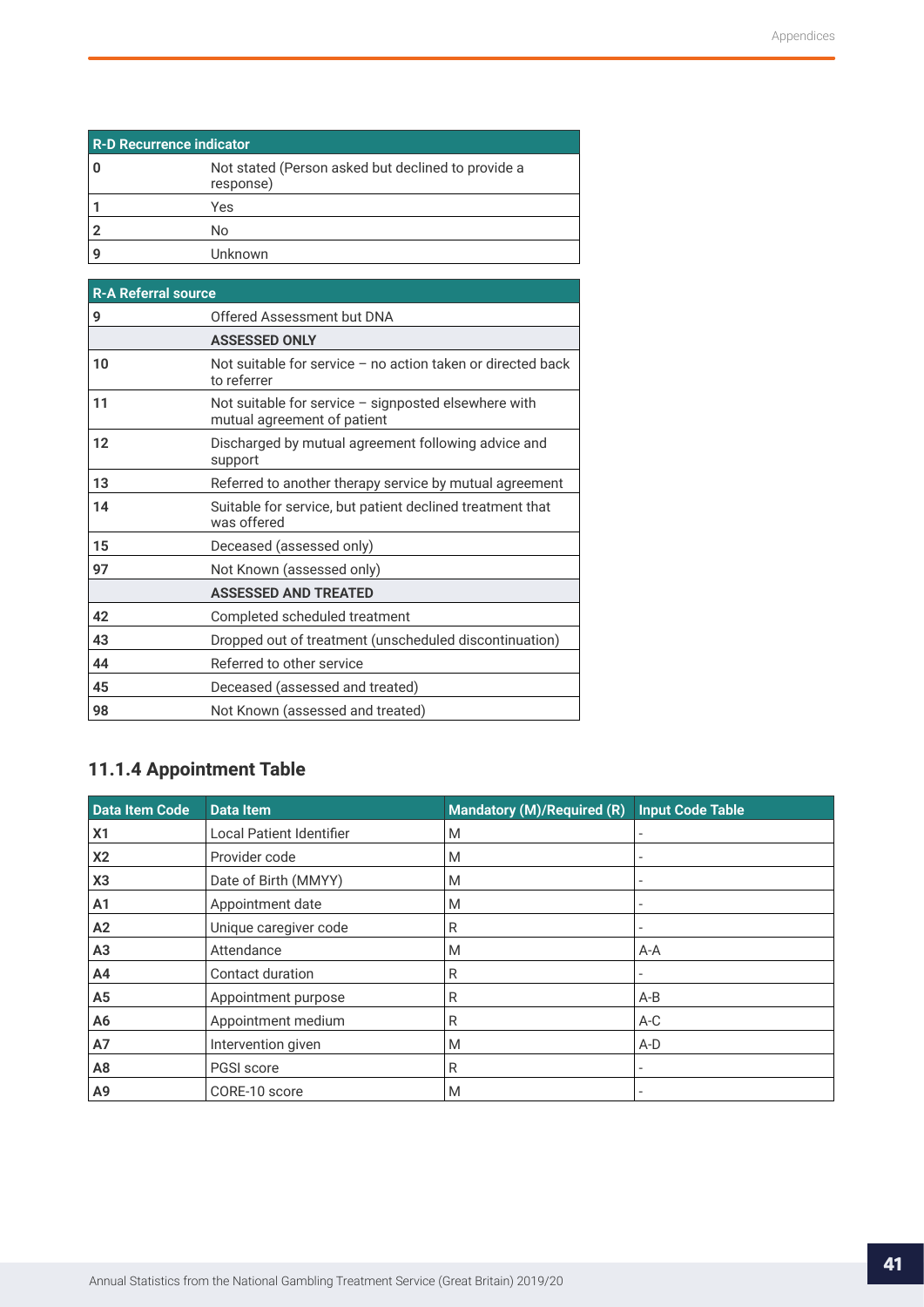<span id="page-40-0"></span>

| <b>R-D Recurrence indicator</b> |                                                                 |  |  |
|---------------------------------|-----------------------------------------------------------------|--|--|
|                                 | Not stated (Person asked but declined to provide a<br>response) |  |  |
|                                 | Yes                                                             |  |  |
|                                 | No                                                              |  |  |
|                                 | Unknown                                                         |  |  |

| <b>R-A Referral source</b> |                                                                                       |  |  |  |
|----------------------------|---------------------------------------------------------------------------------------|--|--|--|
| 9                          | Offered Assessment but DNA                                                            |  |  |  |
|                            | <b>ASSESSED ONLY</b>                                                                  |  |  |  |
| 10                         | Not suitable for service $-$ no action taken or directed back<br>to referrer          |  |  |  |
| 11                         | Not suitable for service $-$ signposted elsewhere with<br>mutual agreement of patient |  |  |  |
| 12                         | Discharged by mutual agreement following advice and<br>support                        |  |  |  |
| 13                         | Referred to another therapy service by mutual agreement                               |  |  |  |
| 14                         | Suitable for service, but patient declined treatment that<br>was offered              |  |  |  |
| 15                         | Deceased (assessed only)                                                              |  |  |  |
| 97                         | Not Known (assessed only)                                                             |  |  |  |
|                            | <b>ASSESSED AND TREATED</b>                                                           |  |  |  |
| 42                         | Completed scheduled treatment                                                         |  |  |  |
| 43                         | Dropped out of treatment (unscheduled discontinuation)                                |  |  |  |
| 44                         | Referred to other service                                                             |  |  |  |
| 45                         | Deceased (assessed and treated)                                                       |  |  |  |
| 98                         | Not Known (assessed and treated)                                                      |  |  |  |

## **11.1.4 Appointment Table**

| Data Item Code | Data Item                | Mandatory (M)/Required (R) | <b>Input Code Table</b>  |
|----------------|--------------------------|----------------------------|--------------------------|
| X <sub>1</sub> | Local Patient Identifier | M                          |                          |
| X <sub>2</sub> | Provider code            | M                          |                          |
| X <sub>3</sub> | Date of Birth (MMYY)     | M                          |                          |
| A <sub>1</sub> | Appointment date         | M                          |                          |
| A2             | Unique caregiver code    | R                          | $\overline{\phantom{a}}$ |
| A <sub>3</sub> | Attendance               | M                          | $A-A$                    |
| A4             | Contact duration         | R                          |                          |
| A <sub>5</sub> | Appointment purpose      | R                          | $A-B$                    |
| A6             | Appointment medium       | R                          | $A-C$                    |
| <b>A7</b>      | Intervention given       | M                          | $A-D$                    |
| A <sub>8</sub> | PGSI score               | R                          |                          |
| A9             | CORE-10 score            | M                          |                          |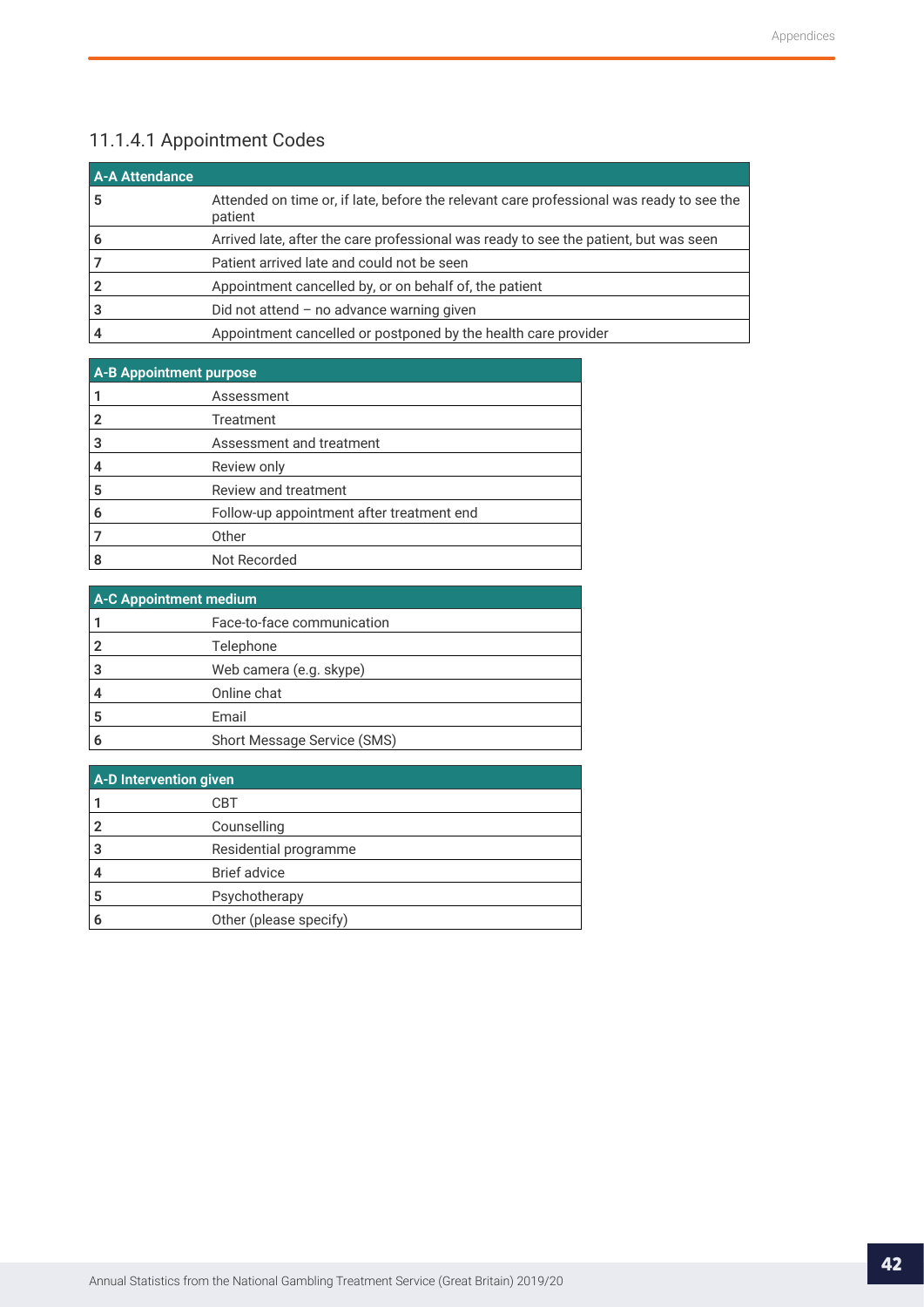## <span id="page-41-0"></span>11.1.4.1 Appointment Codes

| <b>A-A Attendance</b> |                                                                                                     |
|-----------------------|-----------------------------------------------------------------------------------------------------|
| 5                     | Attended on time or, if late, before the relevant care professional was ready to see the<br>patient |
| 6                     | Arrived late, after the care professional was ready to see the patient, but was seen                |
|                       | Patient arrived late and could not be seen                                                          |
| $\overline{2}$        | Appointment cancelled by, or on behalf of, the patient                                              |
|                       | Did not attend $-$ no advance warning given                                                         |
|                       | Appointment cancelled or postponed by the health care provider                                      |

| <b>A-B Appointment purpose</b> |                                           |  |  |
|--------------------------------|-------------------------------------------|--|--|
|                                | Assessment                                |  |  |
|                                | Treatment                                 |  |  |
| 3                              | Assessment and treatment                  |  |  |
|                                | Review only                               |  |  |
| 5                              | Review and treatment                      |  |  |
| 6                              | Follow-up appointment after treatment end |  |  |
|                                | Other                                     |  |  |
|                                | Not Recorded                              |  |  |

| <b>A-C Appointment medium</b> |                             |  |  |
|-------------------------------|-----------------------------|--|--|
|                               | Face-to-face communication  |  |  |
|                               | Telephone                   |  |  |
|                               | Web camera (e.g. skype)     |  |  |
|                               | Online chat                 |  |  |
| 5                             | Email                       |  |  |
|                               | Short Message Service (SMS) |  |  |

| A-D Intervention given |                        |  |
|------------------------|------------------------|--|
|                        | CBT                    |  |
|                        | Counselling            |  |
|                        | Residential programme  |  |
|                        | <b>Brief advice</b>    |  |
| 5                      | Psychotherapy          |  |
|                        | Other (please specify) |  |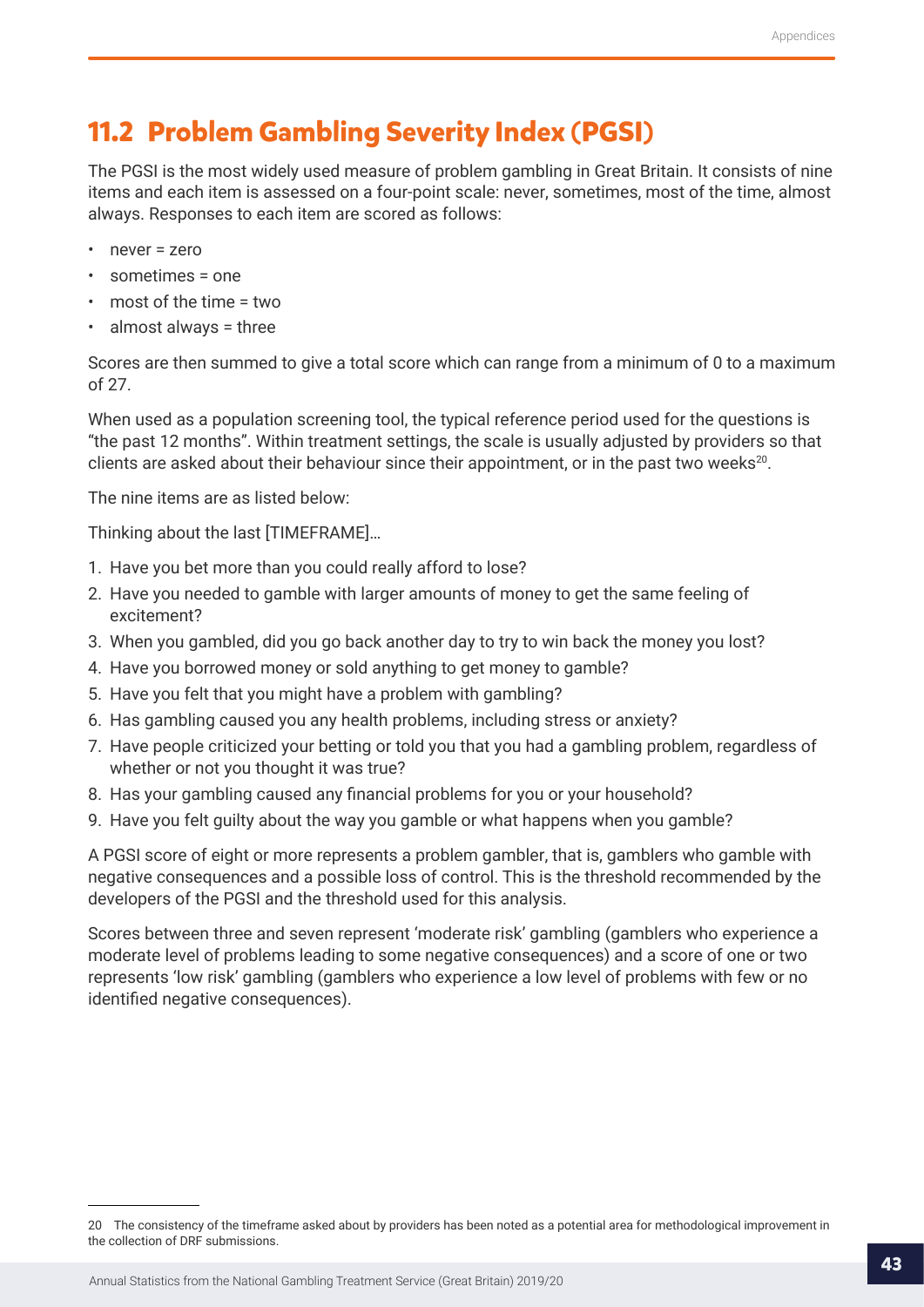## <span id="page-42-0"></span>**11.2 Problem Gambling Severity Index (PGSI)**

The PGSI is the most widely used measure of problem gambling in Great Britain. It consists of nine items and each item is assessed on a four-point scale: never, sometimes, most of the time, almost always. Responses to each item are scored as follows:

- never = zero
- sometimes = one
- most of the time = two
- almost always = three

Scores are then summed to give a total score which can range from a minimum of 0 to a maximum of 27.

When used as a population screening tool, the typical reference period used for the questions is "the past 12 months". Within treatment settings, the scale is usually adjusted by providers so that clients are asked about their behaviour since their appointment, or in the past two weeks $^{20}$ .

The nine items are as listed below:

Thinking about the last [TIMEFRAME]…

- 1. Have you bet more than you could really afford to lose?
- 2. Have you needed to gamble with larger amounts of money to get the same feeling of excitement?
- 3. When you gambled, did you go back another day to try to win back the money you lost?
- 4. Have you borrowed money or sold anything to get money to gamble?
- 5. Have you felt that you might have a problem with gambling?
- 6. Has gambling caused you any health problems, including stress or anxiety?
- 7. Have people criticized your betting or told you that you had a gambling problem, regardless of whether or not you thought it was true?
- 8. Has your gambling caused any financial problems for you or your household?
- 9. Have you felt guilty about the way you gamble or what happens when you gamble?

A PGSI score of eight or more represents a problem gambler, that is, gamblers who gamble with negative consequences and a possible loss of control. This is the threshold recommended by the developers of the PGSI and the threshold used for this analysis.

Scores between three and seven represent 'moderate risk' gambling (gamblers who experience a moderate level of problems leading to some negative consequences) and a score of one or two represents 'low risk' gambling (gamblers who experience a low level of problems with few or no identified negative consequences).

<sup>20</sup> The consistency of the timeframe asked about by providers has been noted as a potential area for methodological improvement in the collection of DRF submissions.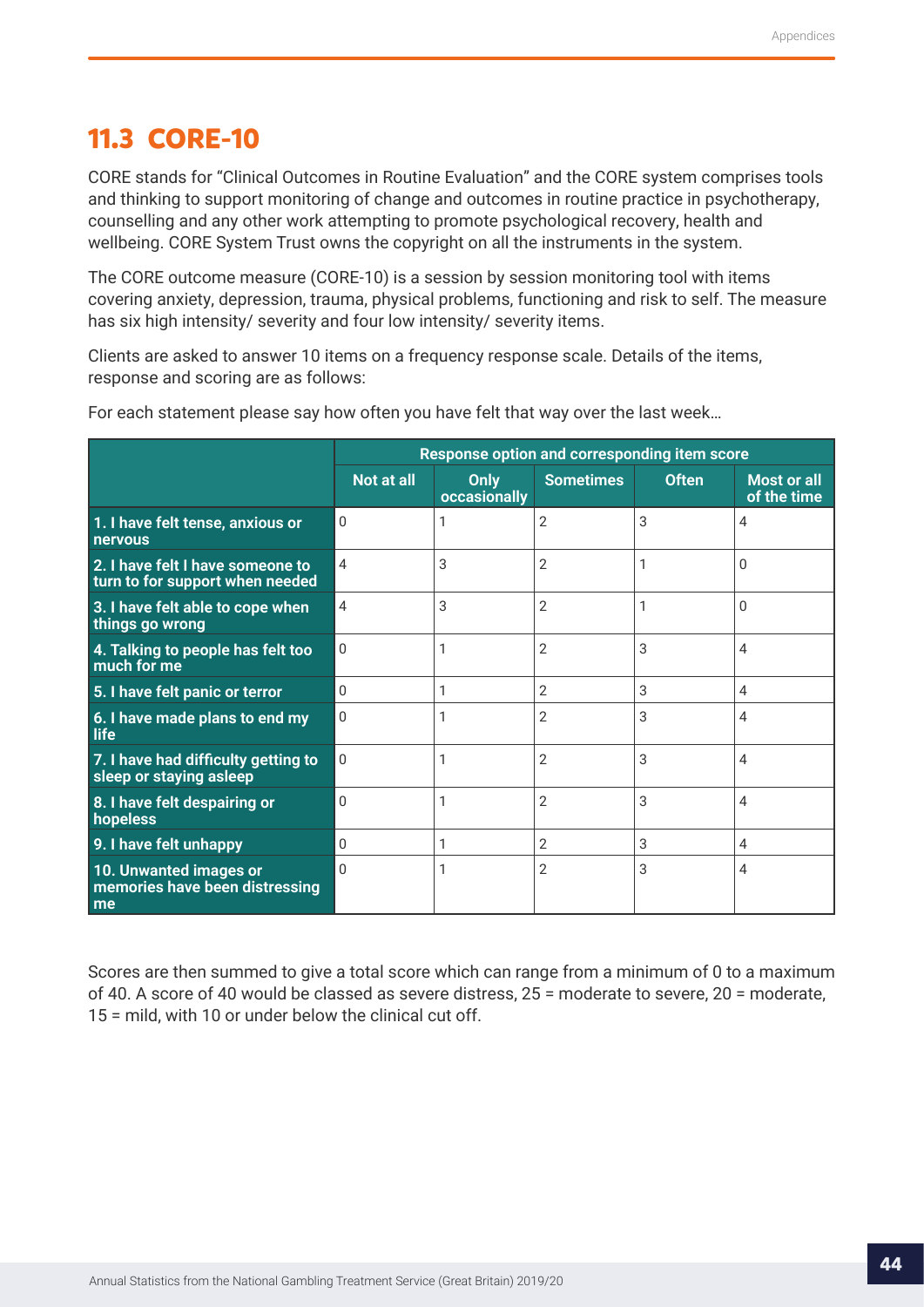## <span id="page-43-0"></span>**11.3 CORE-10**

CORE stands for "Clinical Outcomes in Routine Evaluation" and the CORE system comprises tools and thinking to support monitoring of change and outcomes in routine practice in psychotherapy, counselling and any other work attempting to promote psychological recovery, health and wellbeing. CORE System Trust owns the copyright on all the instruments in the system.

The CORE outcome measure (CORE-10) is a session by session monitoring tool with items covering anxiety, depression, trauma, physical problems, functioning and risk to self. The measure has six high intensity/ severity and four low intensity/ severity items.

Clients are asked to answer 10 items on a frequency response scale. Details of the items, response and scoring are as follows:

|                                                                     | Response option and corresponding item score |                      |                  |              |                                   |
|---------------------------------------------------------------------|----------------------------------------------|----------------------|------------------|--------------|-----------------------------------|
|                                                                     | <b>Not at all</b>                            | Only<br>occasionally | <b>Sometimes</b> | <b>Often</b> | <b>Most or all</b><br>of the time |
| 1. I have felt tense, anxious or<br>nervous                         | $\mathbf{0}$                                 |                      | $\overline{2}$   | 3            | 4                                 |
| 2. I have felt I have someone to<br>turn to for support when needed | 4                                            | 3                    | $\overline{2}$   | 1            | $\Omega$                          |
| 3. I have felt able to cope when<br>things go wrong                 | $\overline{4}$                               | 3                    | $\overline{2}$   |              | $\Omega$                          |
| 4. Talking to people has felt too<br>much for me                    | $\Omega$                                     | 1                    | $\overline{2}$   | 3            | 4                                 |
| 5. I have felt panic or terror                                      | 0                                            |                      | $\overline{2}$   | 3            | 4                                 |
| 6. I have made plans to end my<br>life                              | $\Omega$                                     |                      | 2                | 3            | 4                                 |
| 7. I have had difficulty getting to<br>sleep or staying asleep      | $\Omega$                                     |                      | $\overline{2}$   | 3            | 4                                 |
| 8. I have felt despairing or<br>hopeless                            | $\Omega$                                     | 1                    | $\overline{2}$   | 3            | 4                                 |
| 9. I have felt unhappy                                              | $\Omega$                                     |                      | $\overline{2}$   | 3            | 4                                 |
| 10. Unwanted images or<br>memories have been distressing<br>me      | $\Omega$                                     |                      | 2                | 3            | 4                                 |

For each statement please say how often you have felt that way over the last week…

Scores are then summed to give a total score which can range from a minimum of 0 to a maximum of 40. A score of 40 would be classed as severe distress, 25 = moderate to severe, 20 = moderate, 15 = mild, with 10 or under below the clinical cut off.